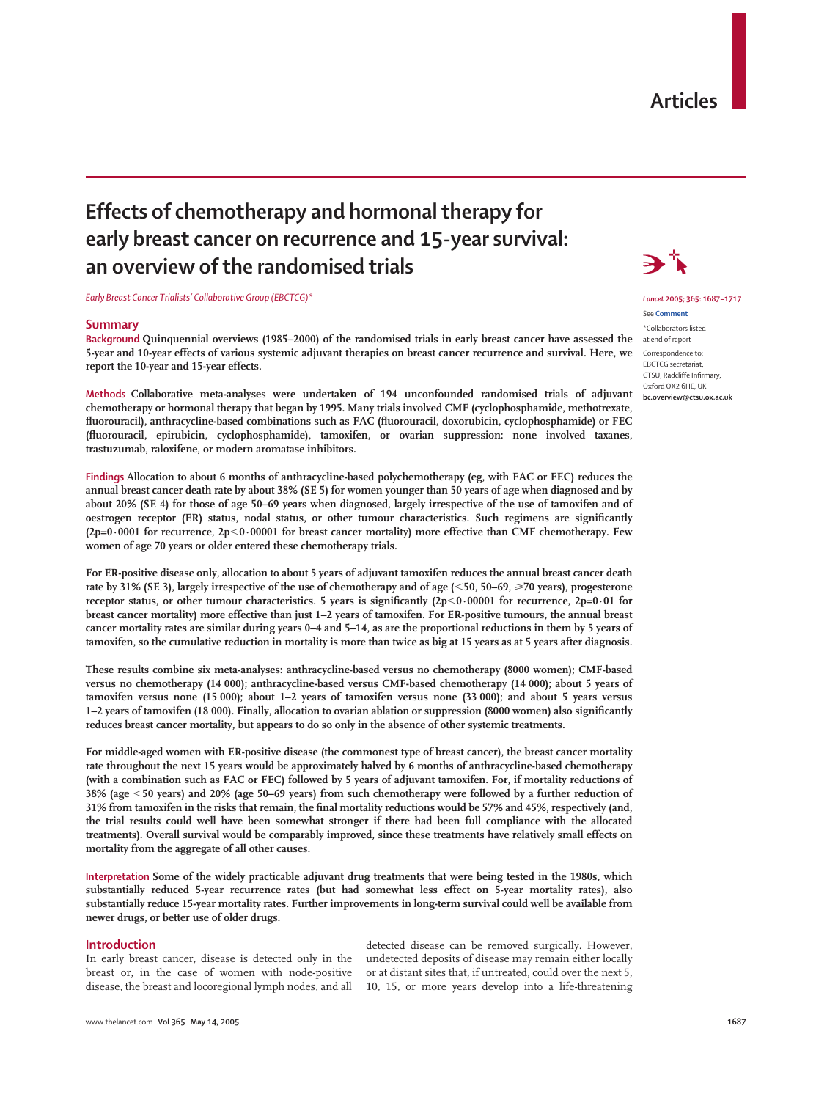**Articles**

# **Effects of chemotherapy and hormonal therapy for early breast cancer on recurrence and 15-year survival: an overview of the randomised trials**

*Early Breast Cancer Trialists' Collaborative Group (EBCTCG)\**

## **Summary**

**Background Quinquennial overviews (1985–2000) of the randomised trials in early breast cancer have assessed the atend of report 5-year and 10-year effects of various systemic adjuvant therapies on breast cancer recurrence and survival. Here, we report the 10-year and 15-year effects.**

**Methods Collaborative meta-analyses were undertaken of 194 unconfounded randomised trials of adjuvant chemotherapy or hormonal therapy that began by 1995. Many trials involved CMF (cyclophosphamide, methotrexate, fluorouracil), anthracycline-based combinations such as FAC (fluorouracil, doxorubicin, cyclophosphamide) or FEC (fluorouracil, epirubicin, cyclophosphamide), tamoxifen, or ovarian suppression: none involved taxanes, trastuzumab, raloxifene, or modern aromatase inhibitors.**

**Findings Allocation to about 6 months of anthracycline-based polychemotherapy (eg, with FAC or FEC) reduces the annual breast cancer death rate by about 38% (SE 5) for women younger than 50 years of age when diagnosed and by about 20% (SE 4) for those of age 50–69 years when diagnosed, largely irrespective of the use of tamoxifen and of oestrogen receptor (ER) status, nodal status, or other tumour characteristics. Such regimens are significantly (2p=0·0001 for recurrence, 2p**-**0·00001 for breast cancer mortality) more effective than CMF chemotherapy. Few women of age 70 years or older entered these chemotherapy trials.**

**For ER-positive disease only, allocation to about 5 years of adjuvant tamoxifen reduces the annual breast cancer death rate by 31% (SE 3), largely irrespective of the use of chemotherapy and of age (**-**50, 50–69, 70 years), progesterone receptor status, or other tumour characteristics. 5 years is significantly (2p**-**0·00001 for recurrence, 2p=0·01 for breast cancer mortality) more effective than just 1–2 years of tamoxifen. For ER-positive tumours, the annual breast cancer mortality rates are similar during years 0–4 and 5–14, as are the proportional reductions in them by 5 years of tamoxifen, so the cumulative reduction in mortality is more than twice as big at 15 years as at 5 years after diagnosis.** 

**These results combine six meta-analyses: anthracycline-based versus no chemotherapy (8000 women); CMF-based versus no chemotherapy (14 000); anthracycline-based versus CMF-based chemotherapy (14 000); about 5 years of tamoxifen versus none (15 000); about 1–2 years of tamoxifen versus none (33 000); and about 5 years versus 1–2 years of tamoxifen (18 000). Finally, allocation to ovarian ablation or suppression (8000 women) also significantly reduces breast cancer mortality, but appears to do so only in the absence of other systemic treatments.** 

**For middle-aged women with ER-positive disease (the commonest type of breast cancer), the breast cancer mortality rate throughout the next 15 years would be approximately halved by 6 months of anthracycline-based chemotherapy (with a combination such as FAC or FEC) followed by 5 years of adjuvant tamoxifen. For, if mortality reductions of 38% (age** -**50 years) and 20% (age 50–69 years) from such chemotherapy were followed by a further reduction of 31% from tamoxifen in the risks that remain, the final mortality reductions would be 57% and 45%, respectively (and, the trial results could well have been somewhat stronger if there had been full compliance with the allocated treatments). Overall survival would be comparably improved, since these treatments have relatively small effects on mortality from the aggregate of all other causes.** 

**Interpretation Some of the widely practicable adjuvant drug treatments that were being tested in the 1980s, which substantially reduced 5-year recurrence rates (but had somewhat less effect on 5-year mortality rates), also substantially reduce 15-year mortality rates. Further improvements in long-term survival could well be available from newer drugs, or better use of older drugs.**

## **Introduction**

In early breast cancer, disease is detected only in the breast or, in the case of women with node-positive disease, the breast and locoregional lymph nodes, and all

detected disease can be removed surgically. However, undetected deposits of disease may remain either locally or at distant sites that, if untreated, could over the next 5, 10, 15, or more years develop into a life-threatening



*Lancet* **2005; 365: 1687–1717** See **Comment** \*Collaborators listed Correspondence to: EBCTCG secretariat, CTSU, Radcliffe Infirmary, Oxford OX2 6HE, UK

**bc.overview@ctsu.ox.ac.uk**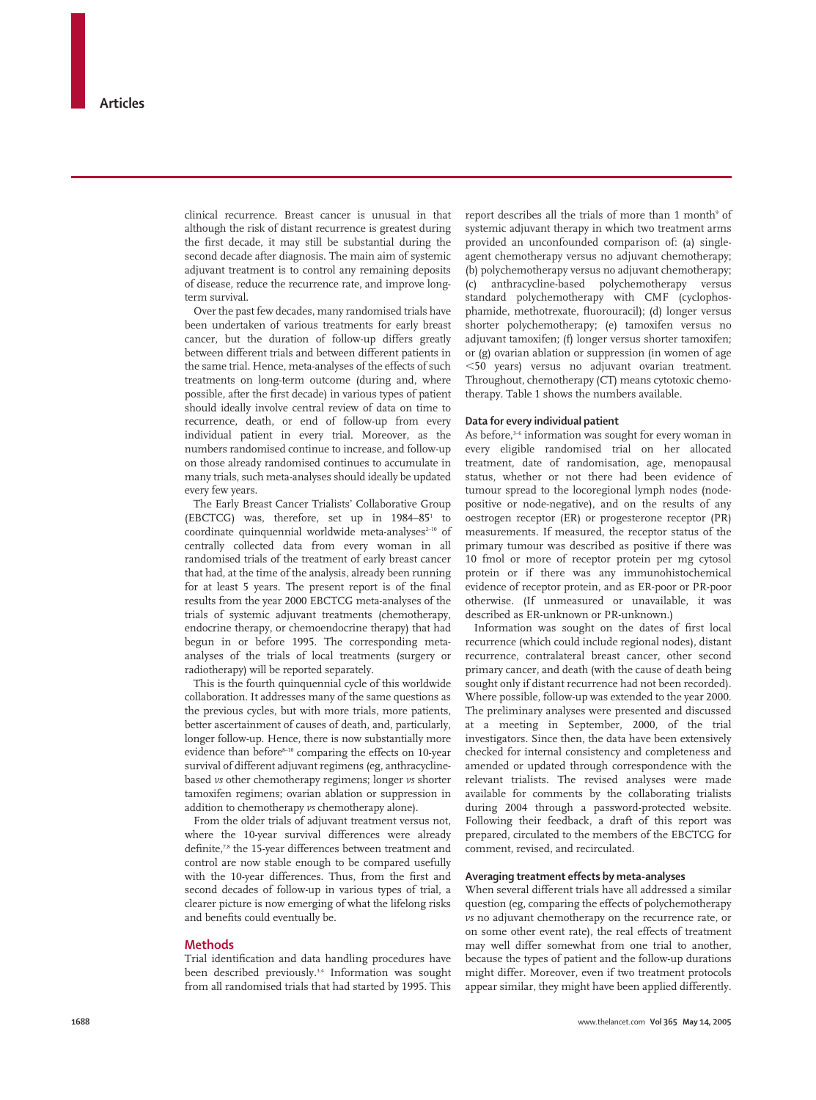clinical recurrence. Breast cancer is unusual in that although the risk of distant recurrence is greatest during the first decade, it may still be substantial during the second decade after diagnosis. The main aim of systemic adjuvant treatment is to control any remaining deposits of disease, reduce the recurrence rate, and improve longterm survival.

Over the past few decades, many randomised trials have been undertaken of various treatments for early breast cancer, but the duration of follow-up differs greatly between different trials and between different patients in the same trial. Hence, meta-analyses of the effects of such treatments on long-term outcome (during and, where possible, after the first decade) in various types of patient should ideally involve central review of data on time to recurrence, death, or end of follow-up from every individual patient in every trial. Moreover, as the numbers randomised continue to increase, and follow-up on those already randomised continues to accumulate in many trials, such meta-analyses should ideally be updated every few years.

The Early Breast Cancer Trialists' Collaborative Group (EBCTCG) was, therefore, set up in  $1984-85$ <sup>1</sup> to coordinate quinquennial worldwide meta-analyses $2-10$  of centrally collected data from every woman in all randomised trials of the treatment of early breast cancer that had, at the time of the analysis, already been running for at least 5 years. The present report is of the final results from the year 2000 EBCTCG meta-analyses of the trials of systemic adjuvant treatments (chemotherapy, endocrine therapy, or chemoendocrine therapy) that had begun in or before 1995. The corresponding metaanalyses of the trials of local treatments (surgery or radiotherapy) will be reported separately.

This is the fourth quinquennial cycle of this worldwide collaboration. It addresses many of the same questions as the previous cycles, but with more trials, more patients, better ascertainment of causes of death, and, particularly, longer follow-up. Hence, there is now substantially more evidence than before<sup>8-10</sup> comparing the effects on 10-year survival of different adjuvant regimens (eg, anthracyclinebased *vs* other chemotherapy regimens; longer *vs* shorter tamoxifen regimens; ovarian ablation or suppression in addition to chemotherapy *vs* chemotherapy alone).

From the older trials of adjuvant treatment versus not, where the 10-year survival differences were already definite,<sup>7,8</sup> the 15-year differences between treatment and control are now stable enough to be compared usefully with the 10-year differences. Thus, from the first and second decades of follow-up in various types of trial, a clearer picture is now emerging of what the lifelong risks and benefits could eventually be.

#### **Methods**

Trial identification and data handling procedures have been described previously.<sup>3,4</sup> Information was sought from all randomised trials that had started by 1995. This report describes all the trials of more than 1 month<sup>9</sup> of systemic adjuvant therapy in which two treatment arms provided an unconfounded comparison of: (a) singleagent chemotherapy versus no adjuvant chemotherapy; (b) polychemotherapy versus no adjuvant chemotherapy; (c) anthracycline-based polychemotherapy versus standard polychemotherapy with CMF (cyclophosphamide, methotrexate, fluorouracil); (d) longer versus shorter polychemotherapy; (e) tamoxifen versus no adjuvant tamoxifen; (f) longer versus shorter tamoxifen; or (g) ovarian ablation or suppression (in women of age -50 years) versus no adjuvant ovarian treatment. Throughout, chemotherapy (CT) means cytotoxic chemotherapy. Table 1 shows the numbers available.

## **Data for every individual patient**

As before,<sup>3-6</sup> information was sought for every woman in every eligible randomised trial on her allocated treatment, date of randomisation, age, menopausal status, whether or not there had been evidence of tumour spread to the locoregional lymph nodes (nodepositive or node-negative), and on the results of any oestrogen receptor (ER) or progesterone receptor (PR) measurements. If measured, the receptor status of the primary tumour was described as positive if there was 10 fmol or more of receptor protein per mg cytosol protein or if there was any immunohistochemical evidence of receptor protein, and as ER-poor or PR-poor otherwise. (If unmeasured or unavailable, it was described as ER-unknown or PR-unknown.)

Information was sought on the dates of first local recurrence (which could include regional nodes), distant recurrence, contralateral breast cancer, other second primary cancer, and death (with the cause of death being sought only if distant recurrence had not been recorded). Where possible, follow-up was extended to the year 2000. The preliminary analyses were presented and discussed at a meeting in September, 2000, of the trial investigators. Since then, the data have been extensively checked for internal consistency and completeness and amended or updated through correspondence with the relevant trialists. The revised analyses were made available for comments by the collaborating trialists during 2004 through a password-protected website. Following their feedback, a draft of this report was prepared, circulated to the members of the EBCTCG for comment, revised, and recirculated.

# **Averaging treatment effects by meta-analyses**

When several different trials have all addressed a similar question (eg, comparing the effects of polychemotherapy *vs* no adjuvant chemotherapy on the recurrence rate, or on some other event rate), the real effects of treatment may well differ somewhat from one trial to another, because the types of patient and the follow-up durations might differ. Moreover, even if two treatment protocols appear similar, they might have been applied differently.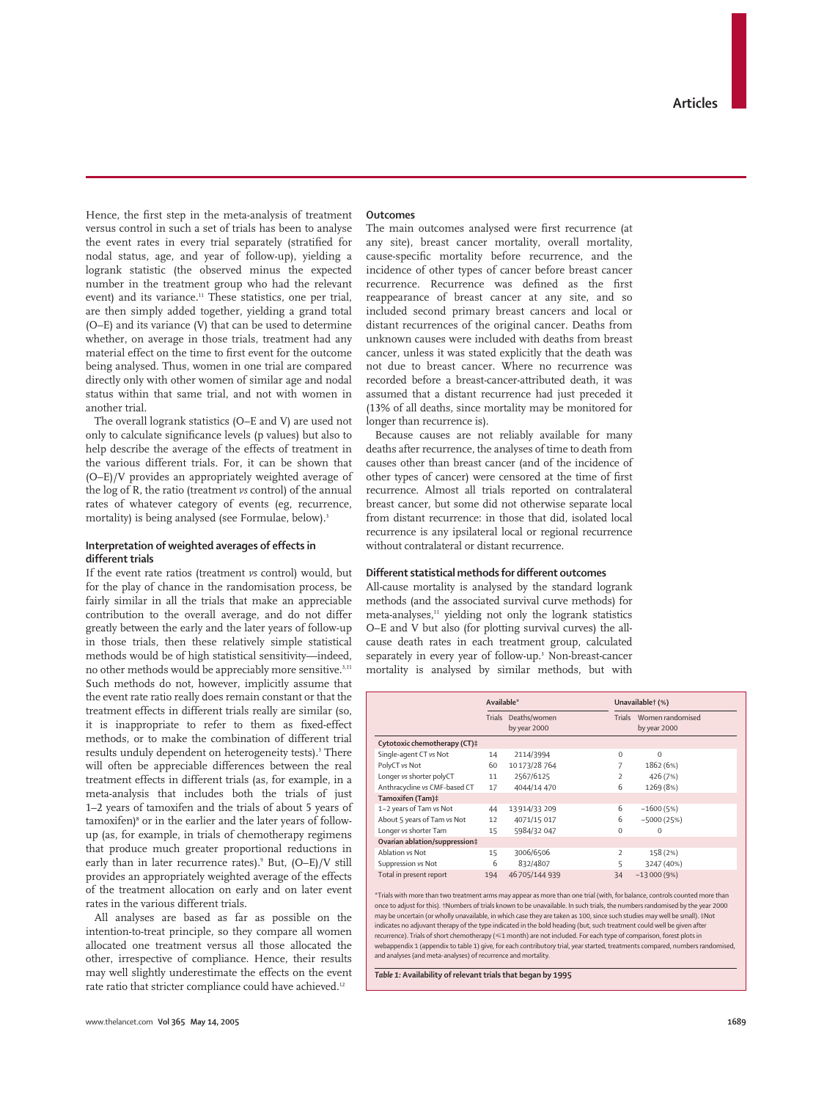Hence, the first step in the meta-analysis of treatment versus control in such a set of trials has been to analyse the event rates in every trial separately (stratified for nodal status, age, and year of follow-up), yielding a logrank statistic (the observed minus the expected number in the treatment group who had the relevant event) and its variance.<sup>11</sup> These statistics, one per trial, are then simply added together, yielding a grand total (O–E) and its variance (V) that can be used to determine whether, on average in those trials, treatment had any material effect on the time to first event for the outcome being analysed. Thus, women in one trial are compared directly only with other women of similar age and nodal status within that same trial, and not with women in another trial.

The overall logrank statistics (O–E and V) are used not only to calculate significance levels (p values) but also to help describe the average of the effects of treatment in the various different trials. For, it can be shown that (O–E)/V provides an appropriately weighted average of the log of R, the ratio (treatment *vs* control) of the annual rates of whatever category of events (eg, recurrence, mortality) is being analysed (see Formulae, below).<sup>3</sup>

## **Interpretation of weighted averages of effects in different trials**

If the event rate ratios (treatment *vs* control) would, but for the play of chance in the randomisation process, be fairly similar in all the trials that make an appreciable contribution to the overall average, and do not differ greatly between the early and the later years of follow-up in those trials, then these relatively simple statistical methods would be of high statistical sensitivity—indeed, no other methods would be appreciably more sensitive.<sup>3,11</sup> Such methods do not, however, implicitly assume that the event rate ratio really does remain constant or that the treatment effects in different trials really are similar (so, it is inappropriate to refer to them as fixed-effect methods, or to make the combination of different trial results unduly dependent on heterogeneity tests).<sup>3</sup> There will often be appreciable differences between the real treatment effects in different trials (as, for example, in a meta-analysis that includes both the trials of just 1–2 years of tamoxifen and the trials of about 5 years of tamoxifen)<sup>8</sup> or in the earlier and the later years of followup (as, for example, in trials of chemotherapy regimens that produce much greater proportional reductions in early than in later recurrence rates).<sup>9</sup> But,  $(O-E)/V$  still provides an appropriately weighted average of the effects of the treatment allocation on early and on later event rates in the various different trials.

All analyses are based as far as possible on the intention-to-treat principle, so they compare all women allocated one treatment versus all those allocated the other, irrespective of compliance. Hence, their results may well slightly underestimate the effects on the event rate ratio that stricter compliance could have achieved.<sup>12</sup>

# **Outcomes**

The main outcomes analysed were first recurrence (at any site), breast cancer mortality, overall mortality, cause-specific mortality before recurrence, and the incidence of other types of cancer before breast cancer recurrence. Recurrence was defined as the first reappearance of breast cancer at any site, and so included second primary breast cancers and local or distant recurrences of the original cancer. Deaths from unknown causes were included with deaths from breast cancer, unless it was stated explicitly that the death was not due to breast cancer. Where no recurrence was recorded before a breast-cancer-attributed death, it was assumed that a distant recurrence had just preceded it (13% of all deaths, since mortality may be monitored for longer than recurrence is).

Because causes are not reliably available for many deaths after recurrence, the analyses of time to death from causes other than breast cancer (and of the incidence of other types of cancer) were censored at the time of first recurrence. Almost all trials reported on contralateral breast cancer, but some did not otherwise separate local from distant recurrence: in those that did, isolated local recurrence is any ipsilateral local or regional recurrence without contralateral or distant recurrence.

# **Different statistical methods for different outcomes**

All-cause mortality is analysed by the standard logrank methods (and the associated survival curve methods) for meta-analyses,<sup>11</sup> yielding not only the logrank statistics O–E and V but also (for plotting survival curves) the allcause death rates in each treatment group, calculated separately in every year of follow-up.<sup>3</sup> Non-breast-cancer mortality is analysed by similar methods, but with

|                               | Available* |                              |                | Unavailablet (%)                        |
|-------------------------------|------------|------------------------------|----------------|-----------------------------------------|
|                               | Trials     | Deaths/women<br>by year 2000 |                | Trials Women randomised<br>by year 2000 |
| Cytotoxic chemotherapy (CT)‡  |            |                              |                |                                         |
| Single-agent CT vs Not        | 14         | 2114/3994                    | $\mathbf 0$    | $\Omega$                                |
| PolyCT vs Not                 | 60         | 10 173/28 764                | 7              | 1862 (6%)                               |
| Longer vs shorter polyCT      | 11         | 2567/6125                    | $\overline{2}$ | 426 (7%)                                |
| Anthracycline vs CMF-based CT | 17         | 4044/14 470                  | 6              | 1269 (8%)                               |
| Tamoxifen (Tam)‡              |            |                              |                |                                         |
| 1-2 years of Tam vs Not       | 44         | 13914/33209                  | 6              | ~1600(5%)                               |
| About 5 years of Tam vs Not   | 12         | 4071/15 017                  | 6              | ~5000(25%)                              |
| Longer vs shorter Tam         | 15         | 5984/32 047                  | $\mathbf 0$    | $\Omega$                                |
| Ovarian ablation/suppression‡ |            |                              |                |                                         |
| Ablation vs Not               | 15         | 3006/6506                    | $\overline{2}$ | 158 (2%)                                |
| Suppression vs Not            | 6          | 832/4807                     | 5              | 3247 (40%)                              |
| Total in present report       | 194        | 46705/144939                 | 34             | ~13000(9%)                              |

\*Trials with more than two treatment arms may appear as more than one trial (with, for balance, controls counted more than once to adjust for this). †Numbers of trials known to be unavailable. In such trials, the numbers randomised by the year 2000 may be uncertain (or wholly unavailable, in which case they are taken as 100, since such studies may well be small). ‡Not indicates no adjuvant therapy of the type indicated in the bold heading (but, such treatment could well be given after<br>recurrence). Trials of short chemotherapy (≤1 month) are not included. For each type of comparison, fo webappendix 1 (appendix to table 1) give, for each contributory trial, year started, treatments compared, numbers randomised, and analyses (and meta-analyses) of recurrence and mortality.

*Table 1:* **Availability of relevant trials that began by 1995**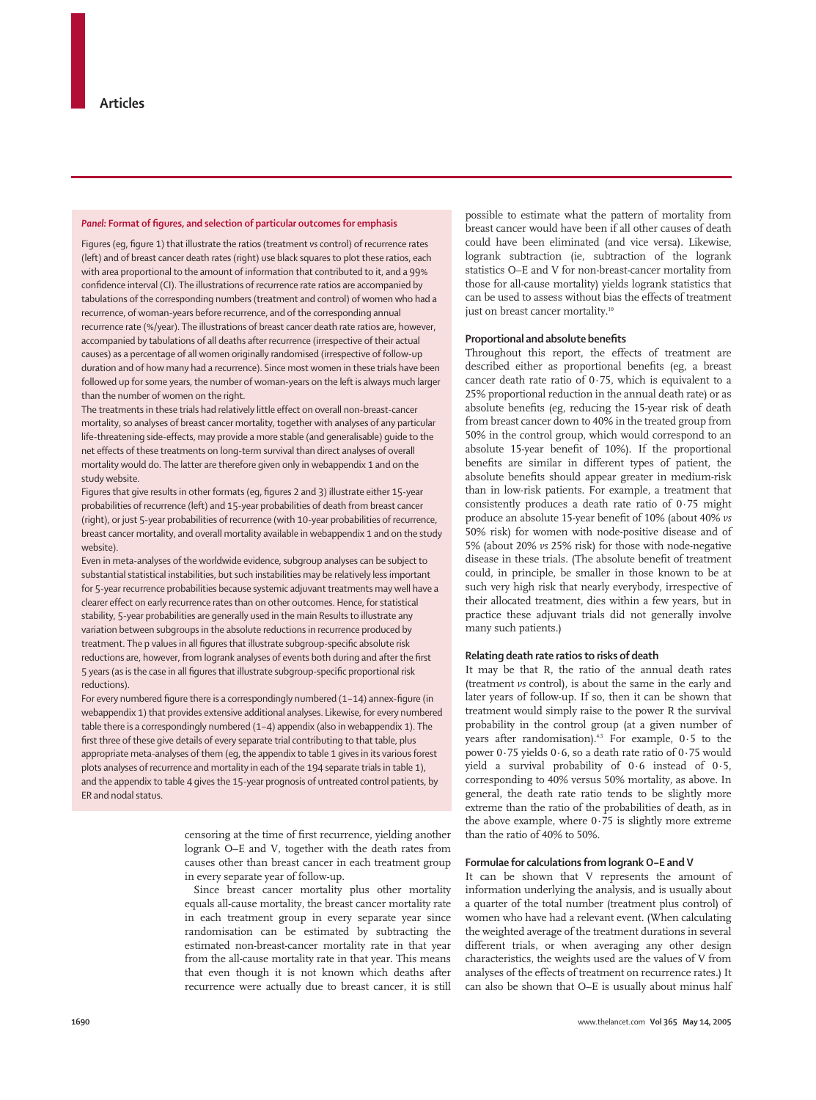#### *Panel:* **Format of figures, and selection of particular outcomes for emphasis**

Figures (eg, figure 1) that illustrate the ratios (treatment *vs*control) of recurrence rates (left) and of breast cancer death rates (right) use black squares to plot these ratios, each with area proportional to the amount of information that contributed to it, and a 99% confidence interval (CI). The illustrations of recurrence rate ratios are accompanied by tabulations of the corresponding numbers (treatment and control) of women who had a recurrence, of woman-years before recurrence, and of the corresponding annual recurrence rate (%/year). The illustrations of breast cancer death rate ratios are, however, accompanied by tabulations of all deaths after recurrence (irrespective of their actual causes) as a percentage of all women originally randomised (irrespective of follow-up duration and of how many had a recurrence). Since most women in these trials have been followed up for some years, the number of woman-years on the left is always much larger than the number of women on the right.

The treatments in these trials had relatively little effect on overall non-breast-cancer mortality, so analyses of breast cancer mortality, together with analyses of any particular life-threatening side-effects, may provide a more stable (and generalisable) guide to the net effects of these treatments on long-term survival than direct analyses of overall mortality would do. The latter are therefore given only in webappendix 1 and on the study website.

Figures that give results in other formats (eg, figures 2 and 3) illustrate either 15-year probabilities of recurrence (left) and 15-year probabilities of death from breast cancer (right), or just 5-year probabilities of recurrence (with 10-year probabilities of recurrence, breast cancer mortality, and overall mortality available in webappendix 1 and on the study website).

Even in meta-analyses of the worldwide evidence, subgroup analyses can be subject to substantial statistical instabilities, but such instabilities may be relatively less important for 5-year recurrence probabilities because systemic adjuvant treatments may well have a clearer effect on early recurrence rates than on other outcomes. Hence, for statistical stability, 5-year probabilities are generally used in the main Results to illustrate any variation between subgroups in the absolute reductions in recurrence produced by treatment. The p values in all figures that illustrate subgroup-specific absolute risk reductions are, however, from logrank analyses of events both during and after the first 5 years (as is the case in all figures that illustrate subgroup-specific proportional risk reductions).

For every numbered figure there is a correspondingly numbered (1–14) annex-figure (in webappendix 1) that provides extensive additional analyses. Likewise, for every numbered table there is a correspondingly numbered (1–4) appendix (also in webappendix 1). The first three of these give details of every separate trial contributing to that table, plus appropriate meta-analyses of them (eg, the appendix to table 1 gives in its various forest plots analyses of recurrence and mortality in each of the 194 separate trials in table 1), and the appendix to table 4 gives the 15-year prognosis of untreated control patients, by ER and nodal status.

> censoring at the time of first recurrence, yielding another logrank O–E and V, together with the death rates from causes other than breast cancer in each treatment group in every separate year of follow-up.

> Since breast cancer mortality plus other mortality equals all-cause mortality, the breast cancer mortality rate in each treatment group in every separate year since randomisation can be estimated by subtracting the estimated non-breast-cancer mortality rate in that year from the all-cause mortality rate in that year. This means that even though it is not known which deaths after recurrence were actually due to breast cancer, it is still

possible to estimate what the pattern of mortality from breast cancer would have been if all other causes of death could have been eliminated (and vice versa). Likewise, logrank subtraction (ie, subtraction of the logrank statistics O–E and V for non-breast-cancer mortality from those for all-cause mortality) yields logrank statistics that can be used to assess without bias the effects of treatment just on breast cancer mortality.<sup>10</sup>

## **Proportional and absolute benefits**

Throughout this report, the effects of treatment are described either as proportional benefits (eg, a breast cancer death rate ratio of  $0.75$ , which is equivalent to a 25% proportional reduction in the annual death rate) or as absolute benefits (eg, reducing the 15-year risk of death from breast cancer down to 40% in the treated group from 50% in the control group, which would correspond to an absolute 15-year benefit of 10%). If the proportional benefits are similar in different types of patient, the absolute benefits should appear greater in medium-risk than in low-risk patients. For example, a treatment that consistently produces a death rate ratio of 0·75 might produce an absolute 15-year benefit of 10% (about 40% *vs* 50% risk) for women with node-positive disease and of 5% (about 20% *vs* 25% risk) for those with node-negative disease in these trials. (The absolute benefit of treatment could, in principle, be smaller in those known to be at such very high risk that nearly everybody, irrespective of their allocated treatment, dies within a few years, but in practice these adjuvant trials did not generally involve many such patients.)

## **Relating death rate ratios to risks of death**

It may be that R, the ratio of the annual death rates (treatment *vs* control), is about the same in the early and later years of follow-up. If so, then it can be shown that treatment would simply raise to the power R the survival probability in the control group (at a given number of years after randomisation).<sup>4,5</sup> For example,  $0.5$  to the power 0·75 yields 0·6, so a death rate ratio of 0·75 would yield a survival probability of 0·6 instead of 0·5, corresponding to 40% versus 50% mortality, as above. In general, the death rate ratio tends to be slightly more extreme than the ratio of the probabilities of death, as in the above example, where  $0.75$  is slightly more extreme than the ratio of 40% to 50%.

# **Formulae for calculations from logrank O–E and V**

It can be shown that V represents the amount of information underlying the analysis, and is usually about a quarter of the total number (treatment plus control) of women who have had a relevant event. (When calculating the weighted average of the treatment durations in several different trials, or when averaging any other design characteristics, the weights used are the values of V from analyses of the effects of treatment on recurrence rates.) It can also be shown that O–E is usually about minus half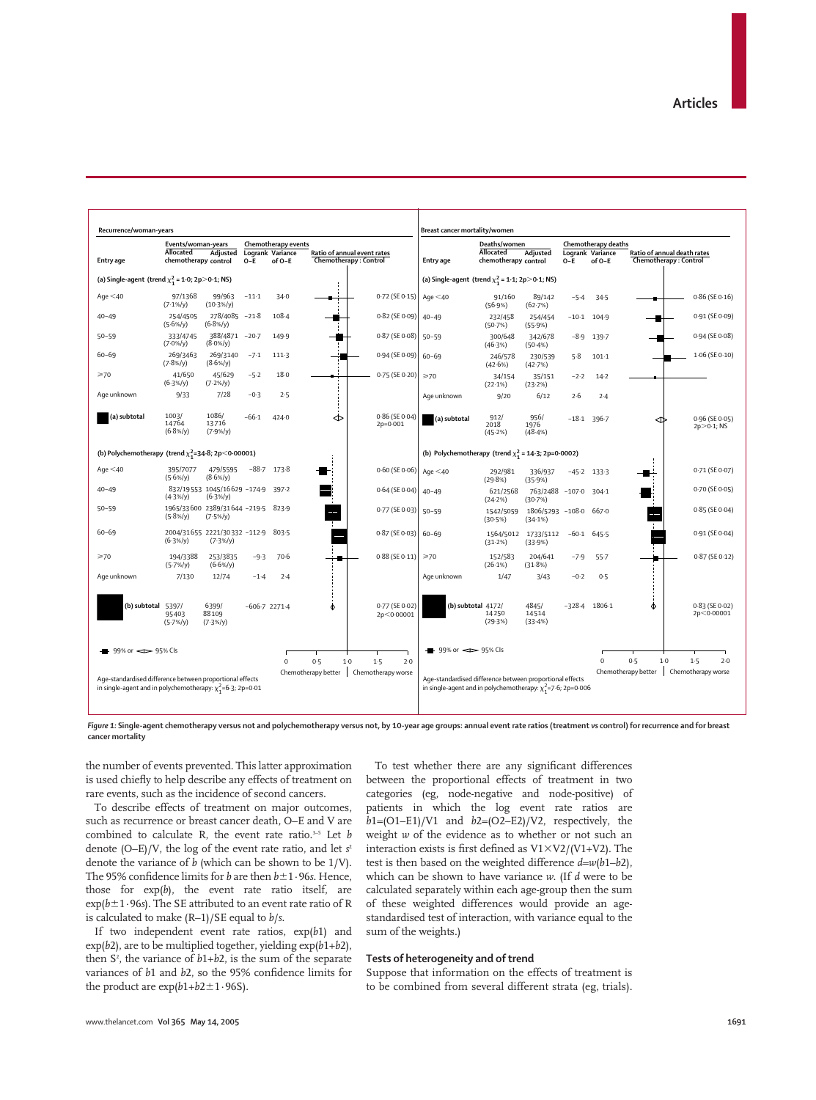| Recurrence/woman-years                                                                                                        |                                   |                                                   |                 |                            |                                     |                                                      | Breast cancer mortality/women                                                                                                  |                                          |                                  |        |                            |                                     |                                                      |
|-------------------------------------------------------------------------------------------------------------------------------|-----------------------------------|---------------------------------------------------|-----------------|----------------------------|-------------------------------------|------------------------------------------------------|--------------------------------------------------------------------------------------------------------------------------------|------------------------------------------|----------------------------------|--------|----------------------------|-------------------------------------|------------------------------------------------------|
|                                                                                                                               | Events/woman-years                |                                                   |                 | Chemotherapy events        |                                     |                                                      |                                                                                                                                | Deaths/women<br>Allocated                |                                  |        | Chemotherapy deaths        |                                     |                                                      |
| <b>Entry age</b>                                                                                                              | Allocated<br>chemotherapy control | Adjusted                                          | $O-E$           | Logrank Variance<br>of O-E |                                     | Ratio of annual event rates<br>Chemotherapy: Control | Entry age                                                                                                                      | chemotherapy control                     | Adjusted                         | $O-E$  | Logrank Variance<br>of O-E |                                     | Ratio of annual death rates<br>Chemotherapy: Control |
| (a) Single-agent (trend $\chi^2$ = 1.0; 2p>0.1; NS)                                                                           |                                   |                                                   |                 |                            |                                     |                                                      | (a) Single-agent (trend $\chi^2$ = 1.1; 2p>0.1; NS)                                                                            |                                          |                                  |        |                            |                                     |                                                      |
| Age $\leq$ 40                                                                                                                 | 97/1368<br>$(7.1\%/y)$            | 99/963<br>$(10.3\%/y)$                            | $-11-1$         | 34.0                       |                                     | $0.72$ (SE 0.15)                                     | Age $\leq$ 40                                                                                                                  | 91/160<br>(56.9%)                        | 89/142<br>(62.7%)                | $-5.4$ | $34-5$                     |                                     | $0.86$ (SE $0.16$ )                                  |
| $40 - 49$                                                                                                                     | 254/4505<br>$(5.6\%/y)$           | 278/4085 -21-8<br>$(6.8\%/y)$                     |                 | 108.4                      |                                     | 0.82 (SE 0.09)                                       | $40 - 49$                                                                                                                      | 232/458<br>(50.7%)                       | 254/454<br>(55.9%)               |        | $-10.1$ 104.9              |                                     | 0.91 (SE 0.09)                                       |
| $50 - 59$                                                                                                                     | 333/4745<br>$(7.0\%/y)$           | 388/4871 -20-7<br>$(8.0\%/y)$                     |                 | 149.9                      |                                     | $0.87$ (SE 0.08)                                     | $50 - 59$                                                                                                                      | 300/648<br>(46.3%)                       | 342/678<br>(50.4% )              |        | $-8.9$ 139.7               |                                     | 0.94 (SE 0.08)                                       |
| 60-69                                                                                                                         | 269/3463<br>$(7.8\%/y)$           | 269/3140<br>$(8.6\%/y)$                           | $-7.1$          | $111-3$                    |                                     | 0.94 (SE 0.09)                                       | $60 - 69$                                                                                                                      | 246/578<br>(42.6%)                       | 230/539<br>(42.7%)               | 5.8    | $101-1$                    |                                     | $1.06$ (SE 0.10)                                     |
| $\geq 70$                                                                                                                     | 41/650<br>$(6.3\%/y)$             | 45/629<br>(7.2%)                                  | $-5.2$          | 18.0                       |                                     | 0.75 (SE 0.20)                                       | $\geq 70$                                                                                                                      | 34/154<br>(22.1%)                        | 35/151<br>(23.2%)                | $-2.2$ | $14-2$                     |                                     |                                                      |
| Age unknown                                                                                                                   | 9/33                              | 7/28                                              | $-0.3$          | 2.5                        |                                     |                                                      | Age unknown                                                                                                                    | 9/20                                     | 6/12                             | 2.6    | $2-4$                      |                                     |                                                      |
| (a) subtotal                                                                                                                  | 1003/<br>14764<br>$(6.8%$ /y)     | 1086/<br>13716<br>$(7.9\%/y)$                     | $-66.1$         | 424.0                      |                                     | $0.86$ (SE $0.04$ )<br>$2p=0.001$                    | (a) subtotal                                                                                                                   | 912/<br>2018<br>(45.2%)                  | 956/<br>1976<br>(48.4%)          |        | $-18.1$ 396.7              | 虛                                   | $0.96$ (SE $0.05$ )<br>$2p > 0.1$ ; NS               |
| (b) Polychemotherapy (trend $\chi_1^2$ =34.8; 2p<0.00001)                                                                     |                                   |                                                   |                 |                            |                                     |                                                      | (b) Polychemotherapy (trend $\chi^2$ = 14.3; 2p=0.0002)                                                                        |                                          |                                  |        |                            |                                     |                                                      |
| Age $\leq$ 40                                                                                                                 | 395/7077<br>$(5.6\%/y)$           | 479/5595<br>$(8.6\%/y)$                           |                 | $-88.7$ 173.8              |                                     | $0.60$ (SE $0.06$ )                                  | Age $<$ 40                                                                                                                     | 292/981<br>(29.8%)                       | 336/937<br>(35.9%)               |        | $-45.2$ 133.3              |                                     | 0.71 (SE 0.07)                                       |
| $40 - 49$                                                                                                                     | $(4.3\%/y)$                       | 832/19553 1045/16629 -174-9 397-2<br>$(6.3\%/y)$  |                 |                            |                                     | $0.64$ (SE $0.04$ )                                  | $40 - 49$                                                                                                                      | 621/2568<br>(24.2%)                      | 763/2488 -107.0 304.1<br>(30.7%) |        |                            |                                     | 0.70 (SE 0.05)                                       |
| $50 - 59$                                                                                                                     | $(5.8\%/y)$                       | 1965/33600 2389/31644 -219-5 823-9<br>(7.5%)y)    |                 |                            |                                     | 0-77 (SE 0-03)                                       | $50 - 59$                                                                                                                      | 1542/5059<br>(30.5%)                     | 1806/5293 -1080 6670<br>(34.1%)  |        |                            |                                     | $0.85$ (SE $0.04$ )                                  |
| $60 - 69$                                                                                                                     | $(6.3\%/y)$                       | 2004/31655 2221/30332 -112-9 803-5<br>$(7.3\%/y)$ |                 |                            |                                     | $0.87$ (SE 0.03)                                     | $60 - 69$                                                                                                                      | (31.2%)                                  | 1564/5012 1733/5112<br>(33.9%)   |        | $-60.1$ 645.5              |                                     | 0-91 (SE 0-04)                                       |
| $\geq 70$                                                                                                                     | 194/3388<br>(5.7%)y)              | 253/3835<br>$(6.6\%$ /y)                          | $-9.3$          | 70.6                       |                                     | $0.88$ (SE $0.11$ )                                  | $\geq 70$                                                                                                                      | 152/583<br>(26.1%)                       | 204/641<br>(31.8%)               | -7.9   | $55 - 7$                   |                                     | 0.87 (SE 0.12)                                       |
| Age unknown                                                                                                                   | 7/130                             | 12/74                                             | $-1.4$          | 2.4                        |                                     |                                                      | Age unknown                                                                                                                    | 1/47                                     | 3/43                             | $-0.2$ | 0.5                        |                                     |                                                      |
| (b) subtotal                                                                                                                  | 5397/<br>95403<br>(5.7%)          | 6399/<br>88109<br>(7.3%)                          | $-606.7$ 2271.4 |                            |                                     | 0.77 (SE 0.02)<br>2p<0.00001                         |                                                                                                                                | (b) subtotal $4172/$<br>14250<br>(29.3%) | 4845/<br>14514<br>(33.4%)        |        | $-328.4$ 1806.1            | Þ                                   | 0.83 (SE 0.02)<br>2p<0.00001                         |
| $\rightarrow$ 99% or $\leftarrow$ 95% Cls                                                                                     |                                   |                                                   |                 |                            |                                     |                                                      | 99% or $\leftarrow$ 95% Cls                                                                                                    |                                          |                                  |        | $\Omega$                   |                                     |                                                      |
| Age-standardised difference between proportional effects<br>in single-agent and in polychemotherapy: $\chi^2_1$ =6.3; 2p=0.01 |                                   |                                                   |                 | $\Omega$                   | 0.5<br>$1-0$<br>Chemotherapy better | 1.5<br>$2-0$<br>Chemotherapy worse                   | Age-standardised difference between proportional effects<br>in single-agent and in polychemotherapy: $\chi_1^2$ =7.6; 2p=0.006 |                                          |                                  |        |                            | 0.5<br>$1-0$<br>Chemotherapy better | 1.5<br>$2-0$<br>Chemotherapy worse                   |

*Figure 1:* **Single-agent chemotherapy versus not and polychemotherapy versus not, by 10-year age groups: annual event rate ratios (treatment** *vs* **control) for recurrence and for breast cancer mortality**

the number of events prevented. This latter approximation is used chiefly to help describe any effects of treatment on rare events, such as the incidence of second cancers.

To describe effects of treatment on major outcomes, such as recurrence or breast cancer death, O–E and V are combined to calculate R, the event rate ratio.<sup>3-5</sup> Let *b* denote (O–E)/V, the log of the event rate ratio, and let *s* 2 denote the variance of *b* (which can be shown to be 1/V). The 95% confidence limits for *b* are then  $b \pm 1.96$ *s*. Hence, those for exp(*b*), the event rate ratio itself, are  $\exp(b\pm1.96s)$ . The SE attributed to an event rate ratio of R is calculated to make (R–1)/SE equal to *b*/*s*.

If two independent event rate ratios, exp(*b*1) and exp(*b*2), are to be multiplied together, yielding exp(*b*1+*b*2), then  $S^2$ , the variance of  $b1+b2$ , is the sum of the separate variances of *b*1 and *b*2, so the 95% confidence limits for the product are  $exp(b1+b2\pm1.96S)$ .

To test whether there are any significant differences between the proportional effects of treatment in two categories (eg, node-negative and node-positive) of patients in which the log event rate ratios are *b*1=(O1–E1)/V1 and *b*2=(O2–E2)/V2, respectively, the weight *w* of the evidence as to whether or not such an interaction exists is first defined as  $V1 \times V2/(V1+V2)$ . The test is then based on the weighted difference *d*=*w*(*b*1–*b*2), which can be shown to have variance *w*. (If *d* were to be calculated separately within each age-group then the sum of these weighted differences would provide an agestandardised test of interaction, with variance equal to the sum of the weights.)

## **Tests of heterogeneity and of trend**

Suppose that information on the effects of treatment is to be combined from several different strata (eg, trials).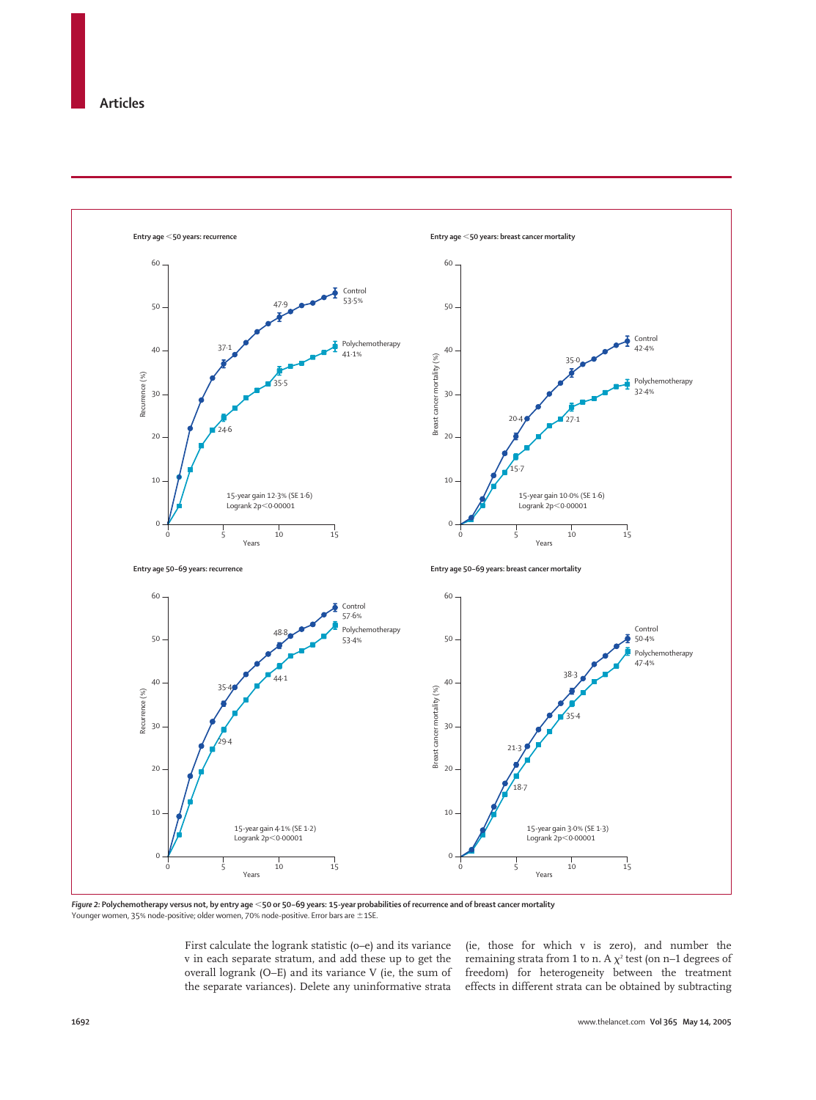

*Figure 2:* **Polychemotherapy versus not, by entry age** -**50 or 50–69 years: 15-year probabilities of recurrence and of breast cancer mortality** Younger women, 35% node-positive; older women, 70% node-positive. Error bars are ±1SE.

First calculate the logrank statistic (o–e) and its variance v in each separate stratum, and add these up to get the overall logrank (O–E) and its variance V (ie, the sum of the separate variances). Delete any uninformative strata effects in different strata can be obtained by subtracting

(ie, those for which v is zero), and number the remaining strata from 1 to n. A  $\chi^2$  test (on n–1 degrees of freedom) for heterogeneity between the treatment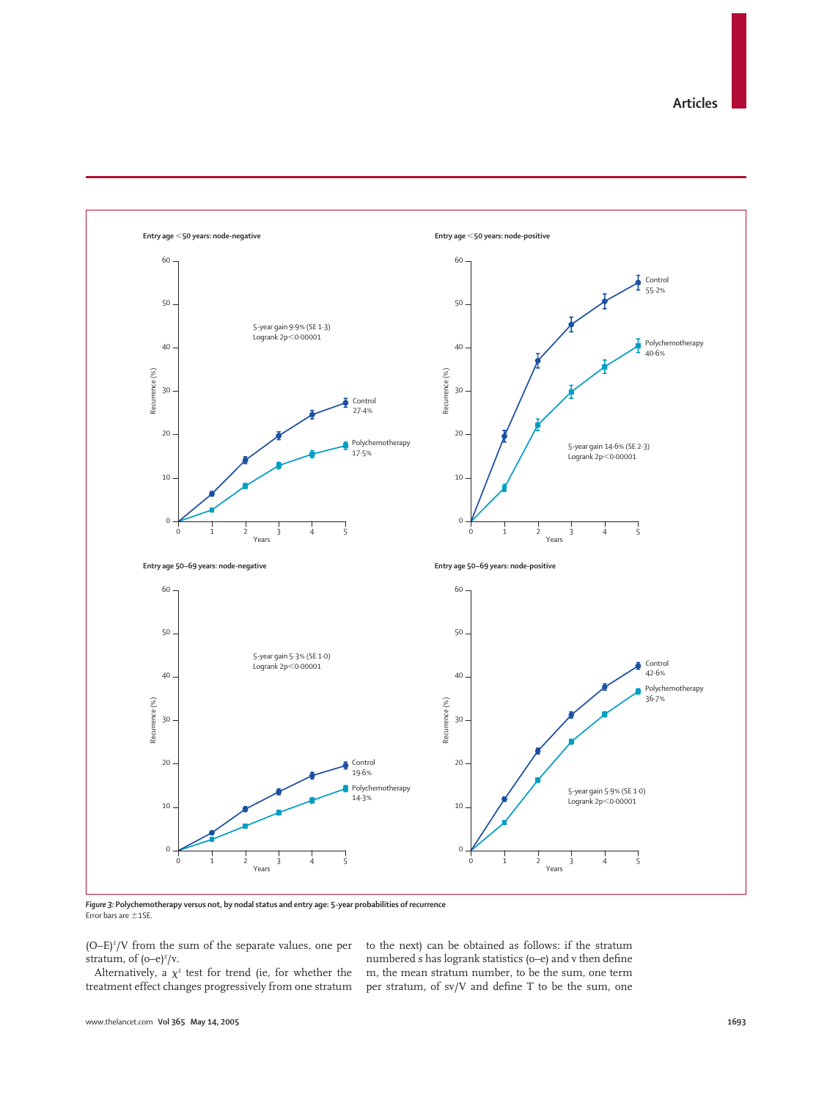

*Figure 3:* **Polychemotherapy versus not, by nodal status and entry age: 5-year probabilities of recurrence**  Error bars are  $\pm$  1SE.

 $(O-E)^2/V$  from the sum of the separate values, one per stratum, of  $(o-e)^2/v$ . Alternatively, a  $\chi^{\scriptscriptstyle 2}$  test for trend (ie, for whether the

treatment effect changes progressively from one stratum

to the next) can be obtained as follows: if the stratum numbered s has logrank statistics (o–e) and v then define m, the mean stratum number, to be the sum, one term per stratum, of sv/V and define T to be the sum, one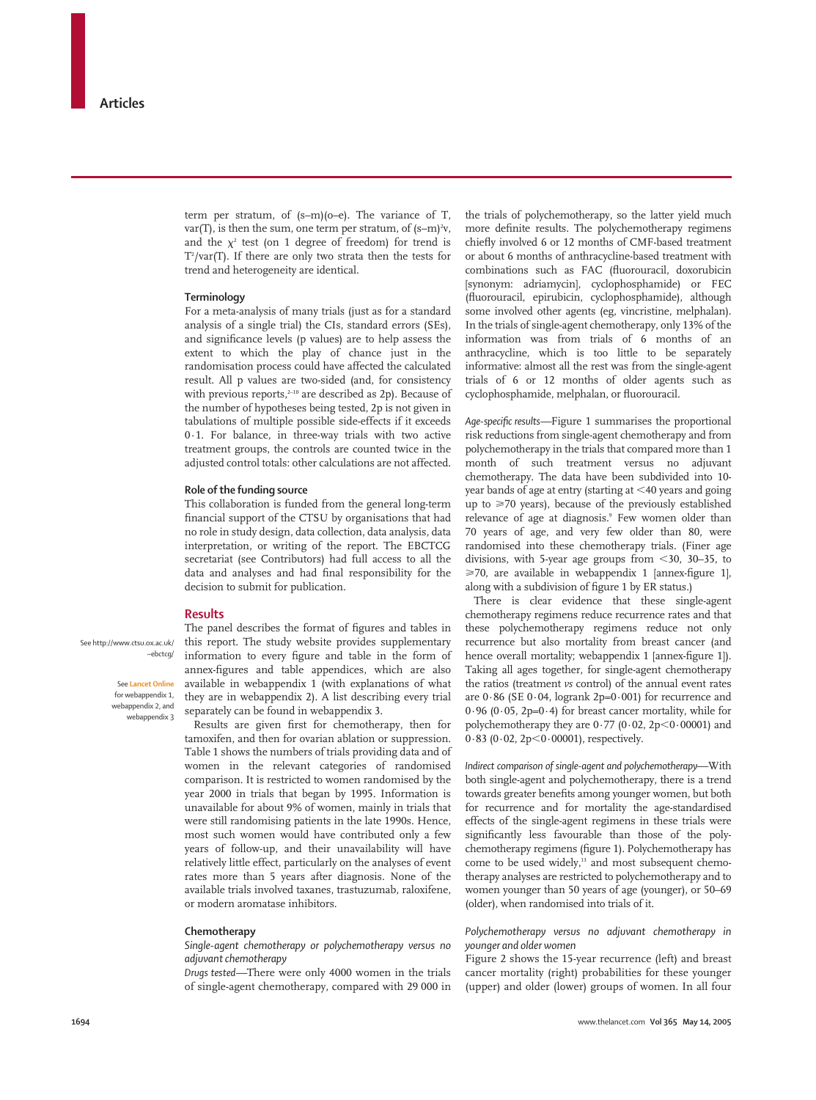term per stratum, of (s–m)(o–e). The variance of T, var(T), is then the sum, one term per stratum, of (s–m)<sup>2</sup>v, and the  $x^2$  test (on 1 degree of freedom) for trend is T2 /var(T). If there are only two strata then the tests for trend and heterogeneity are identical.

# **Terminology**

For a meta-analysis of many trials (just as for a standard analysis of a single trial) the CIs, standard errors (SEs), and significance levels (p values) are to help assess the extent to which the play of chance just in the randomisation process could have affected the calculated result. All p values are two-sided (and, for consistency with previous reports, $2-10$  are described as 2p). Because of the number of hypotheses being tested, 2p is not given in tabulations of multiple possible side-effects if it exceeds 0·1. For balance, in three-way trials with two active treatment groups, the controls are counted twice in the adjusted control totals: other calculations are not affected.

## **Role of the funding source**

This collaboration is funded from the general long-term financial support of the CTSU by organisations that had no role in study design, data collection, data analysis, data interpretation, or writing of the report. The EBCTCG secretariat (see Contributors) had full access to all the data and analyses and had final responsibility for the decision to submit for publication.

### **Results**

See http://www.ctsu.ox.ac.uk/ ~ebctcg/

> See **Lancet Online** for webappendix 1, webappendix 2, and webappendix 3

The panel describes the format of figures and tables in this report. The study website provides supplementary information to every figure and table in the form of annex-figures and table appendices, which are also available in webappendix 1 (with explanations of what they are in webappendix 2). A list describing every trial separately can be found in webappendix 3.

Results are given first for chemotherapy, then for tamoxifen, and then for ovarian ablation or suppression. Table 1 shows the numbers of trials providing data and of women in the relevant categories of randomised comparison. It is restricted to women randomised by the year 2000 in trials that began by 1995. Information is unavailable for about 9% of women, mainly in trials that were still randomising patients in the late 1990s. Hence, most such women would have contributed only a few years of follow-up, and their unavailability will have relatively little effect, particularly on the analyses of event rates more than 5 years after diagnosis. None of the available trials involved taxanes, trastuzumab, raloxifene, or modern aromatase inhibitors.

### **Chemotherapy**

*Single-agent chemotherapy or polychemotherapy versus no adjuvant chemotherapy* 

*Drugs tested—*There were only 4000 women in the trials of single-agent chemotherapy, compared with 29 000 in

the trials of polychemotherapy, so the latter yield much more definite results. The polychemotherapy regimens chiefly involved 6 or 12 months of CMF-based treatment or about 6 months of anthracycline-based treatment with combinations such as FAC (fluorouracil, doxorubicin [synonym: adriamycin], cyclophosphamide) or FEC (fluorouracil, epirubicin, cyclophosphamide), although some involved other agents (eg, vincristine, melphalan). In the trials of single-agent chemotherapy, only 13% of the information was from trials of 6 months of an anthracycline, which is too little to be separately informative: almost all the rest was from the single-agent trials of 6 or 12 months of older agents such as cyclophosphamide, melphalan, or fluorouracil.

*Age-specific results—*Figure 1 summarises the proportional risk reductions from single-agent chemotherapy and from polychemotherapy in the trials that compared more than 1 month of such treatment versus no adjuvant chemotherapy. The data have been subdivided into 10 year bands of age at entry (starting at  $<$  40 years and going up to  $\geq$  70 years), because of the previously established relevance of age at diagnosis.<sup>9</sup> Few women older than 70 years of age, and very few older than 80, were randomised into these chemotherapy trials. (Finer age divisions, with 5-year age groups from  $\leq$  30, 30–35, to  $\geq$ 70, are available in webappendix 1 [annex-figure 1], along with a subdivision of figure 1 by ER status.)

There is clear evidence that these single-agent chemotherapy regimens reduce recurrence rates and that these polychemotherapy regimens reduce not only recurrence but also mortality from breast cancer (and hence overall mortality; webappendix 1 [annex-figure 1]). Taking all ages together, for single-agent chemotherapy the ratios (treatment *vs* control) of the annual event rates are  $0.86$  (SE  $0.04$ , logrank 2p= $0.001$ ) for recurrence and 0·96 (0·05, 2p=0·4) for breast cancer mortality, while for polychemotherapy they are  $0.77$  ( $0.02$ ,  $2p<0.00001$ ) and  $0.83$  (0 $0.02$ ,  $2p<0.00001$ ), respectively.

*Indirect comparison of single-agent and polychemotherapy*—With both single-agent and polychemotherapy, there is a trend towards greater benefits among younger women, but both for recurrence and for mortality the age-standardised effects of the single-agent regimens in these trials were significantly less favourable than those of the polychemotherapy regimens (figure 1). Polychemotherapy has come to be used widely,<sup>13</sup> and most subsequent chemotherapy analyses are restricted to polychemotherapy and to women younger than 50 years of age (younger), or 50–69 (older), when randomised into trials of it.

*Polychemotherapy versus no adjuvant chemotherapy in younger and older women* 

Figure 2 shows the 15-year recurrence (left) and breast cancer mortality (right) probabilities for these younger (upper) and older (lower) groups of women. In all four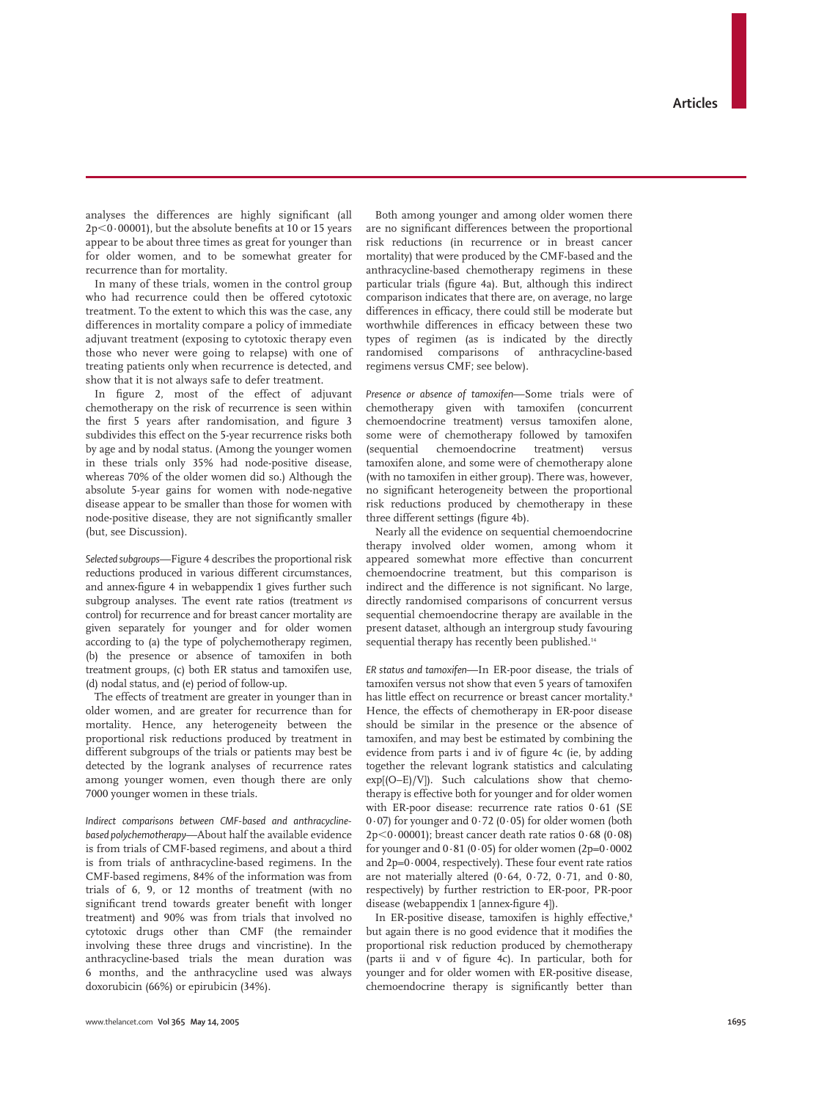analyses the differences are highly significant (all  $2p<$  0 $\cdot$  00001), but the absolute benefits at 10 or 15 years appear to be about three times as great for younger than for older women, and to be somewhat greater for recurrence than for mortality.

In many of these trials, women in the control group who had recurrence could then be offered cytotoxic treatment. To the extent to which this was the case, any differences in mortality compare a policy of immediate adjuvant treatment (exposing to cytotoxic therapy even those who never were going to relapse) with one of treating patients only when recurrence is detected, and show that it is not always safe to defer treatment.

In figure 2, most of the effect of adjuvant chemotherapy on the risk of recurrence is seen within the first 5 years after randomisation, and figure 3 subdivides this effect on the 5-year recurrence risks both by age and by nodal status. (Among the younger women in these trials only 35% had node-positive disease, whereas 70% of the older women did so.) Although the absolute 5-year gains for women with node-negative disease appear to be smaller than those for women with node-positive disease, they are not significantly smaller (but, see Discussion).

*Selected subgroups*—Figure 4 describes the proportional risk reductions produced in various different circumstances, and annex-figure 4 in webappendix 1 gives further such subgroup analyses. The event rate ratios (treatment *vs* control) for recurrence and for breast cancer mortality are given separately for younger and for older women according to (a) the type of polychemotherapy regimen, (b) the presence or absence of tamoxifen in both treatment groups, (c) both ER status and tamoxifen use, (d) nodal status, and (e) period of follow-up.

The effects of treatment are greater in younger than in older women, and are greater for recurrence than for mortality. Hence, any heterogeneity between the proportional risk reductions produced by treatment in different subgroups of the trials or patients may best be detected by the logrank analyses of recurrence rates among younger women, even though there are only 7000 younger women in these trials.

*Indirect comparisons between CMF-based and anthracyclinebased polychemotherapy*—About half the available evidence is from trials of CMF-based regimens, and about a third is from trials of anthracycline-based regimens. In the CMF-based regimens, 84% of the information was from trials of 6, 9, or 12 months of treatment (with no significant trend towards greater benefit with longer treatment) and 90% was from trials that involved no cytotoxic drugs other than CMF (the remainder involving these three drugs and vincristine). In the anthracycline-based trials the mean duration was 6 months, and the anthracycline used was always doxorubicin (66%) or epirubicin (34%).

Both among younger and among older women there are no significant differences between the proportional risk reductions (in recurrence or in breast cancer mortality) that were produced by the CMF-based and the anthracycline-based chemotherapy regimens in these particular trials (figure 4a). But, although this indirect comparison indicates that there are, on average, no large differences in efficacy, there could still be moderate but worthwhile differences in efficacy between these two types of regimen (as is indicated by the directly randomised comparisons of anthracycline-based regimens versus CMF; see below).

*Presence or absence of tamoxifen*—Some trials were of chemotherapy given with tamoxifen (concurrent chemoendocrine treatment) versus tamoxifen alone, some were of chemotherapy followed by tamoxifen<br>(sequential chemoendocrine treatment) versus chemoendocrine treatment) versus tamoxifen alone, and some were of chemotherapy alone (with no tamoxifen in either group). There was, however, no significant heterogeneity between the proportional risk reductions produced by chemotherapy in these three different settings (figure 4b).

Nearly all the evidence on sequential chemoendocrine therapy involved older women, among whom it appeared somewhat more effective than concurrent chemoendocrine treatment, but this comparison is indirect and the difference is not significant. No large, directly randomised comparisons of concurrent versus sequential chemoendocrine therapy are available in the present dataset, although an intergroup study favouring sequential therapy has recently been published.<sup>14</sup>

*ER status and tamoxifen*—In ER-poor disease, the trials of tamoxifen versus not show that even 5 years of tamoxifen has little effect on recurrence or breast cancer mortality.<sup>8</sup> Hence, the effects of chemotherapy in ER-poor disease should be similar in the presence or the absence of tamoxifen, and may best be estimated by combining the evidence from parts i and iv of figure 4c (ie, by adding together the relevant logrank statistics and calculating exp[(O–E)/V]). Such calculations show that chemotherapy is effective both for younger and for older women with ER-poor disease: recurrence rate ratios 0·61 (SE 0·07) for younger and 0·72 (0·05) for older women (both  $2p<0.00001$ ); breast cancer death rate ratios  $0.68$  (0.08) for younger and  $0.81$  (0 $0.05$ ) for older women (2p= $0.0002$ and  $2p=0.0004$ , respectively). These four event rate ratios are not materially altered  $(0.64, 0.72, 0.71,$  and  $0.80$ , respectively) by further restriction to ER-poor, PR-poor disease (webappendix 1 [annex-figure 4]).

In ER-positive disease, tamoxifen is highly effective,<sup>8</sup> but again there is no good evidence that it modifies the proportional risk reduction produced by chemotherapy (parts ii and v of figure 4c). In particular, both for younger and for older women with ER-positive disease, chemoendocrine therapy is significantly better than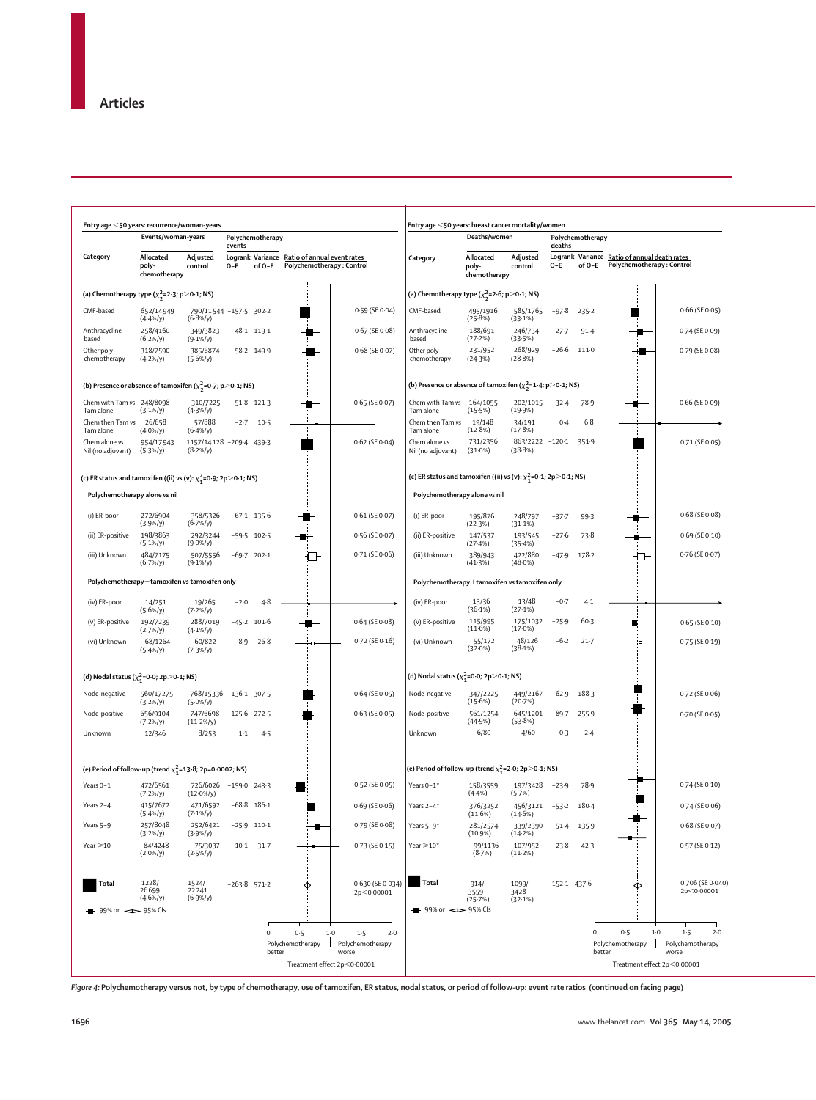| Entry age $<$ 50 years: recurrence/woman-years                         |                                       |                                             |                | Entry age $<$ 50 years: breast cancer mortality/women |                                                                           |                                             |                                                                          |                                    |                                |                |                       |                                                                            |                                           |  |
|------------------------------------------------------------------------|---------------------------------------|---------------------------------------------|----------------|-------------------------------------------------------|---------------------------------------------------------------------------|---------------------------------------------|--------------------------------------------------------------------------|------------------------------------|--------------------------------|----------------|-----------------------|----------------------------------------------------------------------------|-------------------------------------------|--|
|                                                                        | Events/woman-years                    |                                             | events         | Polychemotherapy                                      |                                                                           |                                             |                                                                          | Deaths/women                       |                                | deaths         | Polychemotherapy      |                                                                            |                                           |  |
| Category                                                               | Allocated<br>poly-<br>chemotherapy    | Adjusted<br>control                         | O-E            | of O-E                                                | Logrank Variance Ratio of annual event rates<br>Polychemotherapy: Control |                                             | Category                                                                 | Allocated<br>poly-<br>chemotherapy | Adjusted<br>control            | $O-E$          | of O–E                | Logrank Variance Ratio of annual death rates<br>Polychemotherapy : Control |                                           |  |
| (a) Chemotherapy type $(\chi^2_{2}=2.3; p\!>\!0.1; NS)$                |                                       |                                             |                |                                                       |                                                                           |                                             | (a) Chemotherapy type $(\chi^2_{2}=2.6; p\!>\!0.1; NS)$                  |                                    |                                |                |                       |                                                                            |                                           |  |
| CMF-based                                                              | 652/14949<br>(4.4%)y)                 | 790/11544 -157-5 302-2<br>(6.8%)            |                |                                                       |                                                                           | 0.59 (SE 0.04)                              | CMF-based                                                                | 495/1916<br>(25.8%)                | 585/1765<br>(33.1%)            | $-97.8$        | 235-2                 |                                                                            | $0.66$ (SE $0.05$ )                       |  |
| Anthracycline-<br>based                                                | 258/4160<br>(6.2%)                    | 349/3823                                    |                | $-48.1$ 119.1                                         |                                                                           | $0.67$ (SE $0.08$ )                         | Anthracycline-<br>based                                                  | 188/691<br>(27.2%)                 | 246/734<br>(33.5%)             | $-27.7$        | $91-4$                |                                                                            | 0.74 (SE 0.09)                            |  |
| Other poly-<br>chemotherapy                                            | 318/7590<br>$(4.2\%/y)$               | (9.1%)<br>385/6874<br>(5.6%)y)              | $-58.2$ 149.9  |                                                       |                                                                           | $0.68$ (SE $0.07$ )                         | Other poly-<br>chemotherapy                                              | 231/952<br>(24.3%)                 | 268/929<br>(28.8%)             | $-26.6$        | 111-0                 |                                                                            | $0.79$ (SE $0.08$ )                       |  |
| (b) Presence or absence of tamoxifen ( $\chi^2$ =0·7; p>0·1; NS)       |                                       |                                             |                |                                                       |                                                                           |                                             | (b) Presence or absence of tamoxifen ( $\chi^2$ =1·4; p>0·1; NS)         |                                    |                                |                |                       |                                                                            |                                           |  |
| Chem with Tam vs 248/8098<br>Tam alone                                 | (3.1%)                                | 310/7225                                    | $-51.8$ 121.3  |                                                       |                                                                           | 0.65 (SE 0.07)                              | Chem with Tam vs 164/1055<br>Tam alone                                   | (15.5%)                            | 202/1015 -32-4<br>(19.9%)      |                | 78.9                  |                                                                            | $0.66$ (SE $0.09$ )                       |  |
| Chem then Tam vs<br>Tam alone                                          | 26/658                                | $(4.3\%/y)$<br>57/888                       |                | $-2.7$ 10.5                                           |                                                                           |                                             | Chem then Tam vs                                                         | 19/148<br>(12.8%)                  | 34/191<br>(17.8%)              | 0.4            | 6.8                   |                                                                            |                                           |  |
| Chem alone vs<br>Nil (no adjuvant)                                     | $(4.0\%$ /y)<br>954/17943<br>(5.3%)y) | (6.4%)<br>1157/14128 -209-4 439-3<br>(8.2%) |                |                                                       |                                                                           | $0.62$ (SE $0.04$ )                         | Tam alone<br>Chem alone vs<br>Nil (no adjuvant)                          | 731/2356<br>(31.0%)                | 863/2222 -120-1<br>(38.8%)     |                | 351-9                 |                                                                            | 0.71 (SE 0.05)                            |  |
| (c) ER status and tamoxifen ((ii) vs (v): $\chi^2_1$ =0·9; 2p>0·1; NS) |                                       |                                             |                |                                                       |                                                                           |                                             | (c) ER status and tamoxifen ((ii) vs (v): $\chi^2_{1}$ =0·1; 2p>0·1; NS) |                                    |                                |                |                       |                                                                            |                                           |  |
| Polychemotherapy alone vs nil                                          |                                       |                                             |                |                                                       |                                                                           |                                             | Polychemotherapy alone vs nil                                            |                                    |                                |                |                       |                                                                            |                                           |  |
| (i) ER-poor                                                            | 272/6904<br>(3.9%)y)                  | 358/5326<br>(6.7%)y                         |                | $-67.1$ 135.6                                         |                                                                           | 0.61 (SE 0.07)                              | (i) ER-poor                                                              | 195/876<br>(22.3%)                 | 248/797<br>(31.1%)             | $-37.7$        | 99.3                  |                                                                            | $0.68$ (SE $0.08$ )                       |  |
| (ii) ER-positive                                                       | 198/3863<br>(5.1%)                    | 292/3244<br>$(9.0\%/y)$                     |                | $-59.5$ 102.5                                         |                                                                           | $0.56$ (SE $0.07$ )                         | (ii) ER-positive                                                         | 147/537<br>(27.4%)                 | 193/545<br>(35.4%)             | $-27.6$        | 73.8                  |                                                                            | $0.69$ (SE $0.10$ )                       |  |
| (iii) Unknown                                                          | 484/7175<br>(6.7%)                    | 507/5556<br>$(9.1\%/y)$                     |                | $-69.7$ 202.1                                         | 打                                                                         | $0.71$ (SE $0.06$ )                         | (iii) Unknown                                                            | 389/943<br>(41.3%)                 | 422/880<br>$(48.0\%)$          | $-47.9$        | 178-2                 | Ð                                                                          | $0.76$ (SE $0.07$ )                       |  |
| Polychemotherapy+tamoxifen vs tamoxifen only                           |                                       |                                             |                |                                                       |                                                                           |                                             | Polychemotherapy+tamoxifen vs tamoxifen only                             |                                    |                                |                |                       |                                                                            |                                           |  |
| (iv) ER-poor                                                           | 14/251                                | 19/265                                      | $-2.0$         | $4 - 8$                                               |                                                                           |                                             | (iv) ER-poor                                                             | 13/36<br>(36.1%)                   | 13/48<br>(27.1%)               | $-0.7$         | $4-1$                 |                                                                            |                                           |  |
| (v) ER-positive                                                        | (5.6%)y)<br>192/7239                  | (7.2%)<br>288/7019                          |                | $-45.2$ 101.6                                         |                                                                           | $0.64$ (SE $0.08$ )                         | (v) ER-positive                                                          | 115/995<br>(11.6%)                 | 175/1032<br>(17.0%)            | $-25.9$        | $60-3$                |                                                                            | $0.65$ (SE $0.10$ )                       |  |
| (vi) Unknown                                                           | (2.7%)<br>68/1264<br>(5.4%)y)         | (4.1%)<br>60/822<br>(7.3%)                  | -8.9           | 26.8                                                  | o                                                                         | $0.72$ (SE $0.16$ )                         | (vi) Unknown                                                             | 55/172<br>(32.0%)                  | 48/126<br>(38.1%)              | $-6.2$         | $21-7$                |                                                                            | $0.75$ (SE $0.19$ )                       |  |
| (d) Nodal status ( $\chi^2_1$ =0·0; 2p>0·1; NS)                        |                                       |                                             |                |                                                       |                                                                           |                                             | (d) Nodal status ( $\chi^2_1$ =0·0; 2p>0·1; NS)                          |                                    |                                |                |                       |                                                                            |                                           |  |
| Node-negative                                                          | 560/17275                             | 768/15336 -136-1 307-5                      |                |                                                       |                                                                           | $0.64$ (SE $0.05$ )                         | Node-negative                                                            | 347/2225                           | 449/2167                       | $-62.9$        | 188-3                 |                                                                            | $0.72$ (SE $0.06$ )                       |  |
| Node-positive                                                          | (3.2%)y)<br>656/9104                  | $(5.0\%/y)$<br>747/6698                     | $-125.6$ 272.5 |                                                       |                                                                           | $0.63$ (SE $0.05$ )                         | Node-positive                                                            | (15.6%)<br>561/1254                | (20.7%)<br>645/1201            | $-89.7$        | 255-9                 |                                                                            | 0.70 (SE 0.05)                            |  |
| Unknown                                                                | (7.2%)<br>12/346                      | (11.2%)<br>8/253                            | $1-1$          | 4.5                                                   |                                                                           |                                             | Unknown                                                                  | (44-9%)<br>6/80                    | (53.8%)<br>4/60                | 0.3            | $2-4$                 |                                                                            |                                           |  |
| (e) Period of follow-up (trend $\chi^2$ =13.8; 2p=0.0002; NS)          |                                       |                                             |                |                                                       |                                                                           |                                             | (e) Period of follow-up (trend $\chi^2$ =2.0; 2p>0.1; NS)                |                                    |                                |                |                       |                                                                            |                                           |  |
| Years 0-1                                                              | 472/6561                              | 726/6026 -1590 243-3                        |                |                                                       |                                                                           | 0.52 (SE 0.05)                              | Years $0-1$ <sup>*</sup>                                                 | 158/3559                           | 197/3428 -23.9                 |                | 78.9                  |                                                                            | $0.74$ (SE $0.10$ )                       |  |
| Years 2-4                                                              | (7.2%)y)<br>415/7672                  | $(12.0\%/y)$<br>471/6592                    |                | $-68.8$ 186.1                                         |                                                                           | $0.69$ (SE $0.06$ )                         | Years $2-4$ <sup>*</sup>                                                 | (4.4%)<br>376/3252                 | (5.7%)<br>456/3121 -53-2 180-4 |                |                       |                                                                            | $0.74$ (SE $0.06$ )                       |  |
| Years 5-9                                                              | (5.4%)y)<br>257/8048                  | (7.1%)<br>252/6421                          | $-25.9$ 110.1  |                                                       | ₩.                                                                        | 0.79 (SE 0.08)                              | Years $5-9$ <sup>*</sup>                                                 | (11.6%)<br>281/2574                | (14.6%)<br>339/2390            | -51.4          | 135.9                 |                                                                            | $0.68$ (SE $0.07$ )                       |  |
| Year $\geq 10$                                                         | (3.2%)<br>84/4248<br>$(2.0\%/y)$      | (3.9%)<br>75/3037<br>(2.5%)y)               | $-10.1$ 31.7   |                                                       |                                                                           | 0.73 (SE 0.15)                              | Year $\geq 10^*$                                                         | (10-9%)<br>99/1136<br>(8.7%)       | (14.2%)<br>107/952<br>(11.2%)  | $-23.8$        | 42.3                  |                                                                            | $0.57$ (SE $0.12$ )                       |  |
|                                                                        |                                       |                                             |                |                                                       |                                                                           |                                             |                                                                          |                                    |                                |                |                       |                                                                            |                                           |  |
| Total                                                                  | 1228/<br>26699<br>(4.6%)y)            | 1524/<br>22241<br>(6.9%)y)                  | $-263.8$ 571.2 |                                                       | ♦                                                                         | 0.630 (SE 0.034)<br>2p<0.00001              | <b>Total</b>                                                             | 914/<br>3559<br>(25.7%)            | 1099/<br>3428<br>(32.1%)       | $-152.1$ 437.6 |                       | ◆                                                                          | 0.706 (SE 0.040)<br>2p<0.00001            |  |
| 99% or $\implies$ 95% Cls                                              |                                       |                                             |                |                                                       |                                                                           |                                             | $-99\%$ or $\iff$ 95% Cls                                                |                                    |                                |                |                       |                                                                            |                                           |  |
|                                                                        |                                       |                                             |                | 0<br>better                                           | 0.5<br>$1-0$<br>Polychemotherapy                                          | $1.5$<br>$2-0$<br>Polychemotherapy<br>worse |                                                                          |                                    |                                |                | $\mathbf 0$<br>better | 0.5<br>$1-0$<br>Polychemotherapy                                           | 1.5<br>$2-0$<br>Polychemotherapy<br>worse |  |
|                                                                        |                                       |                                             |                |                                                       | Treatment effect 2p<0.00001                                               |                                             |                                                                          |                                    |                                |                |                       | Treatment effect 2p<0.00001                                                |                                           |  |

*Figure 4:* **Polychemotherapy versus not, by type of chemotherapy, use of tamoxifen, ER status, nodal status, or period of follow-up: event rate ratios (continued on facing page)**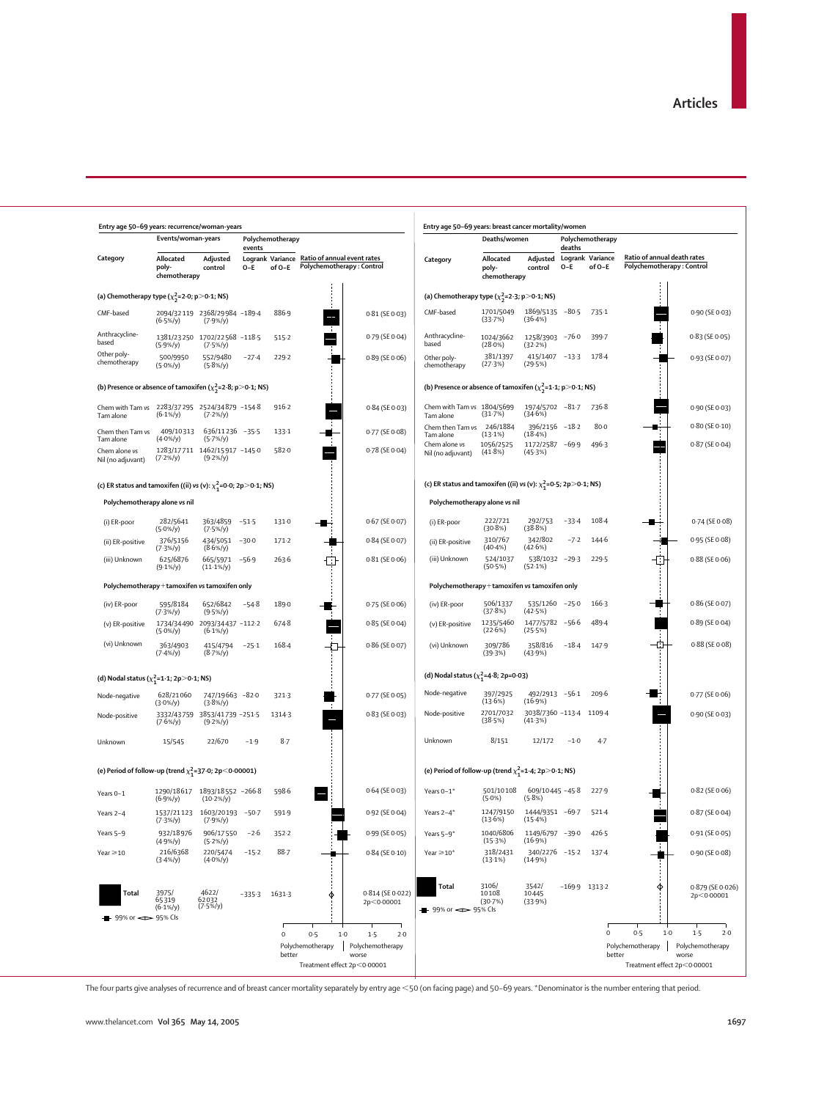|                                                                                                       | Events/woman-years                 |                                                    |                   | Polychemotherapy           |                                                          |                                |                                                                                                                    | Deaths/women                       |                                    |                                     | Polychemotherapy |                                                          |                                |
|-------------------------------------------------------------------------------------------------------|------------------------------------|----------------------------------------------------|-------------------|----------------------------|----------------------------------------------------------|--------------------------------|--------------------------------------------------------------------------------------------------------------------|------------------------------------|------------------------------------|-------------------------------------|------------------|----------------------------------------------------------|--------------------------------|
| Category                                                                                              | Allocated<br>poly-<br>chemotherapy | Adjusted<br>control                                | events<br>O-E     | Logrank Variance<br>of O-E | Ratio of annual event rates<br>Polychemotherapy: Control |                                | Category                                                                                                           | Allocated<br>poly-<br>chemotherapy | Adjusted<br>control                | deaths<br>Logrank Variance<br>$O-E$ | of O-E           | Ratio of annual death rates<br>Polychemotherapy: Control |                                |
| (a) Chemotherapy type $(\chi^2_{2} = 2.0; p > 0.1; NS)$                                               |                                    |                                                    |                   |                            |                                                          |                                | (a) Chemotherapy type $(\chi^2_{2}=2.3; p>0.1; NS)$                                                                |                                    |                                    |                                     |                  |                                                          |                                |
| CMF-based                                                                                             | (6.5%)y)                           | 2094/32119 2368/29984 -189-4<br>(7.9%)y)           |                   | 886.9                      |                                                          | 0.81 (SE 0.03)                 | CMF-based                                                                                                          | 1701/5049<br>(33.7%)               | 1869/5135 -80-5<br>(36.4%)         |                                     | $735-1$          |                                                          | 0.90 (SE 0.03)                 |
| Anthracycline-<br>based                                                                               | (5.9%)y)                           | 1381/23250 1702/22568 -118-5<br>(7.5%)y)           |                   | 515.2                      |                                                          | 0.79 (SE 0.04)                 | Anthracycline-<br>based                                                                                            | 1024/3662<br>(28.0%)               | 1258/3903 -76-0<br>(32.2%)         |                                     | $399 - 7$        |                                                          | 0-83 (SE 0-05)                 |
| Other poly-<br>chemotherapy                                                                           | 500/9950<br>$(5.0\%/y)$            | 552/9480<br>(5.8%)y)                               | $-27.4$           | 229.2                      |                                                          | $0.89$ (SE $0.06$ )            | Other poly-<br>chemotherapy                                                                                        | 381/1397<br>(27.3%)                | 415/1407 -13-3<br>(29.5%)          |                                     | 178.4            |                                                          | 0-93 (SE 0-07)                 |
| (b) Presence or absence of tamoxifen ( $\chi^2$ =2·8; p>0·1; NS)                                      |                                    |                                                    |                   |                            |                                                          |                                | (b) Presence or absence of tamoxifen ( $\chi^2$ =1·1; p>0·1; NS)                                                   |                                    |                                    |                                     |                  |                                                          |                                |
| Chem with Tam vs 2283/37295 2524/34879 -154-8                                                         | $(6.1\%/y)$                        | (7.2%)                                             |                   | 916.2                      |                                                          | 0-84 (SE 0-03)                 | Chem with Tam vs 1804/5699                                                                                         | (31.7%)                            | 1974/5702 -81-7 736-8<br>(34.6%)   |                                     |                  |                                                          | 0.90 (SE 0.03)                 |
| Tam alone<br>Chem then Tam vs                                                                         | 409/10313                          | 636/11236 -35-5                                    |                   | 133.1                      |                                                          | 0-77 (SE 0-08)                 | Tam alone<br>Chem then Tam vs 246/1884<br>Tam alone                                                                | (13.1%)                            | 396/2156 -18-2<br>(18.4%)          |                                     | 80.0             |                                                          | $0.80$ (SE $0.10$ )            |
| Tam alone<br>Chem alone vs<br>Nil (no adjuvant)                                                       | $(4.0\%$ /y)<br>(7.2%)y)           | (5.7%)<br>1283/17711 1462/15917 -145-0<br>(9.2%)y) |                   | 582.0                      |                                                          | 0-78 (SE 0-04)                 | Chem alone vs<br>Nil (no adjuvant)                                                                                 | 1056/2525<br>(41.8%)               | 1172/2587 -69.9<br>(45·3%)         |                                     | $496-3$          |                                                          | 0.87 (SE 0.04)                 |
|                                                                                                       |                                    |                                                    |                   |                            |                                                          |                                |                                                                                                                    |                                    |                                    |                                     |                  |                                                          |                                |
| (c) ER status and tamoxifen ((ii) vs (v): $\chi^2$ =0.0; 2p>0.1; NS)<br>Polychemotherapy alone vs nil |                                    |                                                    |                   |                            |                                                          |                                | (c) ER status and tamoxifen ((ii) vs (v): $\chi^2$ <sub>1</sub> =0.5; 2p>0.1; NS)<br>Polychemotherapy alone vs nil |                                    |                                    |                                     |                  |                                                          |                                |
| (i) ER-poor                                                                                           | 282/5641<br>$(5.0\%/y)$            | 363/4859 -51-5<br>(7.5%)y)                         |                   | 131.0                      |                                                          | 0.67 (SE 0.07)                 | (i) ER-poor                                                                                                        | 222/721<br>(30.8%)                 | 292/753<br>(38.8%)                 | $-33.4$                             | 108.4            |                                                          | 0-74 (SE 0-08)                 |
| (ii) ER-positive                                                                                      | 376/5156<br>(7·3%/y)               | 434/5051 -30-0<br>$(8.6\%/y)$                      |                   | 171.2                      |                                                          | 0-84 (SE 0-07)                 | (ii) ER-positive                                                                                                   | 310/767<br>$(40.4\%)$              | 342/802<br>(42.6%)                 | $-7.2$                              | 144.6            |                                                          | 0.95 (SE 0.08)                 |
| (iii) Unknown                                                                                         | 625/6876<br>$(9.1\%/y)$            | 665/5971 -56-9<br>$(11.1\%/y)$                     |                   | 263.6                      | 毌                                                        | $0.81$ (SE $0.06$ )            | (iii) Unknown                                                                                                      | 524/1037<br>(50.5%)                | 538/1032 -29-3<br>(52.1%)          |                                     | 229.5            | ብ                                                        | $0.88$ (SE $0.06$ )            |
| Polychemotherapy+tamoxifen vs tamoxifen only                                                          |                                    |                                                    |                   |                            |                                                          |                                | Polychemotherapy+tamoxifen vs tamoxifen only                                                                       |                                    |                                    |                                     |                  |                                                          |                                |
| (iv) ER-poor                                                                                          | 595/8184<br>(7.3%)                 | 652/6842<br>(9.5%)y)                               | $-54.8$           | 189.0                      |                                                          | 0.75 (SE 0.06)                 | (iv) ER-poor                                                                                                       | 506/1337<br>(37.8%)                | 535/1260 -25-0<br>(42.5%)          |                                     | $166-3$          |                                                          | $0.86$ (SE $0.07$ )            |
| (v) ER-positive                                                                                       | 1734/34490<br>$(5.0\%/y)$          | 2093/34437 -112-2<br>$(6.1\%/y)$                   |                   | 674.8                      |                                                          | $0.85$ (SE $0.04$ )            | (v) ER-positive                                                                                                    | 1235/5460<br>(22.6%)               | 1477/5782 -56.6<br>(25-5%)         |                                     | 489.4            |                                                          | 0.89 (SE 0.04)                 |
| (vi) Unknown                                                                                          | 363/4903<br>(7.4%)y)               | 415/4794<br>(8.7%)                                 | $-25.1$           | 168.4                      |                                                          | 0.86 (SE 0.07)                 | (vi) Unknown                                                                                                       | 309/786<br>(39.3%)                 | 358/816<br>(43.9%)                 | $-18.4$                             | 147.9            | Ð                                                        | 0-88 (SE 0-08)                 |
| (d) Nodal status ( $\chi^2_1$ =1·1; 2p>0·1; NS)                                                       |                                    |                                                    |                   |                            |                                                          |                                | (d) Nodal status ( $\chi^2_1$ =4·8; 2p=0·03)                                                                       |                                    |                                    |                                     |                  |                                                          |                                |
| Node-negative                                                                                         | 628/21060<br>$(3.0\%/y)$           | 747/19663 -82-0<br>(3.8%)y)                        |                   | $321-3$                    |                                                          | 0-77 (SE 0-05)                 | Node-negative                                                                                                      | 397/2925<br>(13.6%)                | 492/2913 -56.1<br>(16.9%)          |                                     | 209.6            |                                                          | 0.77 (SE 0.06)                 |
| Node-positive                                                                                         | $(7.6\%/y)$                        | 3332/43759 3853/41739 -251-5<br>(9.2%)             |                   | 1314-3                     |                                                          | $0.83$ (SE $0.03$ )            | Node-positive                                                                                                      | 2701/7032<br>(38.5%)               | 3038/7360 -113-4 1109-4<br>(41.3%) |                                     |                  |                                                          | 0-90 (SE 0-03)                 |
| Unknown                                                                                               | 15/545                             | 22/670                                             | $-1.9$            | $8-7$                      |                                                          |                                | Unknown                                                                                                            | 8/151                              | 12/172                             | $-1.0$                              | $4-7$            |                                                          |                                |
| (e) Period of follow-up (trend $\chi_1^2$ =37·0; 2p<0·00001)                                          |                                    |                                                    |                   |                            |                                                          |                                | (e) Period of follow-up (trend $\chi^2$ =1·4; 2p>0·1; NS)                                                          |                                    |                                    |                                     |                  |                                                          |                                |
| Years 0-1                                                                                             | (6.9%)y)                           | 1290/18617 1893/18552 -266-8<br>$(10.2\%/y)$       |                   | 598.6                      |                                                          | $0.64$ (SE $0.03$ )            | Years $0-1$ <sup>*</sup>                                                                                           | 501/10108<br>(5.0%                 | 609/10445 -45-8<br>(5.8%)          |                                     | 227.9            |                                                          | $0.82$ (SE $0.06$ )            |
| Years 2-4                                                                                             | (7.3%)                             | 1537/21123 1603/20193 -50-7<br>(7.9%)y)            |                   | 591.9                      |                                                          | 0-92 (SE 0-04)                 | Years $2-4$ *                                                                                                      | 1247/9150<br>(13.6%)               | 1444/9351 -69-7<br>(15.4%)         |                                     | $521-4$          |                                                          | 0.87 (SE 0.04)                 |
| Years 5-9                                                                                             | 932/18976<br>(4.9%/y)              | 906/17550<br>(5.2%)                                | $-2.6$            | 352.2                      |                                                          | 0-99 (SE 0-05)                 | Years $5-9*$                                                                                                       | 1040/6806<br>(15.3%)               | 1149/6797 -39-0<br>(16.9%)         |                                     | $426 - 5$        |                                                          | 0.91 (SE 0.05)                 |
| Year $\geq 10$                                                                                        | 216/6368<br>(3.4%)y                | 220/5474<br>$(4.0\%$ /y)                           | $-15.2$           | 88.7                       |                                                          | $0.84$ (SE $0.10$ )            | Year $\geq 10^*$                                                                                                   | 318/2431<br>(13.1%)                | 340/2276 -15-2 137-4<br>(14.9%)    |                                     |                  |                                                          | 0.90 (SE 0.08)                 |
| Total                                                                                                 | 3975/<br>65319<br>$(6.1\%/y)$      | 4622/<br>62032<br>(7.5%/y)                         | $-335.3$ $1631.3$ |                            |                                                          | 0.814 (SE 0.022)<br>2p<0.00001 | <b>Total</b><br>$99\%$ or $\leftarrow$ 95% Cls                                                                     | 3106/<br>10108<br>(30.7%)          | 3542/<br>10445<br>(33.9%)          | $-169.9$ 1313.2                     |                  | ¢                                                        | 0-879 (SE 0-026)<br>2p<0.00001 |
| 99% or < 95% Cls                                                                                      |                                    |                                                    |                   |                            |                                                          |                                |                                                                                                                    |                                    |                                    |                                     | $\mathbf 0$      | 0.5<br>$1-0$                                             | 1.5<br>$2-0$                   |
|                                                                                                       |                                    |                                                    |                   | 0                          | 0.5<br>$1-0$                                             | 1.5<br>$2-0$                   |                                                                                                                    |                                    |                                    |                                     |                  |                                                          |                                |

The four parts give analyses of recurrence and of breast cancer mortality separately by entry age <50 (on facing page) and 50–69 years. \*Denominator is the number entering that period.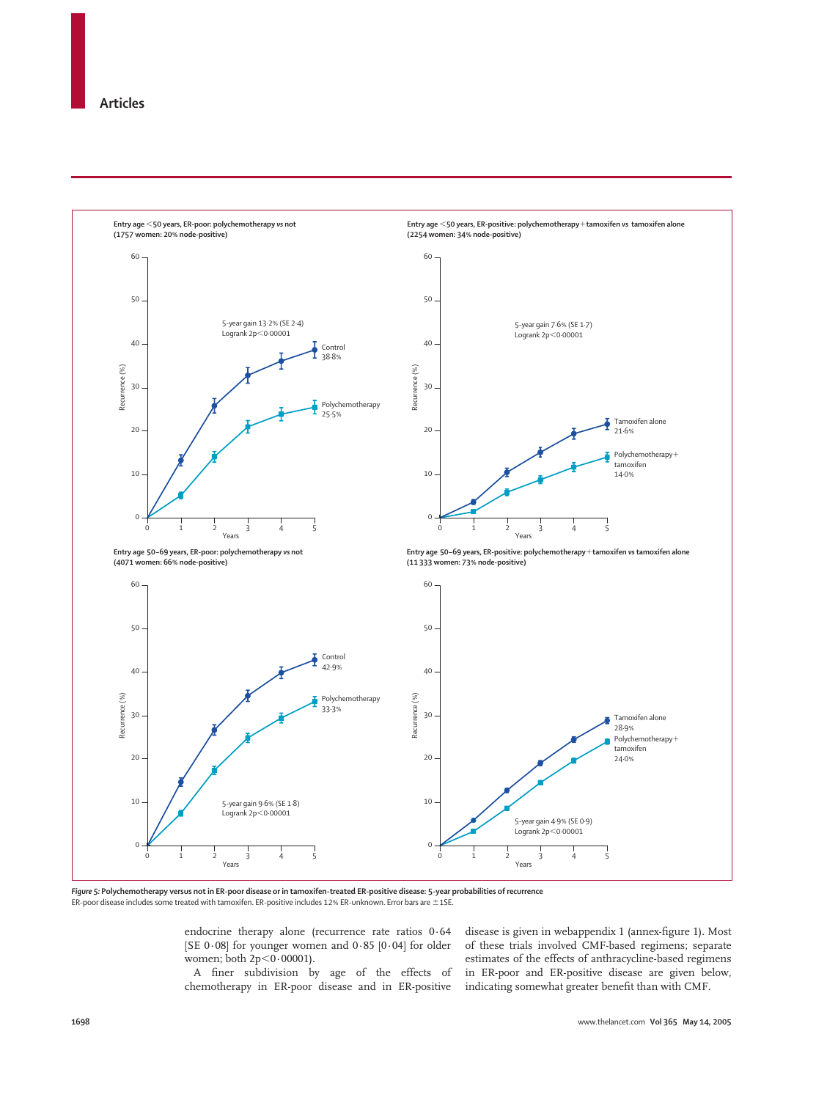

*Figure 5:* **Polychemotherapy versus not in ER-poor disease or in tamoxifen-treated ER-positive disease: 5-year probabilities of recurrence**  ER-poor disease includes some treated with tamoxifen. ER-positive includes 12% ER-unknown. Error bars are ±1SE.

endocrine therapy alone (recurrence rate ratios 0·64 [SE  $0.08$ ] for younger women and  $0.85$  [ $0.04$ ] for older women; both  $2p<0.00001$ ).

A finer subdivision by age of the effects of chemotherapy in ER-poor disease and in ER-positive

disease is given in webappendix 1 (annex-figure 1). Most of these trials involved CMF-based regimens; separate estimates of the effects of anthracycline-based regimens in ER-poor and ER-positive disease are given below, indicating somewhat greater benefit than with CMF.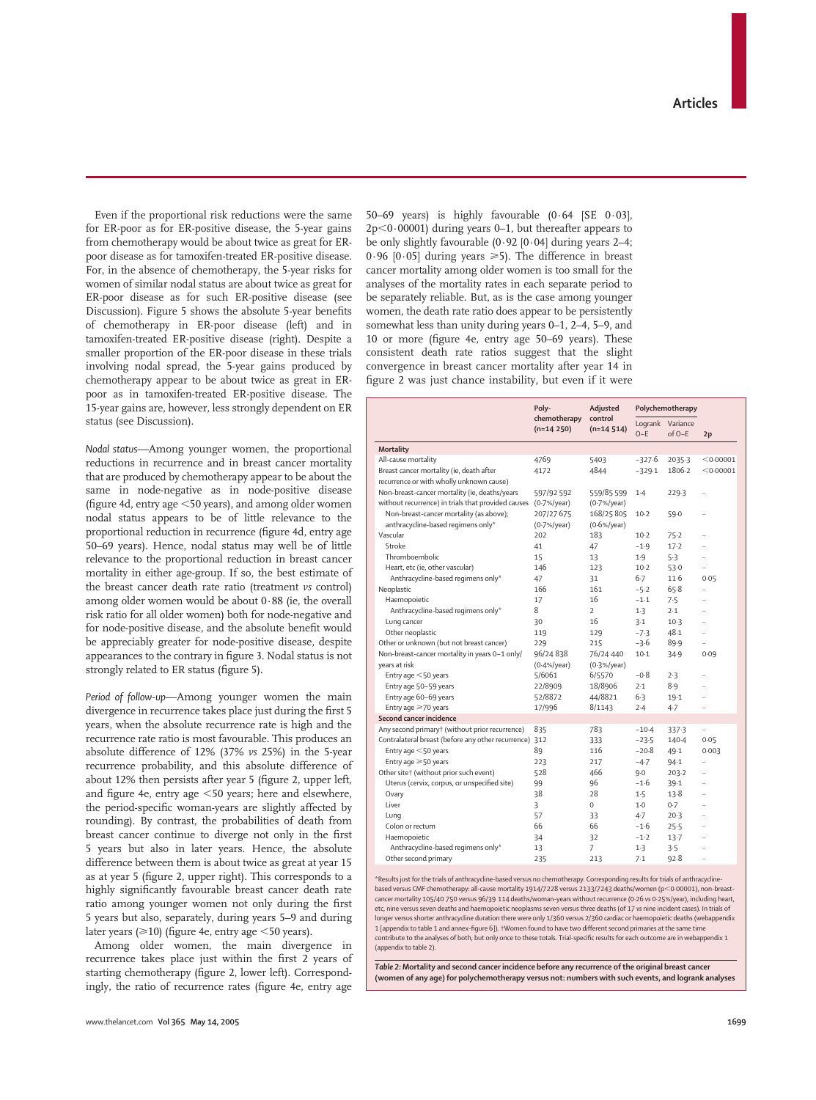Even if the proportional risk reductions were the same for ER-poor as for ER-positive disease, the 5-year gains from chemotherapy would be about twice as great for ERpoor disease as for tamoxifen-treated ER-positive disease. For, in the absence of chemotherapy, the 5-year risks for women of similar nodal status are about twice as great for ER-poor disease as for such ER-positive disease (see Discussion). Figure 5 shows the absolute 5-year benefits of chemotherapy in ER-poor disease (left) and in tamoxifen-treated ER-positive disease (right). Despite a smaller proportion of the ER-poor disease in these trials involving nodal spread, the 5-year gains produced by chemotherapy appear to be about twice as great in ERpoor as in tamoxifen-treated ER-positive disease. The 15-year gains are, however, less strongly dependent on ER status (see Discussion).

*Nodal status*—Among younger women, the proportional reductions in recurrence and in breast cancer mortality that are produced by chemotherapy appear to be about the same in node-negative as in node-positive disease (figure 4d, entry age  $<$  50 years), and among older women nodal status appears to be of little relevance to the proportional reduction in recurrence (figure 4d, entry age 50–69 years). Hence, nodal status may well be of little relevance to the proportional reduction in breast cancer mortality in either age-group. If so, the best estimate of the breast cancer death rate ratio (treatment *vs* control) among older women would be about  $0.88$  (ie, the overall risk ratio for all older women) both for node-negative and for node-positive disease, and the absolute benefit would be appreciably greater for node-positive disease, despite appearances to the contrary in figure 3. Nodal status is not strongly related to ER status (figure 5).

*Period of follow-up*—Among younger women the main divergence in recurrence takes place just during the first 5 years, when the absolute recurrence rate is high and the recurrence rate ratio is most favourable. This produces an absolute difference of 12% (37% *vs* 25%) in the 5-year recurrence probability, and this absolute difference of about 12% then persists after year 5 (figure 2, upper left, and figure 4e, entry age  $<$  50 years; here and elsewhere, the period-specific woman-years are slightly affected by rounding). By contrast, the probabilities of death from breast cancer continue to diverge not only in the first 5 years but also in later years. Hence, the absolute difference between them is about twice as great at year 15 as at year 5 (figure 2, upper right). This corresponds to a highly significantly favourable breast cancer death rate ratio among younger women not only during the first 5 years but also, separately, during years 5–9 and during later years ( $\geqslant$ 10) (figure 4e, entry age  $<$ 50 years).

Among older women, the main divergence in recurrence takes place just within the first 2 years of starting chemotherapy (figure 2, lower left). Correspondingly, the ratio of recurrence rates (figure 4e, entry age

www.thelancet.com **Vol 365 May 14, 2005** 1699

50–69 years) is highly favourable (0·64 [SE 0·03], 2p-0·00001) during years 0–1, but thereafter appears to be only slightly favourable  $(0.92 \, [0.04]$  during years 2-4; 0.96 [0.05] during years  $\geq 5$ ). The difference in breast cancer mortality among older women is too small for the analyses of the mortality rates in each separate period to be separately reliable. But, as is the case among younger women, the death rate ratio does appear to be persistently somewhat less than unity during years 0–1, 2–4, 5–9, and 10 or more (figure 4e, entry age 50–69 years). These consistent death rate ratios suggest that the slight convergence in breast cancer mortality after year 14 in figure 2 was just chance instability, but even if it were

|                                                                                                             | Poly-                        | Adjusted                     |                      | Polychemotherapy             |                            |
|-------------------------------------------------------------------------------------------------------------|------------------------------|------------------------------|----------------------|------------------------------|----------------------------|
|                                                                                                             | chemotherapy<br>$(n=14 250)$ | control<br>$(n=14, 514)$     | $O-E$                | Logrank Variance<br>$of O-E$ | 2p                         |
| Mortality                                                                                                   |                              |                              |                      |                              |                            |
| All-cause mortality<br>Breast cancer mortality (ie, death after<br>recurrence or with wholly unknown cause) | 4769<br>4172                 | 5403<br>4844                 | $-327.6$<br>$-329.1$ | 2035-3<br>1806-2             | $<$ 0.00001<br>$<$ 0.00001 |
| Non-breast-cancer mortality (ie, deaths/years<br>without recurrence) in trials that provided causes         | 597/92 592<br>$(0.7\%/year)$ | 559/85 599<br>$(0.7%)$ year) | 1.4                  | 229.3                        | ä,                         |
| Non-breast-cancer mortality (as above);<br>anthracycline-based regimens only*                               | 207/27 675<br>$(0.7%)$ year) | 168/25 805<br>$(0.6%$ /year) | $10-2$               | 59.0                         | ä,                         |
| Vascular                                                                                                    | 202                          | 183                          | $10-2$               | 75.2                         | ä,                         |
| Stroke                                                                                                      | 41                           | 47                           | $-1.9$               | $17-2$                       | ä,                         |
| Thromboembolic                                                                                              | 15                           | 13                           | 1.9                  | 5.3                          | $\ddot{\phantom{1}}$       |
| Heart, etc (ie, other vascular)                                                                             | 146                          | 123                          | $10-2$               | 53.0                         | ı.                         |
| Anthracycline-based regimens only*                                                                          | 47                           | 31                           | 6.7                  | 11.6                         | 0.05                       |
| Neoplastic                                                                                                  | 166                          | 161                          | $-5.2$               | 65.8                         | .,                         |
| Haemopoietic                                                                                                | 17                           | 16                           | $-1.1$               | 7.5                          | ä,                         |
| Anthracycline-based regimens only*                                                                          | 8                            | $\overline{2}$               | 1.3                  | 2.1                          | $\mathbf{r}$               |
| Lung cancer                                                                                                 | 30                           | 16                           | 3.1                  | $10-3$                       | ä,                         |
| Other neoplastic                                                                                            | 119                          | 129                          | $-7.3$               | 48.1                         | $\ddot{\phantom{1}}$       |
| Other or unknown (but not breast cancer)                                                                    | 229                          | 215                          | $-3.6$               | 89.9                         | ä,                         |
| Non-breast-cancer mortality in years 0-1 only/                                                              | 96/24 838                    | 76/24 440                    | $10-1$               | 34.9                         | 0.09                       |
| years at risk                                                                                               | $(0.4\%/year)$               | $(0.3\%/year)$               |                      |                              |                            |
| Entry age $<$ 50 years                                                                                      | 5/6061                       | 6/5570                       | $-0.8$               | 2.3                          | ä,                         |
| Entry age 50-59 years                                                                                       | 22/8909                      | 18/8906                      | 2.1                  | 8.9                          | ä,                         |
| Entry age 60-69 years                                                                                       | 52/8872                      | 44/8821                      | 6.3                  | $19-1$                       | ä.                         |
| Entry age ≥70 years                                                                                         | 17/996                       | 8/1143                       | 2.4                  | 4.7                          | ä,                         |
| Second cancer incidence                                                                                     |                              |                              |                      |                              |                            |
| Any second primary <sup>+</sup> (without prior recurrence)                                                  | 835                          | 783                          | $-10.4$              | 337.3                        | ä,                         |
| Contralateral breast (before any other recurrence) 312                                                      |                              | 333                          | $-23.5$              | $140 - 4$                    | 0.05                       |
| Entry age <50 years                                                                                         | 89                           | 116                          | $-20.8$              | 49.1                         | 0.003                      |
| Entry age $\geq 50$ years                                                                                   | 223                          | 217                          | $-4.7$               | 94.1                         | ä,                         |
| Other site† (without prior such event)                                                                      | 528                          | 466                          | 9.0                  | 203-2                        | $\mathbf{r}$               |
| Uterus (cervix, corpus, or unspecified site)                                                                | 99                           | 96                           | $-1.6$               | 39.1                         | ä,                         |
| Ovary                                                                                                       | 38                           | 28                           | 1.5                  | 13.8                         | ä,                         |
| Liver                                                                                                       | 3                            | $\mathbf{0}$                 | $1-0$                | 0.7                          | à.                         |
| Lung                                                                                                        | 57                           | 33                           | $4-7$                | 20.3                         | ä.                         |
| Colon or rectum                                                                                             | 66                           | 66                           | $-1.6$               | 25.5                         | ä.                         |
| Haemopoietic                                                                                                | 34                           | 32                           | $-1.2$               | $13-7$                       | ä,                         |
| Anthracycline-based regimens only*                                                                          | 13                           | 7                            | 1.3                  | 3.5                          | ä,                         |
| Other second primary                                                                                        | 235                          | 213                          | 7.1                  | 92.8                         | ä.                         |

\*Results just for the trials of anthracycline-based versus no chemotherapy. Corresponding results for trials of anthracyclinebased versus CMF chemotherapy: all-cause mortality 1914/7228 versus 2133/7243 deaths/women (p-0·00001), non-breastcancer mortality 105/40 750 versus 96/39 114 deaths/woman-years without recurrence (0·26 *vs* 0·25%/year), including heart, etc, nine versus seven deaths and haemopoietic neoplasms seven versus three deaths (of 17 *vs* nine incident cases). In trials of longer versus shorter anthracycline duration there were only 1/360 versus 2/360 cardiac or haemopoietic deaths (webappendix 1 [appendix to table 1 and annex-figure 6]). †Women found to have two different second primaries at the same time contribute to the analyses of both, but only once to these totals. Trial-specific results for each outcome are in webappendix 1 (appendix to table 2).

*Table 2:* **Mortality and second cancer incidence before any recurrence of the original breast cancer (women of any age) for polychemotherapy versus not: numbers with such events, and logrank analyses**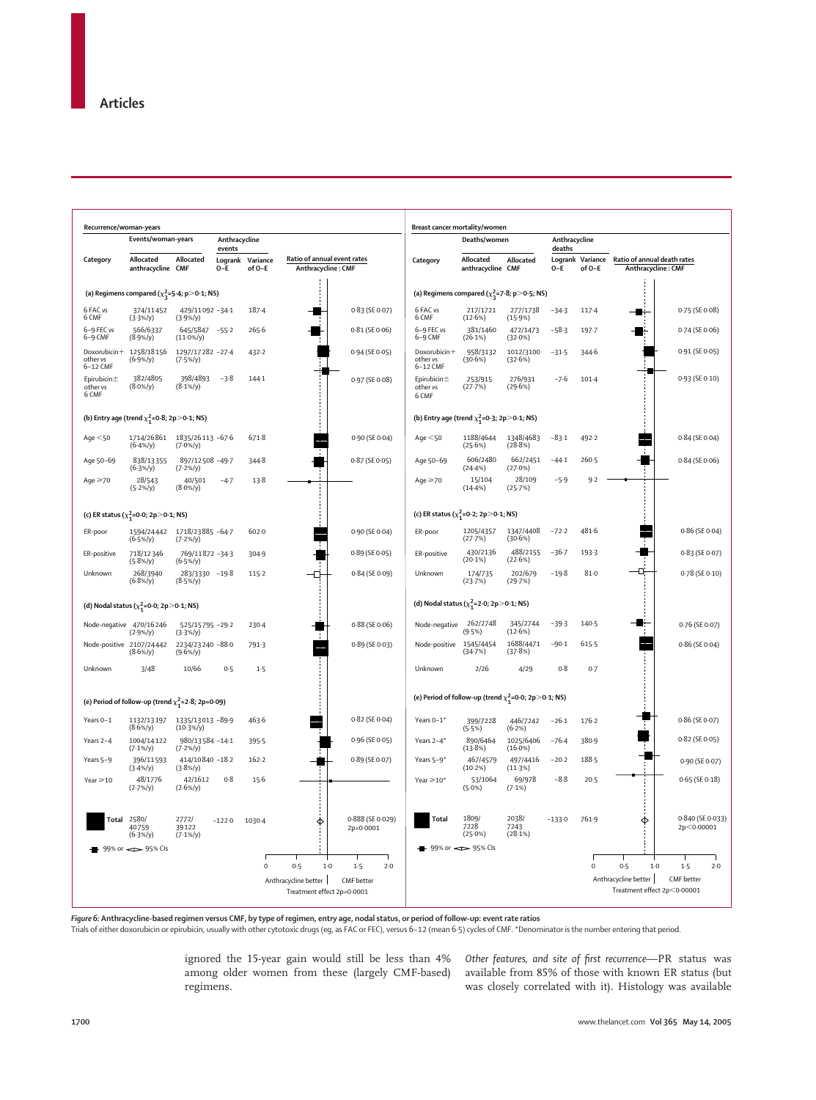| Recurrence/woman-years                |                                                                     |                                  |               |                            |                                                   |                               | Breast cancer mortality/women                                  |                                |                          |               |                            |                                                   |                                |
|---------------------------------------|---------------------------------------------------------------------|----------------------------------|---------------|----------------------------|---------------------------------------------------|-------------------------------|----------------------------------------------------------------|--------------------------------|--------------------------|---------------|----------------------------|---------------------------------------------------|--------------------------------|
|                                       | Events/woman-years                                                  |                                  | Anthracycline |                            |                                                   |                               |                                                                | Deaths/women                   |                          | Anthracycline |                            |                                                   |                                |
| Category                              | Allocated<br>anthracycline CMF                                      | Allocated                        | events<br>O-E | Logrank Variance<br>of O-E | Ratio of annual event rates<br>Anthracycline: CMF |                               | Category                                                       | Allocated<br>anthracycline CMF | Allocated                | deaths<br>O-E | Logrank Variance<br>of O-E | Ratio of annual death rates<br>Anthracycline: CMF |                                |
|                                       | (a) Regimens compared ( $\chi^2$ =5·4; p>0·1; NS)                   |                                  |               |                            |                                                   |                               | (a) Regimens compared ( $\chi^2$ <sub>3</sub> =7.8; p>0.5; NS) |                                |                          |               |                            |                                                   |                                |
| 6 FAC vs<br>6 CMF                     | 374/11452<br>(3.3%)                                                 | 429/11092 -34-1<br>(3.9%)y)      |               | 187.4                      |                                                   | 0-83 (SE 0-07)                | 6 FAC vs<br>6 CMF                                              | 217/1721<br>(12.6%)            | 277/1738<br>(15.9%)      | $-34.3$       | $117-4$                    |                                                   | 0.75 (SE 0.08)                 |
| 6-9 FEC vs<br>6-9 CMF                 | 566/6337<br>$(8.9\%/y)$                                             | 645/5847 -55-2<br>$(11.0\%/y)$   |               | 265.6                      |                                                   | $0.81$ (SE $0.06$ )           | $6-9$ FEC $vs$<br>6-9 CMF                                      | 381/1460<br>(26.1%)            | 472/1473<br>(32.0%)      | $-58.3$       | $197 - 7$                  |                                                   | $0.74$ (SE 0.06)               |
| other vs<br>6-12 CMF                  | Doxorubicin+ 1258/18156<br>$(6.9\%/y)$                              | 1297/17282 -27-4<br>(7.5%)       |               | 432.2                      |                                                   | 0.94 (SE 0.05)                | Doxorubicin+<br>other vs<br>6-12 CMF                           | 958/3132<br>(30.6%)            | 1012/3100<br>(32.6%)     | $-31.5$       | 344.6                      |                                                   | 0.91 (SE 0.05)                 |
| Epirubicin $\pm$<br>other vs<br>6 CMF | 382/4805<br>$(8.0\%/y)$                                             | 398/4893<br>$(8.1\%/y)$          | $-3.8$        | 144.1                      |                                                   | 0.97 (SE 0.08)                | Epirubicin $\pm$<br>other vs<br>6 CMF                          | 253/915<br>(27.7%)             | 276/931<br>(29.6%)       | $-7.6$        | $101-4$                    |                                                   | 0.93 (SE 0.10)                 |
|                                       | (b) Entry age (trend $\chi^2_1$ =0·8; 2p>0·1; NS)                   |                                  |               |                            |                                                   |                               | (b) Entry age (trend $\chi^2_1 = 0.3$ ; 2p>0.1; NS)            |                                |                          |               |                            |                                                   |                                |
| Age $<$ 50                            | 1714/26861 1835/26113 -67-6<br>(6.4%)y)                             | $(7.0\%/y)$                      |               | 671.8                      |                                                   | 0.90 (SE 0.04)                | Age $<$ 50                                                     | 1188/4644<br>(25.6%)           | 1348/4683<br>(28.8%)     | $-83.1$       | 492.2                      |                                                   | $0.84$ (SE $0.04$ )            |
| Age 50-69                             | 838/13355<br>(6.3%)y)                                               | 897/12508 -49-7<br>(7.2%)y)      |               | 344.8                      |                                                   | 0.87 (SE 0.05)                | Age 50-69                                                      | 606/2480<br>(24.4%)            | 662/2451<br>$(27.0\%)$   | $-44.1$       | $260-5$                    |                                                   | 0.84 (SE 0.06)                 |
| Age $\geq 70$                         | 28/543<br>(5.2%)y)                                                  | 40/501<br>$(8.0\%/y)$            | $-4.7$        | 13.8                       |                                                   |                               | Age $\geq 70$                                                  | 15/104<br>(14-4%)              | 28/109<br>(25.7%)        | $-5.9$        | $9 - 2$                    |                                                   |                                |
|                                       | (c) ER status ( $\chi^2$ =0·0; 2p>0·1; NS)                          |                                  |               |                            |                                                   |                               | (c) ER status ( $\chi^2_1$ =0·2; 2p>0·1; NS)                   |                                |                          |               |                            |                                                   |                                |
| ER-poor                               | 1594/24442<br>(6.5%)y)                                              | 1718/23885 -64-7<br>(7.2%)       |               | 602.0                      |                                                   | 0.90 (SE 0.04)                | ER-poor                                                        | 1205/4357<br>(27.7%)           | 1347/4408<br>(30.6%)     | $-72.2$       | 481.6                      |                                                   | $0.86$ (SE $0.04$ )            |
| ER-positive                           | 718/12346<br>(5.8%)y                                                | 769/11872 -34-3<br>(6.5%)        |               | 304.9                      |                                                   | 0.89 (SE 0.05)                | ER-positive                                                    | 430/2136<br>(20.1%)            | 488/2155<br>(22.6%)      | $-36.7$       | 193.3                      |                                                   | 0.83 (SE 0.07)                 |
| Unknown                               | 268/3940<br>(6.8%)y)                                                | 283/3330 -19-8<br>(8.5%)         |               | 115.2                      | ▫                                                 | 0.84 (SE 0.09)                | Unknown                                                        | 174/735<br>(23.7%)             | 202/679<br>(29.7%)       | $-19.8$       | 81.0                       | ⊕                                                 | $0.78$ (SE $0.10$ )            |
|                                       | (d) Nodal status ( $\chi^2$ =0·0; 2p>0·1; NS)                       |                                  |               |                            |                                                   |                               | (d) Nodal status ( $\chi^2$ =2·0; 2p>0·1; NS)                  |                                |                          |               |                            |                                                   |                                |
|                                       | Node-negative 470/16246<br>(2.9%)                                   | 525/15795 -29-2<br>(3.3%)        |               | 230.4                      |                                                   | $0.88$ (SE $0.06$ )           | Node-negative 262/2748                                         | (9.5%)                         | 345/2744<br>(12.6%)      | $-39.3$       | $140 - 5$                  |                                                   | 0.76 (SE 0.07)                 |
|                                       | Node-positive 2107/24442<br>$(8.6\%/y)$                             | 2234/23240 -88-0<br>$(9.6\%$ /y) |               | 791.3                      |                                                   | 0.89 (SE 0.03)                | Node-positive 1545/4454                                        | (34.7%)                        | 1688/4471<br>(37.8%)     | $-90.1$       | 615.5                      |                                                   | $0.86$ (SE $0.04$ )            |
| Unknown                               | 3/48                                                                | 10/66                            | 0.5           | 1.5                        |                                                   |                               | Unknown                                                        | 2/26                           | 4/29                     | 0.8           | 0.7                        |                                                   |                                |
|                                       | (e) Period of follow-up (trend $\chi^2$ <sub>1</sub> =2.8; 2p=0.09) |                                  |               |                            |                                                   |                               | (e) Period of follow-up (trend $\chi^2$ =0·0; 2p>0·1; NS)      |                                |                          |               |                            |                                                   |                                |
| Years 0-1                             | 1132/13197<br>$(8.6\%/y)$                                           | 1335/13013 -89-9<br>$(10.3\%/y)$ |               | 463.6                      |                                                   | 0.82 (SE 0.04)                | Years $0-1$ <sup>*</sup>                                       | 399/7228<br>(5.5%)             | 446/7242<br>(6.2%)       | $-26.1$       | 176.2                      |                                                   | 0.86 (SE 0.07)                 |
| Years 2-4                             | 1004/14122<br>(7.1%)                                                | 980/13584 -14-1<br>(7.2%)        |               | 395.5                      |                                                   | 0.96 (SE 0.05)                | Years $2-4$ *                                                  | 890/6464<br>(13.8%)            | 1025/6406<br>$(16.0\%)$  | $-76.4$       | 380.9                      |                                                   | 0.82 (SE 0.05)                 |
| Years 5-9                             | 396/11593<br>(3-4%/y)                                               | 414/10840 -18-2<br>$(3.8\%/y)$   |               | 162.2                      |                                                   | 0-89 (SE 0-07)                | Years $5-9*$                                                   | 467/4579<br>(10.2%)            | 497/4416<br>(11.3%)      | $-20.2$       | 188-5                      |                                                   | 0.90 (SE 0.07)                 |
| Year $\geq 10$                        | 48/1776<br>(2.7%)                                                   | 42/1612<br>(2.6%)y)              | 0.8           | $15-6$                     |                                                   |                               | Year $\geq 10^*$                                               | 53/1064<br>(5.0%               | 69/978<br>(7.1%)         | $-8.8$        | $20-5$                     |                                                   | $0.65$ (SE $0.18$ )            |
|                                       | Total 2580/<br>40759<br>(6.3%)y)                                    | 2772/<br>39122<br>$(7.1\%/y)$    | $-122.0$      | 1030-4                     | ♦                                                 | 0-888 (SE 0-029)<br>2p=0.0001 | Total<br>$\bullet$ 99% or $\leftarrow$ 95% Cls                 | 1809/<br>7228<br>(25.0%)       | 2038/<br>7243<br>(28.1%) | $-133.0$      | 761.9                      | ♦                                                 | 0-840 (SE 0-033)<br>2p<0.00001 |
|                                       | 99% or $\leftarrow$ 95% Cls                                         |                                  |               | $\bf{0}$                   | 0.5<br>$1-0$                                      | 1.5<br>$2-0$                  |                                                                |                                |                          |               | 0                          | 0.5<br>$1-0$                                      | 1.5<br>$2-0$                   |
|                                       |                                                                     |                                  |               |                            | Anthracycline better                              | CMF better                    |                                                                |                                |                          |               |                            | Anthracycline better                              | CMF better                     |
|                                       |                                                                     |                                  |               |                            | Treatment effect 2p=0.0001                        |                               |                                                                |                                |                          |               |                            | Treatment effect 2p<0.00001                       |                                |

*Figure 6:* **Anthracycline-based regimen versus CMF, by type of regimen, entry age, nodal status, or period of follow-up: event rate ratios**

Trials of either doxorubicin or epirubicin, usually with other cytotoxic drugs (eg, as FAC or FEC), versus 6–12 (mean 6·5) cycles of CMF. \*Denominator is the number entering that period.

ignored the 15-year gain would still be less than 4% *Other features, and site of first recurrence*—PR status was among older women from these (largely CMF-based) regimens.

available from 85% of those with known ER status (but was closely correlated with it). Histology was available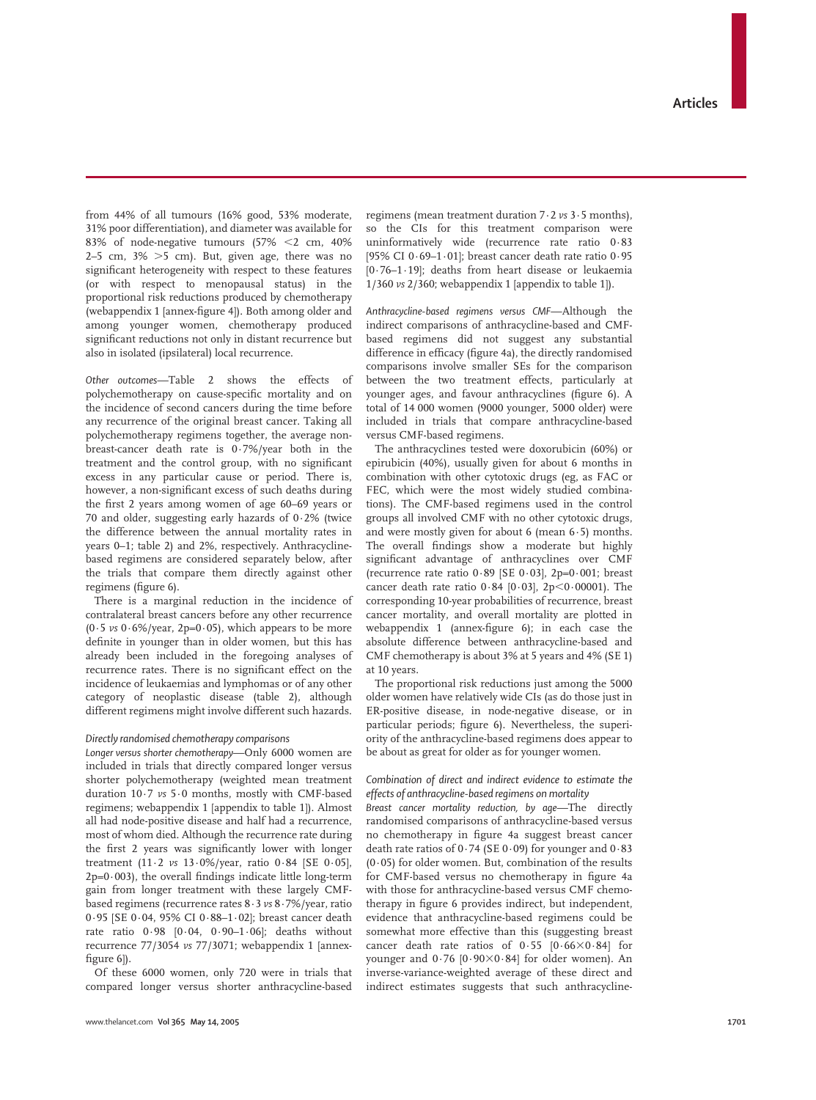from 44% of all tumours (16% good, 53% moderate, 31% poor differentiation), and diameter was available for 83% of node-negative tumours  $(57\% < 2 \text{ cm}, 40\%)$ 2–5 cm,  $3\%$  >5 cm). But, given age, there was no significant heterogeneity with respect to these features (or with respect to menopausal status) in the proportional risk reductions produced by chemotherapy (webappendix 1 [annex-figure 4]). Both among older and among younger women, chemotherapy produced significant reductions not only in distant recurrence but also in isolated (ipsilateral) local recurrence.

*Other outcomes*—Table 2 shows the effects of polychemotherapy on cause-specific mortality and on the incidence of second cancers during the time before any recurrence of the original breast cancer. Taking all polychemotherapy regimens together, the average nonbreast-cancer death rate is 0·7%/year both in the treatment and the control group, with no significant excess in any particular cause or period. There is, however, a non-significant excess of such deaths during the first 2 years among women of age 60–69 years or 70 and older, suggesting early hazards of 0·2% (twice the difference between the annual mortality rates in years 0–1; table 2) and 2%, respectively. Anthracyclinebased regimens are considered separately below, after the trials that compare them directly against other regimens (figure 6).

There is a marginal reduction in the incidence of contralateral breast cancers before any other recurrence ( $0.5$  *vs*  $0.6\frac{6}{\sqrt{2}}$  /year, 2p= $0.05$ ), which appears to be more definite in younger than in older women, but this has already been included in the foregoing analyses of recurrence rates. There is no significant effect on the incidence of leukaemias and lymphomas or of any other category of neoplastic disease (table 2), although different regimens might involve different such hazards.

# *Directly randomised chemotherapy comparisons*

*Longer versus shorter chemotherapy*—Only 6000 women are included in trials that directly compared longer versus shorter polychemotherapy (weighted mean treatment duration 10·7 *vs* 5·0 months, mostly with CMF-based regimens; webappendix 1 [appendix to table 1]). Almost all had node-positive disease and half had a recurrence, most of whom died. Although the recurrence rate during the first 2 years was significantly lower with longer treatment (11·2 *vs* 13·0%/year, ratio 0·84 [SE 0·05],  $2p=0.003$ ), the overall findings indicate little long-term gain from longer treatment with these largely CMFbased regimens (recurrence rates 8·3 *vs* 8·7%/year, ratio 0·95 [SE 0·04, 95% CI 0·88–1·02]; breast cancer death rate ratio 0·98 [0·04, 0·90–1·06]; deaths without recurrence 77/3054 *vs* 77/3071; webappendix 1 [annexfigure 6]).

Of these 6000 women, only 720 were in trials that compared longer versus shorter anthracycline-based regimens (mean treatment duration 7·2 *vs* 3·5 months), so the CIs for this treatment comparison were uninformatively wide (recurrence rate ratio 0·83 [95% CI  $0.69-1.01$ ]; breast cancer death rate ratio  $0.95$ [0·76–1·19]; deaths from heart disease or leukaemia 1/360 *vs* 2/360; webappendix 1 [appendix to table 1]).

*Anthracycline-based regimens versus CMF*—Although the indirect comparisons of anthracycline-based and CMFbased regimens did not suggest any substantial difference in efficacy (figure 4a), the directly randomised comparisons involve smaller SEs for the comparison between the two treatment effects, particularly at younger ages, and favour anthracyclines (figure 6). A total of 14 000 women (9000 younger, 5000 older) were included in trials that compare anthracycline-based versus CMF-based regimens.

The anthracyclines tested were doxorubicin (60%) or epirubicin (40%), usually given for about 6 months in combination with other cytotoxic drugs (eg, as FAC or FEC, which were the most widely studied combinations). The CMF-based regimens used in the control groups all involved CMF with no other cytotoxic drugs, and were mostly given for about 6 (mean  $6·5$ ) months. The overall findings show a moderate but highly significant advantage of anthracyclines over CMF (recurrence rate ratio  $0.89$  [SE  $0.03$ ],  $2p=0.001$ ; breast cancer death rate ratio  $0.84$  [ $0.03$ ], 2p $<$ 0 $.00001$ ). The corresponding 10-year probabilities of recurrence, breast cancer mortality, and overall mortality are plotted in webappendix 1 (annex-figure 6); in each case the absolute difference between anthracycline-based and CMF chemotherapy is about 3% at 5 years and 4% (SE 1) at 10 years.

The proportional risk reductions just among the 5000 older women have relatively wide CIs (as do those just in ER-positive disease, in node-negative disease, or in particular periods; figure 6). Nevertheless, the superiority of the anthracycline-based regimens does appear to be about as great for older as for younger women.

# *Combination of direct and indirect evidence to estimate the effects of anthracycline-based regimens on mortality*

*Breast cancer mortality reduction, by age*—The directly randomised comparisons of anthracycline-based versus no chemotherapy in figure 4a suggest breast cancer death rate ratios of  $0.74$  (SE 0.09) for younger and  $0.83$  $(0.05)$  for older women. But, combination of the results for CMF-based versus no chemotherapy in figure 4a with those for anthracycline-based versus CMF chemotherapy in figure 6 provides indirect, but independent, evidence that anthracycline-based regimens could be somewhat more effective than this (suggesting breast cancer death rate ratios of  $0.55$  [ $0.66\times0.84$ ] for younger and  $0.76$  [ $0.90\times0.84$ ] for older women). An inverse-variance-weighted average of these direct and indirect estimates suggests that such anthracycline-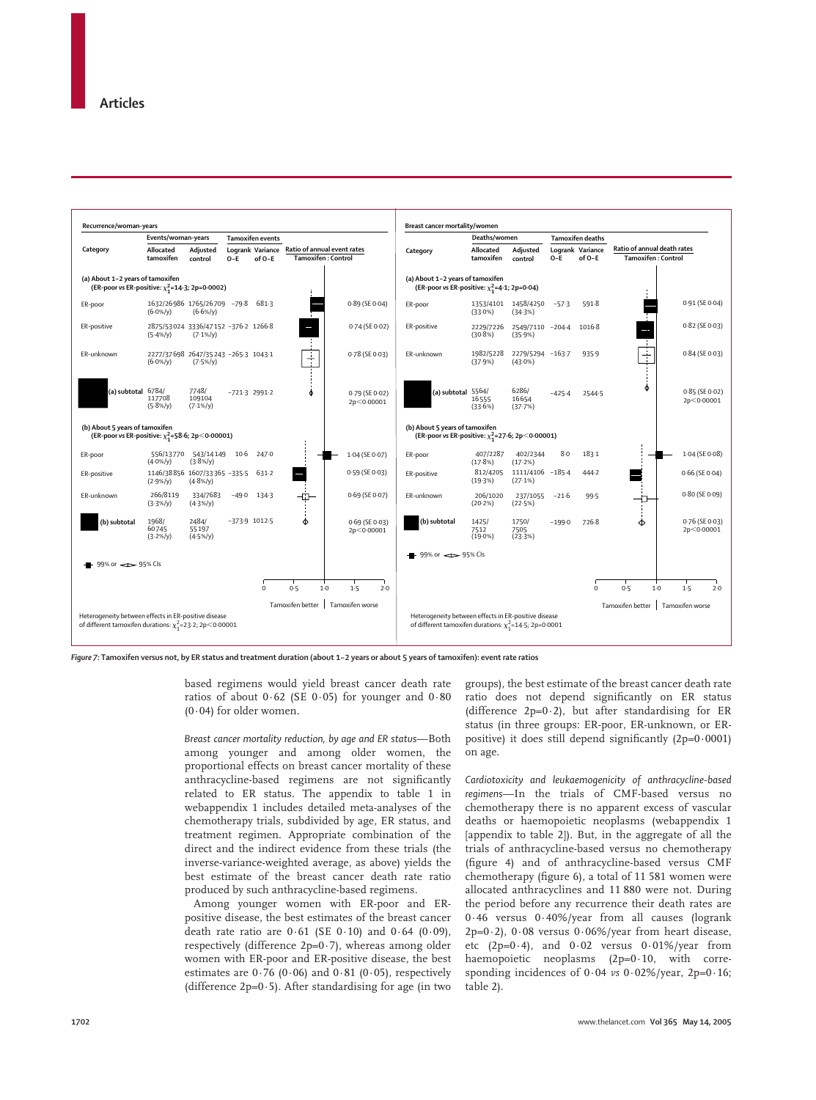

*Figure 7:* **Tamoxifen versus not, by ER status and treatment duration (about 1–2 years or about 5 years of tamoxifen): event rate ratios**

based regimens would yield breast cancer death rate ratios of about  $0.62$  (SE  $0.05$ ) for younger and  $0.80$  $(0.04)$  for older women.

*Breast cancer mortality reduction, by age and ER status*—Both among younger and among older women, the proportional effects on breast cancer mortality of these anthracycline-based regimens are not significantly related to ER status. The appendix to table 1 in webappendix 1 includes detailed meta-analyses of the chemotherapy trials, subdivided by age, ER status, and treatment regimen. Appropriate combination of the direct and the indirect evidence from these trials (the inverse-variance-weighted average, as above) yields the best estimate of the breast cancer death rate ratio produced by such anthracycline-based regimens.

Among younger women with ER-poor and ERpositive disease, the best estimates of the breast cancer death rate ratio are  $0.61$  (SE  $0.10$ ) and  $0.64$  (0.09), respectively (difference  $2p=0.7$ ), whereas among older women with ER-poor and ER-positive disease, the best estimates are  $0.76$  (0.06) and  $0.81$  (0.05), respectively (difference  $2p=0.5$ ). After standardising for age (in two groups), the best estimate of the breast cancer death rate ratio does not depend significantly on ER status (difference  $2p=0.2$ ), but after standardising for ER status (in three groups: ER-poor, ER-unknown, or ERpositive) it does still depend significantly  $(2p=0.0001)$ on age.

*Cardiotoxicity and leukaemogenicity of anthracycline-based regimens*—In the trials of CMF-based versus no chemotherapy there is no apparent excess of vascular deaths or haemopoietic neoplasms (webappendix 1 [appendix to table 2]). But, in the aggregate of all the trials of anthracycline-based versus no chemotherapy (figure 4) and of anthracycline-based versus CMF chemotherapy (figure 6), a total of 11 581 women were allocated anthracyclines and 11 880 were not. During the period before any recurrence their death rates are 0·46 versus 0·40%/year from all causes (logrank  $2p=0.2$ ),  $0.08$  versus  $0.06\%/year$  from heart disease, etc (2p=0 $\cdot$ 4), and 0 $\cdot$ 02 versus 0 $\cdot$ 01%/year from haemopoietic neoplasms (2p=0.10, with corresponding incidences of 0·04 *vs* 0·02%/year, 2p=0·16; table 2).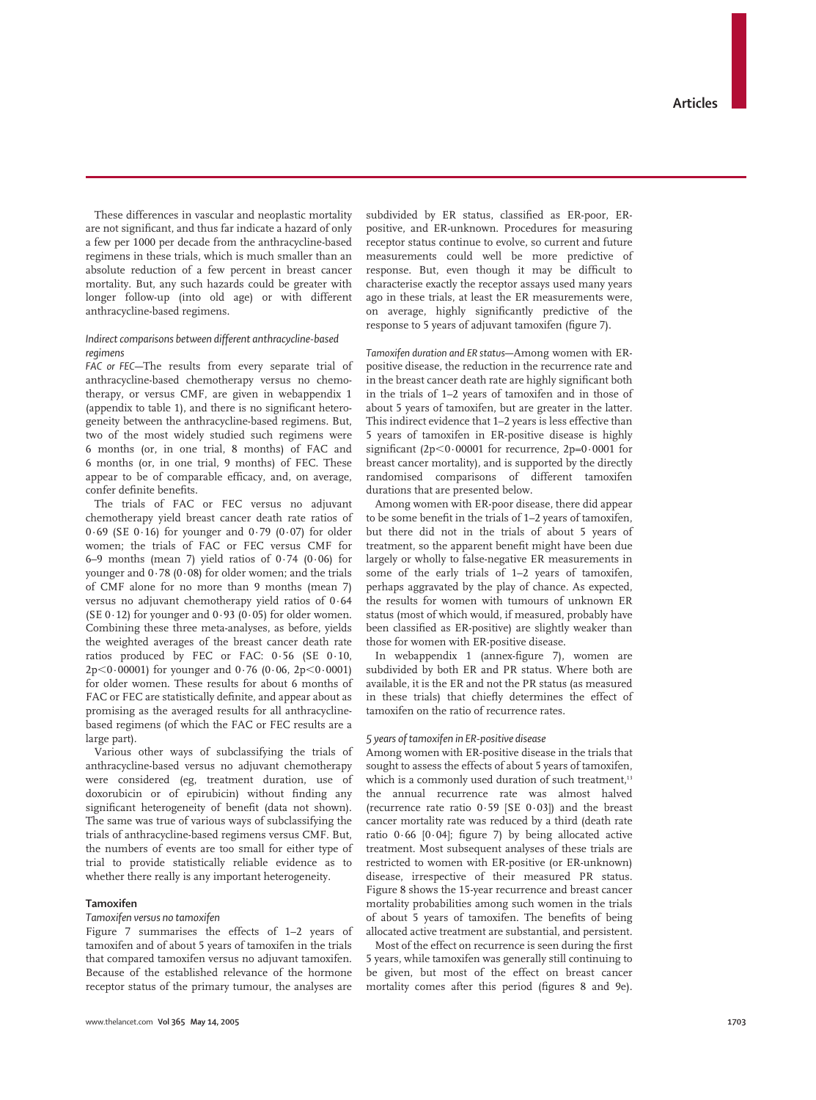These differences in vascular and neoplastic mortality are not significant, and thus far indicate a hazard of only a few per 1000 per decade from the anthracycline-based regimens in these trials, which is much smaller than an absolute reduction of a few percent in breast cancer mortality. But, any such hazards could be greater with longer follow-up (into old age) or with different anthracycline-based regimens.

# *Indirect comparisons between different anthracycline-based regimens*

*FAC or FEC—*The results from every separate trial of anthracycline-based chemotherapy versus no chemotherapy, or versus CMF, are given in webappendix 1 (appendix to table 1), and there is no significant heterogeneity between the anthracycline-based regimens. But, two of the most widely studied such regimens were 6 months (or, in one trial, 8 months) of FAC and 6 months (or, in one trial, 9 months) of FEC. These appear to be of comparable efficacy, and, on average, confer definite benefits.

The trials of FAC or FEC versus no adjuvant chemotherapy yield breast cancer death rate ratios of  $0.69$  (SE  $0.16$ ) for younger and  $0.79$  (0.07) for older women; the trials of FAC or FEC versus CMF for 6–9 months (mean 7) yield ratios of  $0.74$  (0.06) for younger and  $0.78$  (0.08) for older women; and the trials of CMF alone for no more than 9 months (mean 7) versus no adjuvant chemotherapy yield ratios of 0·64 (SE  $0.12$ ) for younger and  $0.93$  ( $0.05$ ) for older women. Combining these three meta-analyses, as before, yields the weighted averages of the breast cancer death rate ratios produced by FEC or FAC: 0·56 (SE 0·10,  $2p<0.00001$ ) for younger and  $0.76$  (0.06,  $2p<0.0001$ ) for older women. These results for about 6 months of FAC or FEC are statistically definite, and appear about as promising as the averaged results for all anthracyclinebased regimens (of which the FAC or FEC results are a large part).

Various other ways of subclassifying the trials of anthracycline-based versus no adjuvant chemotherapy were considered (eg, treatment duration, use of doxorubicin or of epirubicin) without finding any significant heterogeneity of benefit (data not shown). The same was true of various ways of subclassifying the trials of anthracycline-based regimens versus CMF. But, the numbers of events are too small for either type of trial to provide statistically reliable evidence as to whether there really is any important heterogeneity.

#### **Tamoxifen**

# *Tamoxifen versus no tamoxifen*

Figure 7 summarises the effects of 1–2 years of tamoxifen and of about 5 years of tamoxifen in the trials that compared tamoxifen versus no adjuvant tamoxifen. Because of the established relevance of the hormone receptor status of the primary tumour, the analyses are subdivided by ER status, classified as ER-poor, ERpositive, and ER-unknown. Procedures for measuring receptor status continue to evolve, so current and future measurements could well be more predictive of response. But, even though it may be difficult to characterise exactly the receptor assays used many years ago in these trials, at least the ER measurements were, on average, highly significantly predictive of the response to 5 years of adjuvant tamoxifen (figure 7).

*Tamoxifen duration and ER status—*Among women with ERpositive disease, the reduction in the recurrence rate and in the breast cancer death rate are highly significant both in the trials of 1–2 years of tamoxifen and in those of about 5 years of tamoxifen, but are greater in the latter. This indirect evidence that 1–2 years is less effective than 5 years of tamoxifen in ER-positive disease is highly significant (2p-0·00001 for recurrence, 2p=0·0001 for breast cancer mortality), and is supported by the directly randomised comparisons of different tamoxifen durations that are presented below.

Among women with ER-poor disease, there did appear to be some benefit in the trials of 1–2 years of tamoxifen, but there did not in the trials of about 5 years of treatment, so the apparent benefit might have been due largely or wholly to false-negative ER measurements in some of the early trials of 1–2 years of tamoxifen, perhaps aggravated by the play of chance. As expected, the results for women with tumours of unknown ER status (most of which would, if measured, probably have been classified as ER-positive) are slightly weaker than those for women with ER-positive disease.

In webappendix 1 (annex-figure 7), women are subdivided by both ER and PR status. Where both are available, it is the ER and not the PR status (as measured in these trials) that chiefly determines the effect of tamoxifen on the ratio of recurrence rates.

# *5 years of tamoxifen in ER-positive disease*

Among women with ER-positive disease in the trials that sought to assess the effects of about 5 years of tamoxifen, which is a commonly used duration of such treatment,<sup>13</sup> the annual recurrence rate was almost halved (recurrence rate ratio  $0.59$  [SE  $0.03$ ]) and the breast cancer mortality rate was reduced by a third (death rate ratio  $0.66$  [0.04]; figure 7) by being allocated active treatment. Most subsequent analyses of these trials are restricted to women with ER-positive (or ER-unknown) disease, irrespective of their measured PR status. Figure 8 shows the 15-year recurrence and breast cancer mortality probabilities among such women in the trials of about 5 years of tamoxifen. The benefits of being allocated active treatment are substantial, and persistent.

Most of the effect on recurrence is seen during the first 5 years, while tamoxifen was generally still continuing to be given, but most of the effect on breast cancer mortality comes after this period (figures 8 and 9e).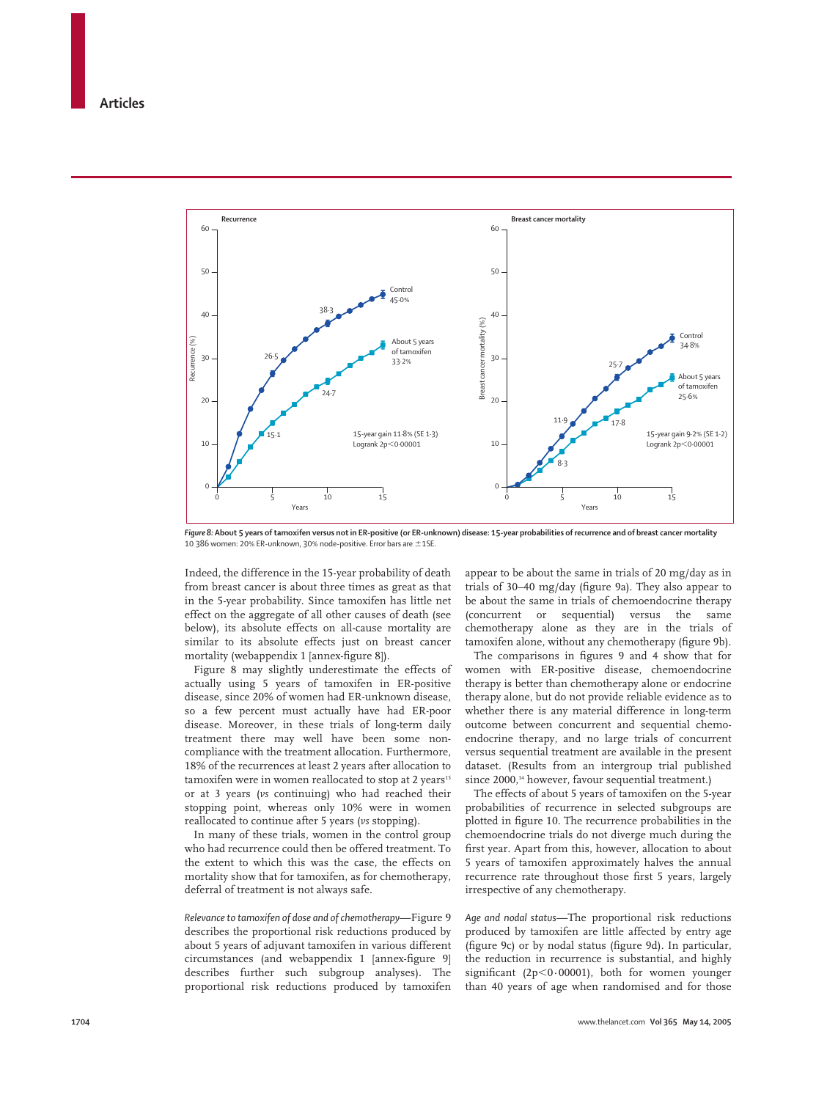

*Figure 8:* **About 5 years of tamoxifen versus not in ER-positive (or ER-unknown) disease: 15-year probabilities of recurrence and of breast cancer mortality** 10 386 women: 20% ER-unknown, 30% node-positive. Error bars are  $\pm$  1SE.

Indeed, the difference in the 15-year probability of death from breast cancer is about three times as great as that in the 5-year probability. Since tamoxifen has little net effect on the aggregate of all other causes of death (see below), its absolute effects on all-cause mortality are similar to its absolute effects just on breast cancer mortality (webappendix 1 [annex-figure 8]).

Figure 8 may slightly underestimate the effects of actually using 5 years of tamoxifen in ER-positive disease, since 20% of women had ER-unknown disease, so a few percent must actually have had ER-poor disease. Moreover, in these trials of long-term daily treatment there may well have been some noncompliance with the treatment allocation. Furthermore, 18% of the recurrences at least 2 years after allocation to tamoxifen were in women reallocated to stop at 2 years<sup>15</sup> or at 3 years (*vs* continuing) who had reached their stopping point, whereas only 10% were in women reallocated to continue after 5 years (*vs* stopping).

In many of these trials, women in the control group who had recurrence could then be offered treatment. To the extent to which this was the case, the effects on mortality show that for tamoxifen, as for chemotherapy, deferral of treatment is not always safe.

*Relevance to tamoxifen of dose and of chemotherapy*—Figure 9 describes the proportional risk reductions produced by about 5 years of adjuvant tamoxifen in various different circumstances (and webappendix 1 [annex-figure 9] describes further such subgroup analyses). The proportional risk reductions produced by tamoxifen appear to be about the same in trials of 20 mg/day as in trials of 30–40 mg/day (figure 9a). They also appear to be about the same in trials of chemoendocrine therapy (concurrent or sequential) versus the same chemotherapy alone as they are in the trials of tamoxifen alone, without any chemotherapy (figure 9b).

The comparisons in figures 9 and 4 show that for women with ER-positive disease, chemoendocrine therapy is better than chemotherapy alone or endocrine therapy alone, but do not provide reliable evidence as to whether there is any material difference in long-term outcome between concurrent and sequential chemoendocrine therapy, and no large trials of concurrent versus sequential treatment are available in the present dataset. (Results from an intergroup trial published since 2000,<sup>14</sup> however, favour sequential treatment.)

The effects of about 5 years of tamoxifen on the 5-year probabilities of recurrence in selected subgroups are plotted in figure 10. The recurrence probabilities in the chemoendocrine trials do not diverge much during the first year. Apart from this, however, allocation to about 5 years of tamoxifen approximately halves the annual recurrence rate throughout those first 5 years, largely irrespective of any chemotherapy.

*Age and nodal status*—The proportional risk reductions produced by tamoxifen are little affected by entry age (figure 9c) or by nodal status (figure 9d). In particular, the reduction in recurrence is substantial, and highly significant (2 $p$ <0 $\cdot$ 00001), both for women younger than 40 years of age when randomised and for those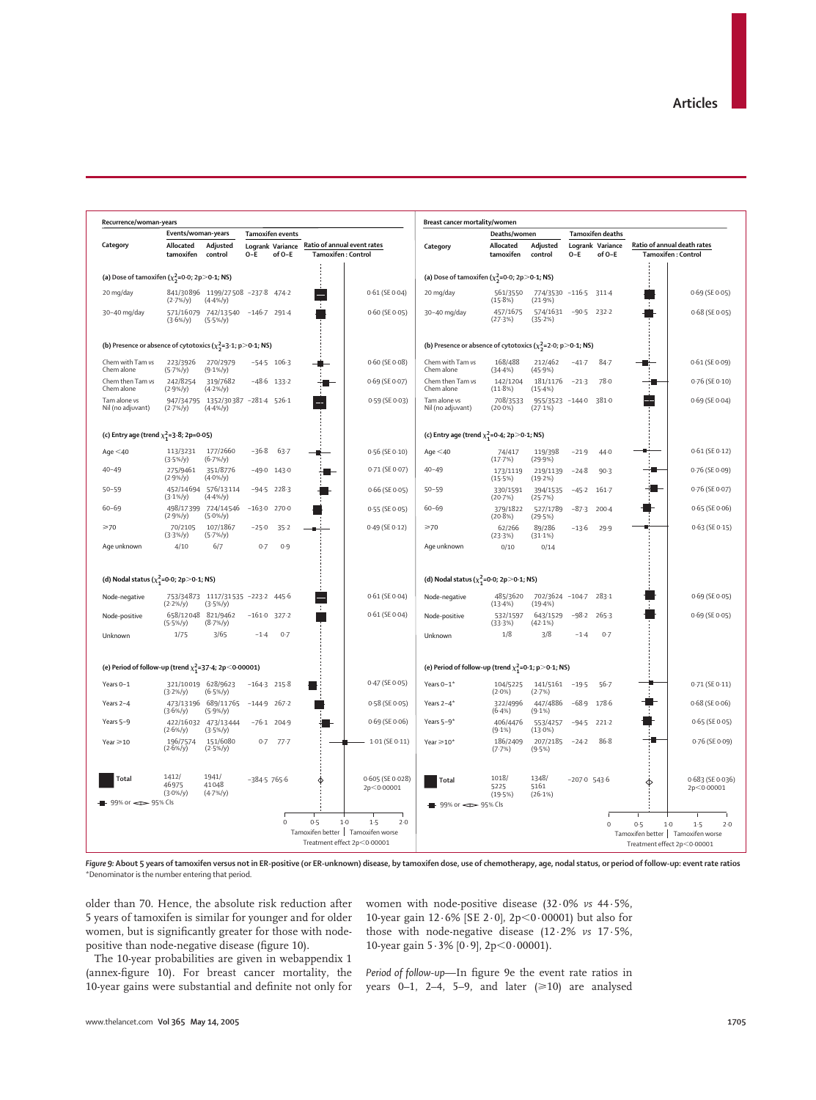|                                                                   |                                | Events/woman-years                            |                | <b>Tamoxifen events</b>    |                                                   |                                    |                                                                   | Deaths/women           |                                   |                | Tamoxifen deaths           |                             |                                                   |
|-------------------------------------------------------------------|--------------------------------|-----------------------------------------------|----------------|----------------------------|---------------------------------------------------|------------------------------------|-------------------------------------------------------------------|------------------------|-----------------------------------|----------------|----------------------------|-----------------------------|---------------------------------------------------|
| Category                                                          | Allocated<br>tamoxifen         | Adjusted<br>control                           | $O-E$          | Logrank Variance<br>of O-E | Ratio of annual event rates<br>Tamoxifen: Control |                                    | Category                                                          | Allocated<br>tamoxifen | Adjusted<br>control               | $O-E$          | Logrank Variance<br>of O-E |                             | Ratio of annual death rates<br>Tamoxifen: Control |
| (a) Dose of tamoxifen ( $\chi^2$ =0·0; 2p>0·1; NS)                |                                |                                               |                |                            |                                                   |                                    | (a) Dose of tamoxifen ( $\chi^2$ =0·0; 2p>0·1; NS)                |                        |                                   |                |                            |                             |                                                   |
| 20 mg/day                                                         |                                | 841/30896 1199/27508 -237-8 474-2             |                |                            |                                                   | $0.61$ (SE $0.04$ )                | 20 mg/day                                                         | 561/3550               | 774/3530 -116-5 311-4             |                |                            |                             | $0.69$ (SE $0.05$ )                               |
| 30-40 mg/day                                                      | (2.7%)                         | (4.4%)y)<br>571/16079 742/13540 -146-7 291-4  |                |                            |                                                   | $0.60$ (SE $0.05$ )                | 30-40 mg/day                                                      | (15.8%)<br>457/1675    | (21.9%)<br>574/1631 -90-5 232-2   |                |                            |                             | $0.68$ (SE $0.05$ )                               |
|                                                                   | (3.6%)y)                       | (5.5%)y)                                      |                |                            |                                                   |                                    |                                                                   | (27.3%)                | (35.2%)                           |                |                            |                             |                                                   |
| (b) Presence or absence of cytotoxics ( $\chi^2$ =3·1; p>0·1; NS) |                                |                                               |                |                            |                                                   |                                    | (b) Presence or absence of cytotoxics ( $\chi^2$ =2·0; p>0·1; NS) |                        |                                   |                |                            |                             |                                                   |
| Chem with Tam vs<br>Chem alone                                    | 223/3926<br>(5.7%)             | 270/2979<br>$(9.1\%/y)$                       |                | $-54.5$ 106.3              |                                                   | $0.60$ (SE $0.08$ )                | Chem with Tam vs<br>Chem alone                                    | 168/488<br>(34.4%)     | 212/462<br>(45.9%)                | $-41.7$        | $84 - 7$                   |                             | $0.61$ (SE $0.09$ )                               |
| Chem then Tam vs<br>Chem alone                                    | 242/8254<br>(2.9%)y)           | 319/7682<br>(4.2%)                            |                | $-48.6$ 133.2              |                                                   | 0.69 (SE 0.07)                     | Chem then Tam vs<br>Chem alone                                    | 142/1204<br>(11.8%)    | $181/1176 -213$<br>(15.4%)        |                | 78.0                       | ٠                           | $0.76$ (SE $0.10$ )                               |
| Tam alone vs<br>Nil (no adjuvant)                                 | (2.7%)y)                       | 947/34795 1352/30387 -281-4 526-1<br>(4.4%)y) |                |                            |                                                   | 0.59 (SE 0.03)                     | Tam alone vs<br>Nil (no adjuvant)                                 | 708/3533<br>$(20.0\%)$ | 955/3523 -1440<br>(27.1%)         |                | 381.0                      | - 1                         | $0.69$ (SE $0.04$ )                               |
| (c) Entry age (trend $\chi^2$ =3.8; 2p=0.05)                      |                                |                                               |                |                            |                                                   |                                    | (c) Entry age (trend $\chi^2$ =0·4; 2p>0·1; NS)                   |                        |                                   |                |                            |                             |                                                   |
| Age $\leq$ 40                                                     | 113/3231<br>(3.5%)y)           | 177/2660<br>(6.7%)                            | $-36.8$        | $63 - 7$                   |                                                   | $0.56$ (SE $0.10$ )                | Age $<$ 40                                                        | 74/417<br>(17.7%)      | 119/398<br>(29.9%)                | $-21.9$        | 44.0                       |                             | $0.61$ (SE $0.12$ )                               |
| $40 - 49$                                                         | 275/9461<br>(2.9%)y)           | 351/8776<br>$(4.0\%/y)$                       |                | $-49.0$ 143.0              |                                                   | 0-71 (SE 0-07)                     | $40 - 49$                                                         | 173/1119<br>(15.5%)    | 219/1139<br>(19.2%)               | $-24.8$        | $90-3$                     |                             | $0.76$ (SE $0.09$ )                               |
| $50 - 59$                                                         | 452/14694<br>(3-1%/y)          | 576/13114<br>(4.4%)y)                         |                | $-94.5$ 228.3              |                                                   | $0.66$ (SE $0.05$ )                | $50 - 59$                                                         | 330/1591<br>(20.7%)    | 394/1535<br>(25.7%)               | $-45.2$ 161.7  |                            |                             | $0.76$ (SE $0.07$ )                               |
| $60 - 69$                                                         | 498/17399<br>(2.9%)y)          | 724/14546<br>$(5.0\%/y)$                      | $-163.0$       | 270.0                      |                                                   | 0.55 (SE 0.05)                     | $60 - 69$                                                         | 379/1822<br>(20.8%)    | 527/1789<br>(29.5%)               | $-87.3$        | 200-4                      |                             | $0.65$ (SE $0.06$ )                               |
| $\geq 70$                                                         | 70/2105<br>(3.3%)y)            | 107/1867<br>(5.7%)y)                          | $-25.0$        | $35 - 2$                   |                                                   | 0-49 (SE 0-12)                     | $\geq 70$                                                         | 62/266<br>(23.3%)      | 89/286<br>$(31.1\%)$              | $-13.6$        | 29.9                       |                             | 0.63 (SE 0.15)                                    |
| Age unknown                                                       | 4/10                           | 6/7                                           | 0.7            | 0.9                        |                                                   |                                    | Age unknown                                                       | 0/10                   | 0/14                              |                |                            |                             |                                                   |
| (d) Nodal status ( $\chi^2$ =0·0; 2p>0·1; NS)                     |                                |                                               |                |                            |                                                   |                                    | (d) Nodal status ( $\chi^2$ =0·0; 2p>0·1; NS)                     |                        |                                   |                |                            |                             |                                                   |
| Node-negative                                                     | (2.2%)                         | 753/34873 1117/31535 -223-2 445-6<br>(3.5%)y) |                |                            |                                                   | 0.61 (SE 0.04)                     | Node-negative                                                     | 485/3620<br>(13.4%)    | 702/3624 -104-7 283-1<br>(19.4% ) |                |                            |                             | $0.69$ (SE $0.05$ )                               |
| Node-positive                                                     | 658/12048 821/9462<br>(5.5%)y) | (8.7%)                                        | $-161.0$ 327.2 |                            |                                                   | $0.61$ (SE $0.04$ )                | Node-positive                                                     | 532/1597<br>(33.3%)    | 643/1529<br>(42.1%)               | $-98.2$        | 265.3                      |                             | $0.69$ (SE $0.05$ )                               |
| Unknown                                                           | 1/75                           | 3/65                                          | $-1.4$         | 0.7                        |                                                   |                                    | Unknown                                                           | 1/8                    | 3/8                               | $-1.4$         | 0.7                        |                             |                                                   |
| (e) Period of follow-up (trend $\chi_1^2$ =37·4; 2p<0·00001)      |                                |                                               |                |                            |                                                   |                                    | (e) Period of follow-up (trend $\chi^2$ =0·1; p>0·1; NS)          |                        |                                   |                |                            |                             |                                                   |
| Years 0-1                                                         | 321/10019 628/9623<br>(3.2%)y) | (6.5%)y)                                      | $-164.3$ 215.8 |                            |                                                   | 0.47 (SE 0.05)                     | Years 0-1*                                                        | 104/5225<br>$(2.0\%)$  | 141/5161<br>(2.7%)                | $-19.5$        | $56 - 7$                   |                             | $0.71$ (SE $0.11$ )                               |
| Years 2-4                                                         | (3.6%)y)                       | 473/13196 689/11765<br>(5.9%)y)               | $-144.9$ 267.2 |                            |                                                   | $0.58$ (SE $0.05$ )                | Years $2-4$ <sup>*</sup>                                          | 322/4996<br>$(6.4\%)$  | 447/4886<br>(9.1%)                | $-68.9$        | 178.6                      |                             | $0.68$ (SE $0.06$ )                               |
| Years 5-9                                                         | 422/16032<br>$(2.6\%/y)$       | 473/13444<br>(3.5%)y)                         |                | $-76.1$ 204.9              |                                                   | $0.69$ (SE $0.06$ )                | Years 5-9*                                                        | 406/4476<br>(9.1%)     | 553/4257<br>$(13.0\%)$            | $-94.5$        | $221-2$                    |                             | $0.65$ (SE $0.05$ )                               |
| Year $\geq 10$                                                    | 196/7574<br>(2.6%)y)           | 151/6080<br>(2.5%)y)                          | 0.7            | 77.7                       |                                                   | $1.01$ (SE 0.11)                   | Year $\geq 10^*$                                                  | 186/2409<br>(7.7%)     | 207/2185<br>(9.5%)                | $-24-2$        | 86-8                       |                             | $0.76$ (SE $0.09$ )                               |
| Total                                                             | 1412/                          | 1941/                                         | $-384.5$ 765.6 |                            | ⋔                                                 | 0.605 (SE 0.028)                   |                                                                   | 1018/                  | 1348/                             | $-207.0$ 543.6 |                            |                             | 0.683 (SE 0.036)                                  |
|                                                                   | 46975<br>$(3.0\%/y)$           | 41048<br>(4.7%)                               |                |                            |                                                   | 2p<0.00001                         | Total                                                             | 5225<br>(19.5%)        | 5161<br>(26.1%)                   |                |                            | ♦                           | 2p<0.00001                                        |
|                                                                   |                                |                                               |                |                            |                                                   |                                    | $\bullet$ 99% or $\leftarrow$ 95% Cls                             |                        |                                   |                |                            |                             |                                                   |
|                                                                   |                                |                                               |                | $\Omega$                   | $1-0$<br>0.5                                      | 1.5<br>7.0                         |                                                                   |                        |                                   |                | $\Omega$                   | 0.5<br>$1-0$                | 1.5<br>$2-0$                                      |
|                                                                   |                                |                                               |                |                            | Treatment effect 2p<0.00001                       | Tamoxifen better   Tamoxifen worse |                                                                   |                        |                                   |                |                            | Treatment effect 2p<0.00001 | Tamoxifen better   Tamoxifen worse                |

*Figure 9:* **About 5 years of tamoxifen versus not in ER-positive (or ER-unknown) disease, by tamoxifen dose, use of chemotherapy, age, nodal status, or period of follow-up: event rate ratios** \*Denominator is the number entering that period.

older than 70. Hence, the absolute risk reduction after 5 years of tamoxifen is similar for younger and for older women, but is significantly greater for those with nodepositive than node-negative disease (figure 10).

women with node-positive disease (32·0% *vs* 44·5%, 10-year gain 12.6% [SE 2.0], 2p<0.00001) but also for those with node-negative disease (12·2% *vs* 17·5%, 10-year gain  $5.3\%$  [0.9],  $2p<0.00001$ ).

The 10-year probabilities are given in webappendix 1 (annex-figure 10). For breast cancer mortality, the 10-year gains were substantial and definite not only for

*Period of follow-up*—In figure 9e the event rate ratios in years  $0-1$ ,  $2-4$ ,  $5-9$ , and later  $(\geq 10)$  are analysed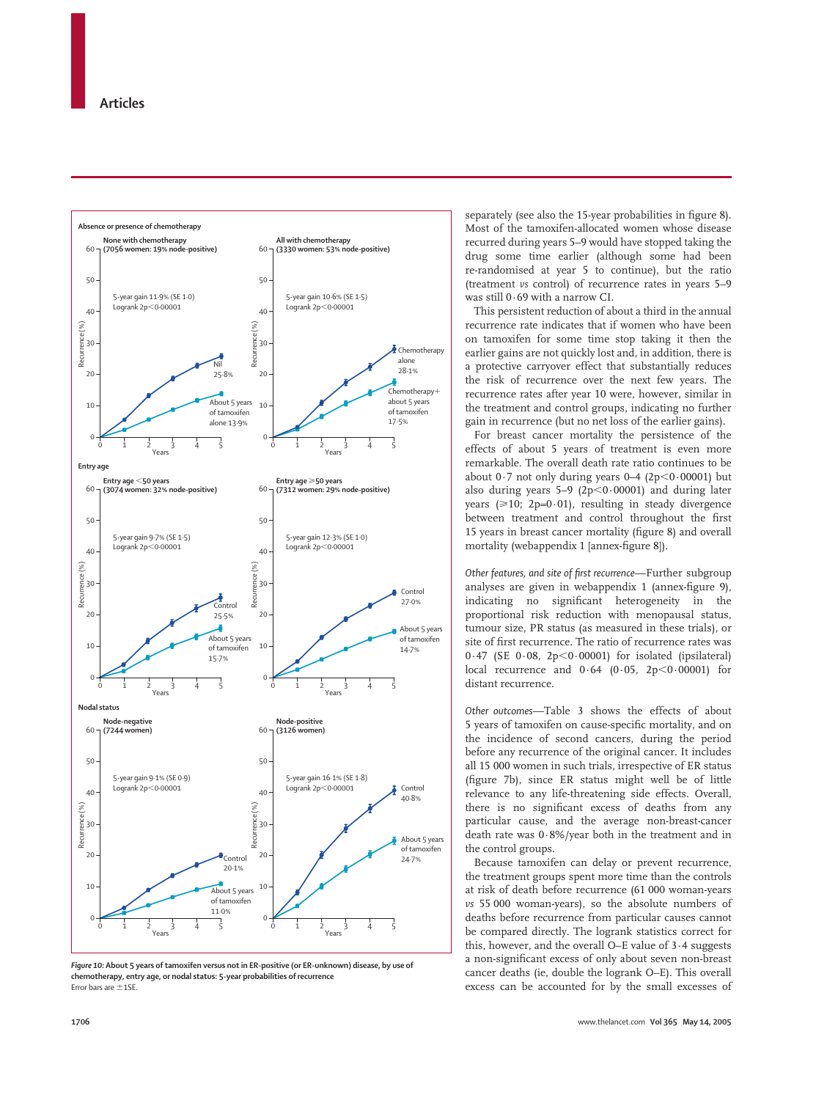

*Figure 10:* **About 5 years of tamoxifen versus not in ER-positive (or ER-unknown) disease, by use of chemotherapy, entry age, or nodal status: 5-year probabilities of recurrence** Error bars are  $\pm$  1SE.

separately (see also the 15-year probabilities in figure 8). Most of the tamoxifen-allocated women whose disease recurred during years 5–9 would have stopped taking the drug some time earlier (although some had been re-randomised at year 5 to continue), but the ratio (treatment *vs* control) of recurrence rates in years 5–9 was still 0·69 with a narrow CI.

This persistent reduction of about a third in the annual recurrence rate indicates that if women who have been on tamoxifen for some time stop taking it then the earlier gains are not quickly lost and, in addition, there is a protective carryover effect that substantially reduces the risk of recurrence over the next few years. The recurrence rates after year 10 were, however, similar in the treatment and control groups, indicating no further gain in recurrence (but no net loss of the earlier gains).

For breast cancer mortality the persistence of the effects of about 5 years of treatment is even more remarkable. The overall death rate ratio continues to be about  $0.7$  not only during years  $0-4$  (2p $<$ 0 $\cdot$ 00001) but also during years 5–9 (2p-0·00001) and during later years  $\approx 10$ ; 2p=0·01), resulting in steady divergence between treatment and control throughout the first 15 years in breast cancer mortality (figure 8) and overall mortality (webappendix 1 [annex-figure 8]).

*Other features, and site of first recurrence*—Further subgroup analyses are given in webappendix 1 (annex-figure 9), indicating no significant heterogeneity in the proportional risk reduction with menopausal status, tumour size, PR status (as measured in these trials), or site of first recurrence. The ratio of recurrence rates was 0.47 (SE 0.08, 2p<0.00001) for isolated (ipsilateral) local recurrence and  $0.64$  ( $0.05$ , 2p $<$ 0 $\cdot$ 00001) for distant recurrence.

*Other outcomes*—Table 3 shows the effects of about 5 years of tamoxifen on cause-specific mortality, and on the incidence of second cancers, during the period before any recurrence of the original cancer. It includes all 15 000 women in such trials, irrespective of ER status (figure 7b), since ER status might well be of little relevance to any life-threatening side effects. Overall, there is no significant excess of deaths from any particular cause, and the average non-breast-cancer death rate was 0·8%/year both in the treatment and in the control groups.

Because tamoxifen can delay or prevent recurrence, the treatment groups spent more time than the controls at risk of death before recurrence (61 000 woman-years *vs* 55 000 woman-years), so the absolute numbers of deaths before recurrence from particular causes cannot be compared directly. The logrank statistics correct for this, however, and the overall  $O-E$  value of  $3.4$  suggests a non-significant excess of only about seven non-breast cancer deaths (ie, double the logrank O–E). This overall excess can be accounted for by the small excesses of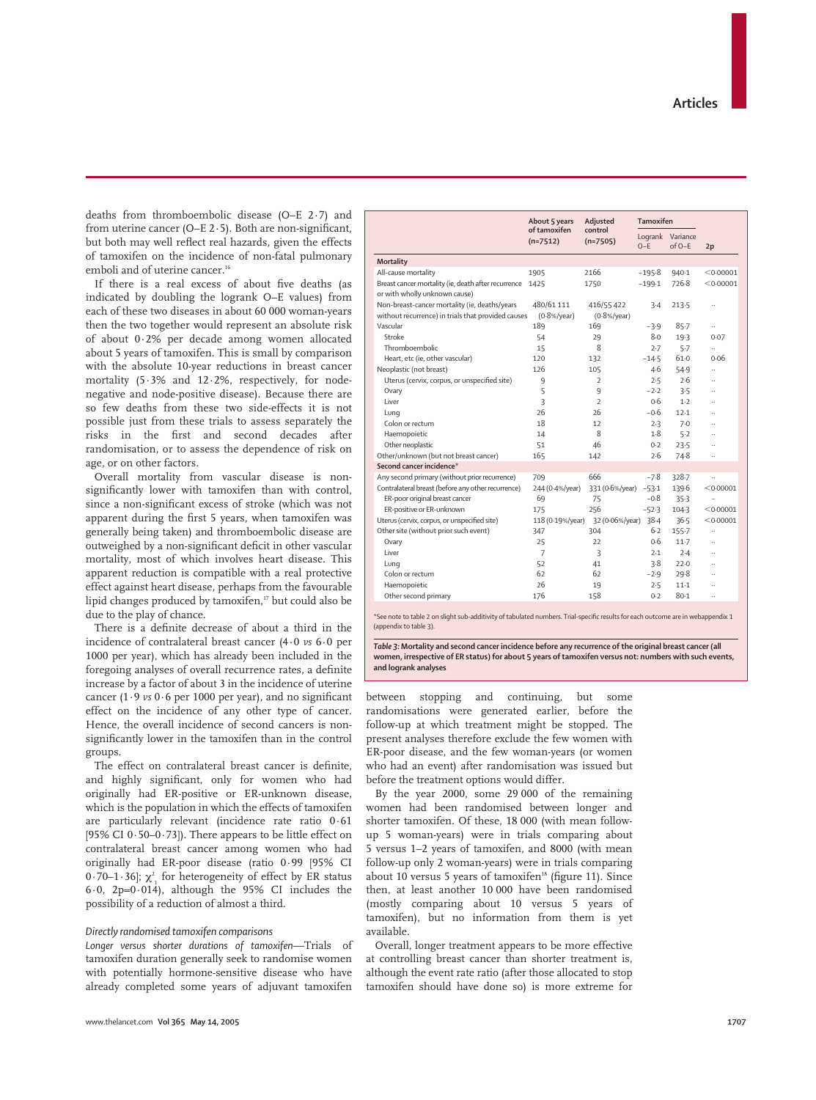deaths from thromboembolic disease (O–E 2·7) and from uterine cancer (O–E 2·5). Both are non-significant, but both may well reflect real hazards, given the effects of tamoxifen on the incidence of non-fatal pulmonary emboli and of uterine cancer.<sup>16</sup>

If there is a real excess of about five deaths (as indicated by doubling the logrank O–E values) from each of these two diseases in about 60 000 woman-years then the two together would represent an absolute risk of about 0·2% per decade among women allocated about 5 years of tamoxifen. This is small by comparison with the absolute 10-year reductions in breast cancer mortality  $(5.3\%$  and  $12.2\%$ , respectively, for nodenegative and node-positive disease). Because there are so few deaths from these two side-effects it is not possible just from these trials to assess separately the risks in the first and second decades after randomisation, or to assess the dependence of risk on age, or on other factors.

Overall mortality from vascular disease is nonsignificantly lower with tamoxifen than with control, since a non-significant excess of stroke (which was not apparent during the first 5 years, when tamoxifen was generally being taken) and thromboembolic disease are outweighed by a non-significant deficit in other vascular mortality, most of which involves heart disease. This apparent reduction is compatible with a real protective effect against heart disease, perhaps from the favourable lipid changes produced by tamoxifen,<sup>17</sup> but could also be due to the play of chance.

There is a definite decrease of about a third in the incidence of contralateral breast cancer (4·0 *vs* 6·0 per 1000 per year), which has already been included in the foregoing analyses of overall recurrence rates, a definite increase by a factor of about 3 in the incidence of uterine cancer (1·9 *vs* 0·6 per 1000 per year), and no significant effect on the incidence of any other type of cancer. Hence, the overall incidence of second cancers is nonsignificantly lower in the tamoxifen than in the control groups.

The effect on contralateral breast cancer is definite, and highly significant, only for women who had originally had ER-positive or ER-unknown disease, which is the population in which the effects of tamoxifen are particularly relevant (incidence rate ratio 0·61 [95% CI  $0.50-0.73$ ]). There appears to be little effect on contralateral breast cancer among women who had originally had ER-poor disease (ratio 0·99 [95% CI 0·70–1·36];  $\chi^2$  for heterogeneity of effect by ER status 6 $\cdot$ 0, 2p=0 $\cdot$ 014), although the 95% CI includes the possibility of a reduction of almost a third.

## *Directly randomised tamoxifen comparisons*

*Longer versus shorter durations of tamoxifen*—Trials of tamoxifen duration generally seek to randomise women with potentially hormone-sensitive disease who have already completed some years of adjuvant tamoxifen

|                                                                                      | About 5 years              | Adjusted                 | <b>Tamoxifen</b> |                              |                      |
|--------------------------------------------------------------------------------------|----------------------------|--------------------------|------------------|------------------------------|----------------------|
|                                                                                      | of tamoxifen<br>$(n=7512)$ | control<br>$(n=7505)$    | $O-E$            | Logrank Variance<br>$of O-E$ | 2p                   |
| Mortality                                                                            |                            |                          |                  |                              |                      |
| All-cause mortality                                                                  | 1905                       | 2166                     | $-195.8$         | 940.1                        | $<$ 0.00001          |
| Breast cancer mortality (ie, death after recurrence<br>or with wholly unknown cause) | 1425                       | 1750                     | $-199.1$         | 726.8                        | $<$ 0.00001          |
| Non-breast-cancer mortality (ie, deaths/years                                        | 480/61 111                 | 416/55422                | 3.4              | 213.5                        |                      |
| without recurrence) in trials that provided causes                                   | $(0.8%$ /year)             | $(0.8\%/year)$           |                  |                              |                      |
| Vascular                                                                             | 189                        | 169                      | $-3.9$           | $85 - 7$                     |                      |
| Stroke                                                                               | 54                         | 29                       | 8.0              | 19.3                         | 0.07                 |
| Thromboembolic                                                                       | 15                         | 8                        | 2.7              | 5.7                          | $\ddot{\phantom{a}}$ |
| Heart, etc (ie, other vascular)                                                      | 120                        | 132                      | $-14.5$          | 61.0                         | 0.06                 |
| Neoplastic (not breast)                                                              | 126                        | 105                      | 4.6              | 54.9                         | $\ddot{\phantom{a}}$ |
| Uterus (cervix, corpus, or unspecified site)                                         | 9                          | $\overline{2}$           | 2.5              | 2.6                          | $\ddot{\phantom{a}}$ |
| Ovary                                                                                | 5                          | 9                        | $-2.2$           | 3.5                          | $\ddot{\phantom{a}}$ |
| Liver                                                                                | 3                          | $\overline{\phantom{a}}$ | 0.6              | 1.2                          |                      |
| Lung                                                                                 | 26                         | 26                       | $-0.6$           | 12.1                         | $\sim$               |
| Colon or rectum                                                                      | 18                         | 12                       | 2.3              | 7.0                          | à.                   |
| Haemopoietic                                                                         | 14                         | 8                        | 1.8              | 5.2                          |                      |
| Other neoplastic                                                                     | 51                         | 46                       | 0.2              | 23.5                         |                      |
| Other/unknown (but not breast cancer)                                                | 165                        | 142                      | 2.6              | 74.8                         | $\ddot{\phantom{a}}$ |
| Second cancer incidence*                                                             |                            |                          |                  |                              |                      |
| Any second primary (without prior recurrence)                                        | 709                        | 666                      | $-7.8$           | 328.7                        | $\mathbf{r}$         |
| Contralateral breast (before any other recurrence)                                   | 244 (0.4%/year)            | 331 (0.6%/year)          | $-53.1$          | 139.6                        | $<$ 0.00001          |
| ER-poor original breast cancer                                                       | 69                         | 75                       | $-0.8$           | 35.3                         | ä.                   |
| ER-positive or ER-unknown                                                            | 175                        | 256                      | $-52.3$          | $104-3$                      | $<$ 0.00001          |
| Uterus (cervix, corpus, or unspecified site)                                         | 118 (0.19%/year)           | 32 (0.06%/year)          | $38-4$           | 36.5                         | $<$ 0.00001          |
| Other site (without prior such event)                                                | 347                        | 304                      | 6.2              | $155 - 7$                    | $\ddot{\phantom{a}}$ |
| Ovary                                                                                | 25                         | 22                       | 0.6              | 11.7                         | $\ddot{\phantom{0}}$ |
| Liver                                                                                | 7                          | 3                        | 2.1              | 2.4                          | a.                   |
| Lung                                                                                 | 52                         | 41                       | 3.8              | 22.0                         |                      |
| Colon or rectum                                                                      | 62                         | 62                       | $-2.9$           | 29.8                         | $\ddot{\phantom{a}}$ |
| Haemopoietic                                                                         | 26                         | 19                       | 2.5              | $11-1$                       | $\ddot{\phantom{a}}$ |
| Other second primary                                                                 | 176                        | 158                      | 0.2              | $80 - 1$                     | $\ddot{\phantom{a}}$ |

.<br>See note to table 2 on slight sub-additivity of tabulated numbers. Trial-specific results for each outcome are in webappendix 1 (appendix to table 3).

*Table 3:* **Mortality and second cancer incidence before any recurrence of the original breast cancer (all women, irrespective of ER status) for about 5 years of tamoxifen versus not: numbers with such events, and logrank analyses**

between stopping and continuing, but some randomisations were generated earlier, before the follow-up at which treatment might be stopped. The present analyses therefore exclude the few women with ER-poor disease, and the few woman-years (or women who had an event) after randomisation was issued but before the treatment options would differ.

By the year 2000, some 29 000 of the remaining women had been randomised between longer and shorter tamoxifen. Of these, 18 000 (with mean followup 5 woman-years) were in trials comparing about 5 versus 1–2 years of tamoxifen, and 8000 (with mean follow-up only 2 woman-years) were in trials comparing about 10 versus 5 years of tamoxifen<sup>18</sup> (figure 11). Since then, at least another 10 000 have been randomised (mostly comparing about 10 versus 5 years of tamoxifen), but no information from them is yet available.

Overall, longer treatment appears to be more effective at controlling breast cancer than shorter treatment is, although the event rate ratio (after those allocated to stop tamoxifen should have done so) is more extreme for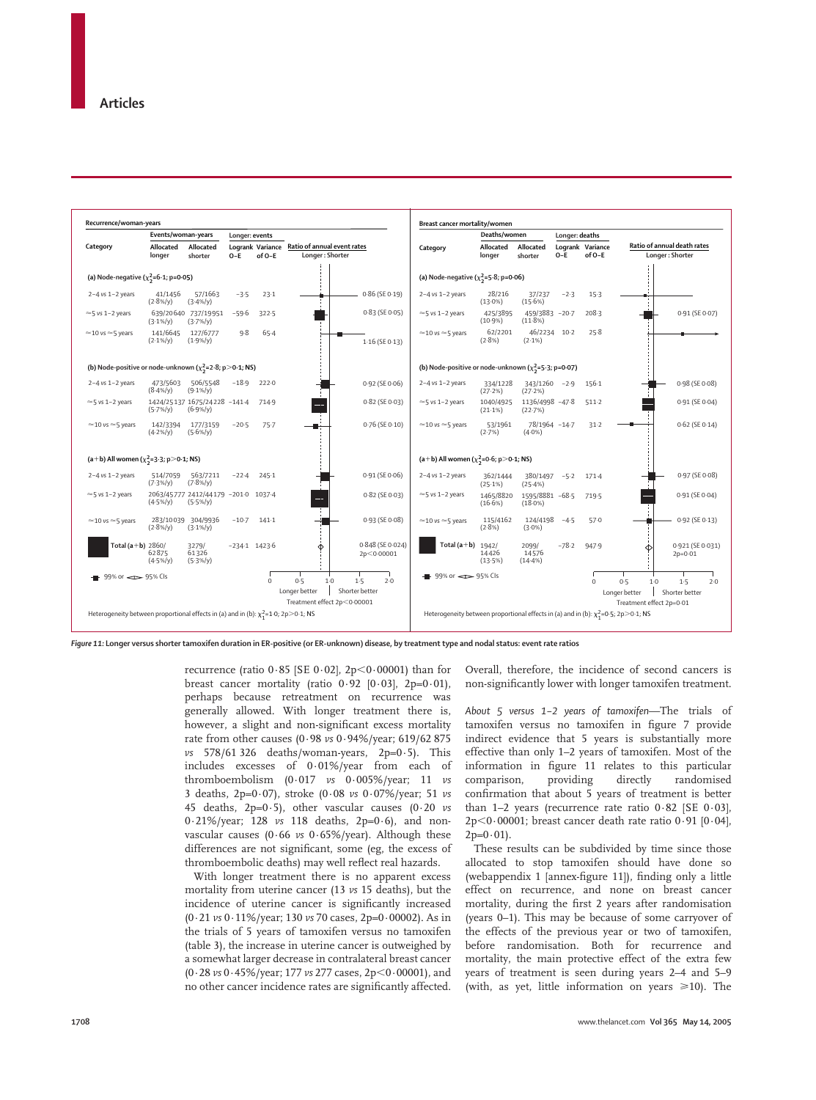

*Figure 11:* **Longer versus shorter tamoxifen duration in ER-positive (or ER-unknown) disease, by treatment type and nodal status: event rate ratios**

recurrence (ratio 0·85 [SE 0·02], 2p-0·00001) than for breast cancer mortality (ratio  $0.92$  [ $0.03$ ],  $2p=0.01$ ), perhaps because retreatment on recurrence was generally allowed. With longer treatment there is, however, a slight and non-significant excess mortality rate from other causes (0·98 *vs* 0·94%/year; 619/62 875 *vs* 578/61 326 deaths/woman-years, 2p=0·5). This includes excesses of 0·01%/year from each of thromboembolism (0·017 *vs* 0·005%/year; 11 *vs* 3 deaths, 2p=0·07), stroke (0·08 *vs* 0·07%/year; 51 *vs* 45 deaths, 2p=0·5), other vascular causes (0·20 *vs* 0·21%/year; 128 *vs* 118 deaths, 2p=0·6), and nonvascular causes (0·66 *vs* 0·65%/year). Although these differences are not significant, some (eg, the excess of thromboembolic deaths) may well reflect real hazards.

With longer treatment there is no apparent excess mortality from uterine cancer (13 *vs* 15 deaths), but the incidence of uterine cancer is significantly increased (0·21 *vs* 0·11%/year; 130 *vs* 70 cases, 2p=0·00002). As in the trials of 5 years of tamoxifen versus no tamoxifen (table 3), the increase in uterine cancer is outweighed by a somewhat larger decrease in contralateral breast cancer (0·28 *vs* 0·45%/year; 177 *vs* 277 cases, 2p-0·00001), and no other cancer incidence rates are significantly affected. Overall, therefore, the incidence of second cancers is non-significantly lower with longer tamoxifen treatment.

*About 5 versus 1–2 years of tamoxifen*—The trials of tamoxifen versus no tamoxifen in figure 7 provide indirect evidence that 5 years is substantially more effective than only 1–2 years of tamoxifen. Most of the information in figure 11 relates to this particular comparison, providing directly randomised confirmation that about 5 years of treatment is better than 1–2 years (recurrence rate ratio  $0.82$  [SE  $0.03$ ], 2p-0·00001; breast cancer death rate ratio 0·91 [0·04],  $2p=0.01$ ).

These results can be subdivided by time since those allocated to stop tamoxifen should have done so (webappendix 1 [annex-figure 11]), finding only a little effect on recurrence, and none on breast cancer mortality, during the first 2 years after randomisation (years 0–1). This may be because of some carryover of the effects of the previous year or two of tamoxifen, before randomisation. Both for recurrence and mortality, the main protective effect of the extra few years of treatment is seen during years 2–4 and 5–9 (with, as yet, little information on years  $\geq 10$ ). The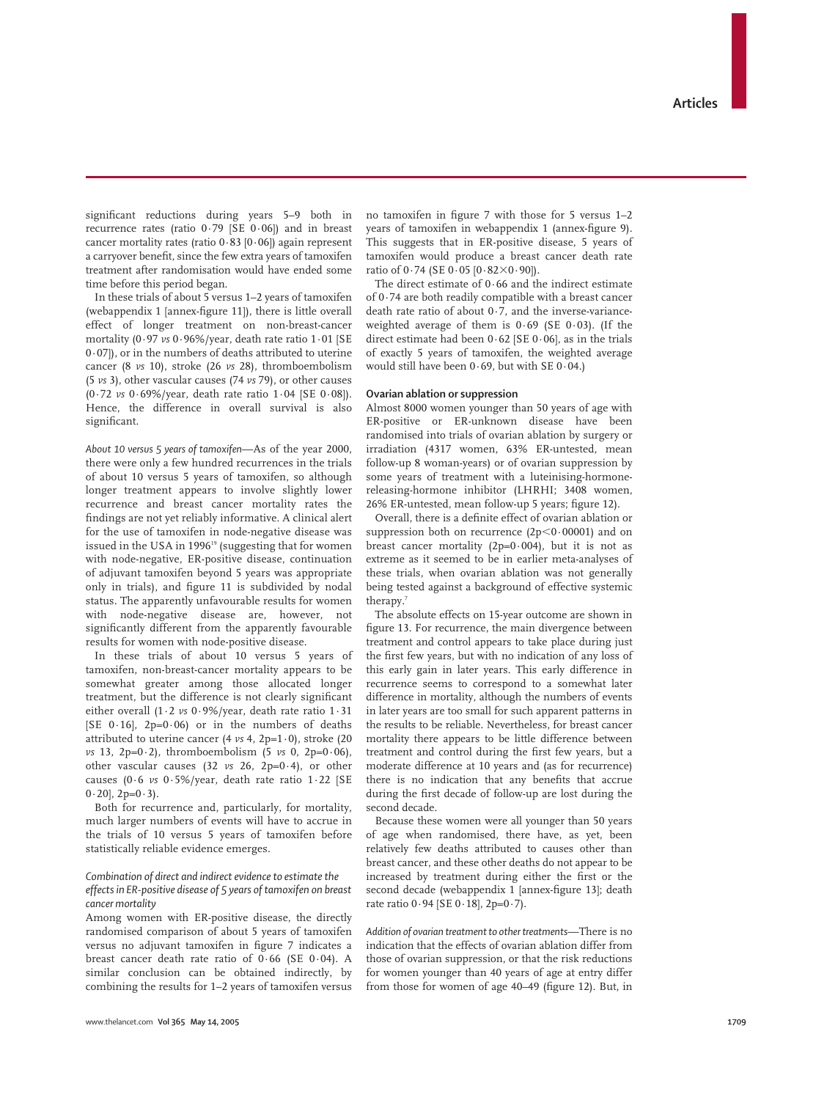significant reductions during years 5–9 both in recurrence rates (ratio  $0.79$  [SE  $0.06$ ]) and in breast cancer mortality rates (ratio  $0.83$  [ $0.06$ ]) again represent a carryover benefit, since the few extra years of tamoxifen treatment after randomisation would have ended some time before this period began.

In these trials of about 5 versus 1–2 years of tamoxifen (webappendix 1 [annex-figure 11]), there is little overall effect of longer treatment on non-breast-cancer mortality (0·97 *vs* 0·96%/year, death rate ratio 1·01 [SE 0·07]), or in the numbers of deaths attributed to uterine cancer (8 *vs* 10), stroke (26 *vs* 28), thromboembolism (5 *vs* 3), other vascular causes (74 *vs* 79), or other causes (0·72 *vs* 0·69%/year, death rate ratio 1·04 [SE 0·08]). Hence, the difference in overall survival is also significant.

*About 10 versus 5 years of tamoxifen*—As of the year 2000, there were only a few hundred recurrences in the trials of about 10 versus 5 years of tamoxifen, so although longer treatment appears to involve slightly lower recurrence and breast cancer mortality rates the findings are not yet reliably informative. A clinical alert for the use of tamoxifen in node-negative disease was issued in the USA in 1996<sup>19</sup> (suggesting that for women with node-negative, ER-positive disease, continuation of adjuvant tamoxifen beyond 5 years was appropriate only in trials), and figure 11 is subdivided by nodal status. The apparently unfavourable results for women with node-negative disease are, however, not significantly different from the apparently favourable results for women with node-positive disease.

In these trials of about 10 versus 5 years of tamoxifen, non-breast-cancer mortality appears to be somewhat greater among those allocated longer treatment, but the difference is not clearly significant either overall (1·2 *vs* 0·9%/year, death rate ratio 1·31 [SE  $0.16$ ], 2p= $0.06$ ] or in the numbers of deaths attributed to uterine cancer (4 *vs* 4, 2p=1·0), stroke (20 *vs* 13, 2p=0·2), thromboembolism (5 *vs* 0, 2p=0·06), other vascular causes (32 *vs* 26, 2p=0·4), or other causes (0·6 *vs* 0·5%/year, death rate ratio 1·22 [SE  $0.20$ ],  $2p=0.3$ ).

Both for recurrence and, particularly, for mortality, much larger numbers of events will have to accrue in the trials of 10 versus 5 years of tamoxifen before statistically reliable evidence emerges.

## *Combination of direct and indirect evidence to estimate the effects in ER-positive disease of 5 years of tamoxifen on breast cancer mortality*

Among women with ER-positive disease, the directly randomised comparison of about 5 years of tamoxifen versus no adjuvant tamoxifen in figure 7 indicates a breast cancer death rate ratio of 0·66 (SE 0·04). A similar conclusion can be obtained indirectly, by combining the results for 1–2 years of tamoxifen versus no tamoxifen in figure 7 with those for 5 versus 1–2 years of tamoxifen in webappendix 1 (annex-figure 9). This suggests that in ER-positive disease, 5 years of tamoxifen would produce a breast cancer death rate ratio of  $0.74$  (SE  $0.05$  [ $0.82 \times 0.90$ ]).

The direct estimate of 0·66 and the indirect estimate of 0·74 are both readily compatible with a breast cancer death rate ratio of about 0·7, and the inverse-varianceweighted average of them is  $0.69$  (SE  $0.03$ ). (If the direct estimate had been  $0.62$  [SE  $0.06$ ], as in the trials of exactly 5 years of tamoxifen, the weighted average would still have been  $0.69$ , but with SE  $0.04$ .)

# **Ovarian ablation or suppression**

Almost 8000 women younger than 50 years of age with ER-positive or ER-unknown disease have been randomised into trials of ovarian ablation by surgery or irradiation (4317 women, 63% ER-untested, mean follow-up 8 woman-years) or of ovarian suppression by some years of treatment with a luteinising-hormonereleasing-hormone inhibitor (LHRHI; 3408 women, 26% ER-untested, mean follow-up 5 years; figure 12).

Overall, there is a definite effect of ovarian ablation or suppression both on recurrence (2 $p<$ 0 $\cdot$ 00001) and on breast cancer mortality (2p=0 $\cdot$ 004), but it is not as extreme as it seemed to be in earlier meta-analyses of these trials, when ovarian ablation was not generally being tested against a background of effective systemic therapy.7

The absolute effects on 15-year outcome are shown in figure 13. For recurrence, the main divergence between treatment and control appears to take place during just the first few years, but with no indication of any loss of this early gain in later years. This early difference in recurrence seems to correspond to a somewhat later difference in mortality, although the numbers of events in later years are too small for such apparent patterns in the results to be reliable. Nevertheless, for breast cancer mortality there appears to be little difference between treatment and control during the first few years, but a moderate difference at 10 years and (as for recurrence) there is no indication that any benefits that accrue during the first decade of follow-up are lost during the second decade.

Because these women were all younger than 50 years of age when randomised, there have, as yet, been relatively few deaths attributed to causes other than breast cancer, and these other deaths do not appear to be increased by treatment during either the first or the second decade (webappendix 1 [annex-figure 13]; death rate ratio  $0.94$  [SE  $0.18$ ], 2p=0.7).

*Addition of ovarian treatment to other treatments*—There is no indication that the effects of ovarian ablation differ from those of ovarian suppression, or that the risk reductions for women younger than 40 years of age at entry differ from those for women of age 40–49 (figure 12). But, in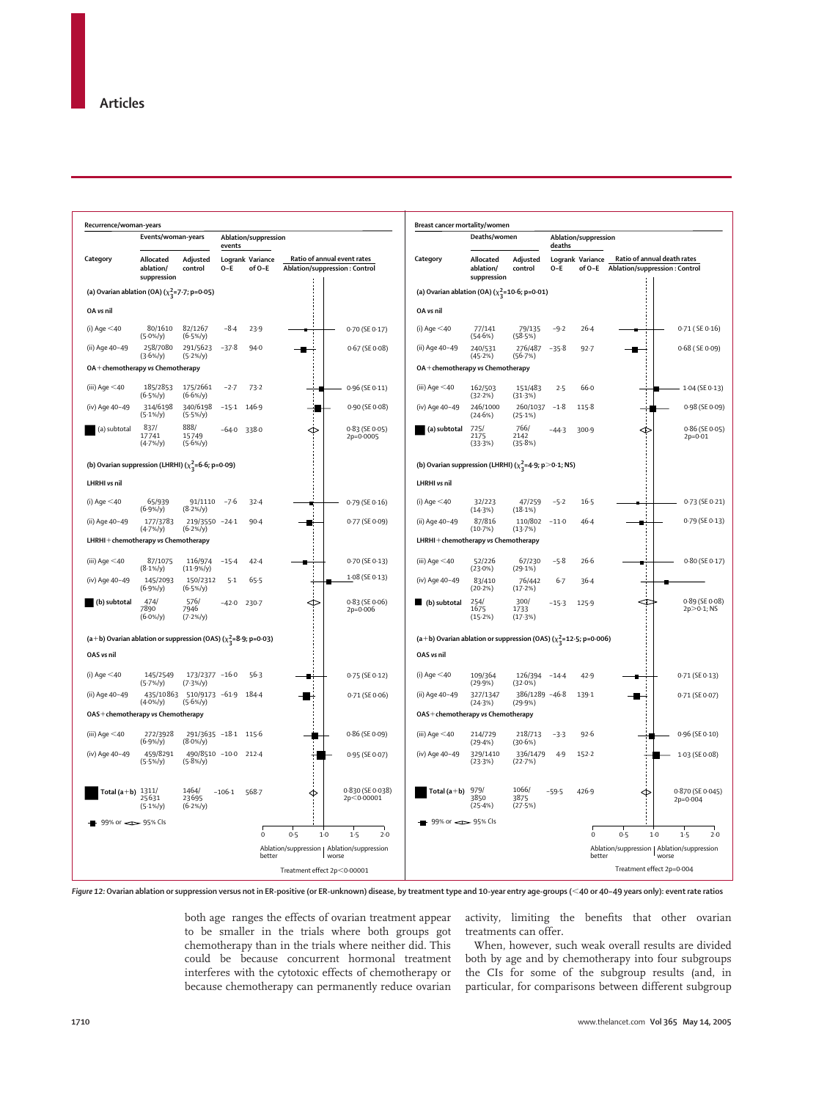| Recurrence/woman-years                                               |                                       |                                               |               |                            |                                                             |                                                               |                | Breast cancer mortality/women                                          |                                       |                            |         |                            |                               |                                                             |
|----------------------------------------------------------------------|---------------------------------------|-----------------------------------------------|---------------|----------------------------|-------------------------------------------------------------|---------------------------------------------------------------|----------------|------------------------------------------------------------------------|---------------------------------------|----------------------------|---------|----------------------------|-------------------------------|-------------------------------------------------------------|
|                                                                      | Events/woman-years                    |                                               | events        | Ablation/suppression       |                                                             |                                                               |                |                                                                        | Deaths/women                          |                            | deaths  | Ablation/suppression       |                               |                                                             |
| Category                                                             | Allocated<br>ablation/<br>suppression | Adjusted<br>control                           | $O-E$         | Logrank Variance<br>of O-E |                                                             | Ratio of annual event rates<br>Ablation/suppression : Control |                | Category                                                               | Allocated<br>ablation/<br>suppression | Adjusted<br>control        | O-E     | Logrank Variance<br>of O-E | Ablation/suppression: Control | Ratio of annual death rates                                 |
| (a) Ovarian ablation (OA) $(\chi^2_{3} = 7.7; p = 0.05)$             |                                       |                                               |               |                            |                                                             |                                                               |                | (a) Ovarian ablation (OA) ( $\chi^2_{3}$ =10.6; p=0.01)                |                                       |                            |         |                            |                               |                                                             |
| OA vs nil                                                            |                                       |                                               |               |                            |                                                             |                                                               |                | OA vs nil                                                              |                                       |                            |         |                            |                               |                                                             |
| (i) Age $<$ 40                                                       | 80/1610<br>$(5.0\%/y)$                | 82/1267<br>(6.5%)                             | $-8.4$        | 23.9                       |                                                             | 0.70 (SE 0.17)                                                |                | (i) Age $\leq$ 40                                                      | 77/141<br>(54.6%)                     | 79/135<br>(58.5%)          | $-9.2$  | $26-4$                     |                               | $0.71$ (SE $0.16$ )                                         |
| (ii) Age 40-49                                                       | 258/7080<br>$(3.6\%/y)$               | 291/5623<br>(5.2%)y)                          | $-37.8$       | $94 - 0$                   |                                                             | $0.67$ (SE $0.08$ )                                           |                | (ii) Age 40-49                                                         | 240/531<br>(45.2%)                    | 276/487<br>(56.7%)         | $-35.8$ | $92 - 7$                   |                               | $0.68$ (SE $0.09$ )                                         |
| OA+chemotherapy vs Chemotherapy                                      |                                       |                                               |               |                            |                                                             |                                                               |                | OA+chemotherapy vs Chemotherapy                                        |                                       |                            |         |                            |                               |                                                             |
| (iii) Age $<$ 40                                                     | 185/2853<br>(6.5%)y)                  | 175/2661<br>$(6.6%$ /y)                       | $-2.7$        | 73.2                       |                                                             | 0.96 (SE 0.11)                                                |                | (iii) Age $<$ 40                                                       | 162/503<br>(32.2%)                    | 151/483<br>(31.3%)         | 2.5     | 66.0                       |                               | $1.04$ (SE 0.13)                                            |
| (iv) Age 40-49                                                       | 314/6198<br>$(5.1\%/y)$               | 340/6198<br>(5.5%)y                           | $-15.1$ 146.9 |                            |                                                             | $0.90$ (SE $0.08$ )                                           |                | (iv) Age 40-49                                                         | 246/1000<br>(24.6%)                   | 260/1037<br>(25.1%)        | $-1.8$  | 115.8                      |                               | 0-98 (SE 0-09)                                              |
| (a) subtotal                                                         | 837/<br>17741<br>(4.7%)               | 888/<br>15749<br>$(5.6\%/y)$                  | $-64.0$ 338.0 |                            | ◆                                                           | 0.83 (SE 0.05)<br>2p=0.0005                                   |                | (a) subtotal                                                           | 725/<br>2175<br>(33.3%)               | 766/<br>2142<br>(35.8%)    | $-44.3$ | 300.9                      | ◆                             | $0.86$ (SE $0.05$ )<br>$2p=0.01$                            |
| (b) Ovarian suppression (LHRHI) ( $\chi^2$ =6.6; p=0.09)             |                                       |                                               |               |                            |                                                             |                                                               |                | (b) Ovarian suppression (LHRHI) ( $\chi^2$ =4.9; p>0.1; NS)            |                                       |                            |         |                            |                               |                                                             |
| <b>LHRHI</b> vs nil                                                  |                                       |                                               |               |                            |                                                             |                                                               |                | LHRHI vs nil                                                           |                                       |                            |         |                            |                               |                                                             |
| (i) Age $\leq$ 40                                                    | 65/939<br>(6.9%)y)                    | $91/1110 - 7.6$<br>(8.2%)                     |               | $32 - 4$                   |                                                             | $0.79$ (SE $0.16$ )                                           |                | (i) Age $\leq$ 40                                                      | 32/223<br>(14.3%)                     | 47/259<br>(18.1%)          | $-5.2$  | $16-5$                     |                               | 0.73 (SE 0.21)                                              |
| (ii) Age 40-49                                                       | 177/3783<br>(4.7%)                    | 219/3550 -24-1<br>(6.2%)                      |               | $90-4$                     |                                                             | 0.77 (SE 0.09)                                                |                | (ii) Age 40-49                                                         | 87/816<br>(10.7%)                     | $110/802 -110$<br>(13.7%)  |         | $46-4$                     |                               | 0.79 (SE 0.13)                                              |
| $LHRHI + chemotherapy$ vs Chemotherapy                               |                                       |                                               |               |                            |                                                             |                                                               |                | LHRHI+chemotherapy vs Chemotherapy                                     |                                       |                            |         |                            |                               |                                                             |
| (iii) Age $<$ 40                                                     | 87/1075<br>$(8.1\%/y)$                | 116/974<br>(11.9%)                            | $-15-4$       | $42 - 4$                   |                                                             | 0.70 (SE 0.13)                                                |                | (iii) Age $<$ 40                                                       | 52/226<br>(23.0%)                     | 67/230<br>(29.1%)          | $-5.8$  | $26-6$                     |                               | 0.80 (SE 0.17)                                              |
| (iv) Age 40-49                                                       | 145/2093<br>(6.9%)                    | 150/2312<br>(6.5%)                            | $5-1$         | 65.5                       |                                                             | $1.08$ (SE 0.13)                                              |                | (iv) Age 40-49                                                         | 83/410<br>(20.2%)                     | 76/442<br>(17.2%)          | $6 - 7$ | $36-4$                     |                               |                                                             |
| (b) subtotal                                                         | 474/<br>7890<br>$(6.0\%/y)$           | 576/<br>7946<br>(7.2%)                        | $-42.0$ 230.7 |                            | ◇                                                           | 0.83 (SE 0.06)<br>$2p=0.006$                                  |                | (b) subtotal                                                           | 254/<br>1675<br>(15.2%)               | 300/<br>1733<br>(17.3%)    | $-15.3$ | 125.9                      | 虛                             | $0.89$ (SE $0.08$ )<br>2p>0-1; NS                           |
| (a+b) Ovarian ablation or suppression (OAS) ( $\chi^2$ =8.9; p=0.03) |                                       |                                               |               |                            |                                                             |                                                               |                | (a+b) Ovarian ablation or suppression (OAS) ( $\chi^2$ =12.5; p=0.006) |                                       |                            |         |                            |                               |                                                             |
| OAS vs nil                                                           |                                       |                                               |               |                            |                                                             |                                                               |                | OAS vs nil                                                             |                                       |                            |         |                            |                               |                                                             |
| (i) Age $<$ 40                                                       | 145/2549<br>(5.7%)                    | 173/2377 -16-0<br>(7.3%)                      |               | $56-3$                     |                                                             | 0.75 (SE 0.12)                                                |                | (i) Age $<$ 40                                                         | 109/364<br>(29.9%)                    | $126/394 -14.4$<br>(32.0%) |         | 42.9                       |                               | 0.71 (SE 0.13)                                              |
| (ii) Age 40-49                                                       | $(4.0\%$ /y)                          | 435/10863 510/9173 -61-9 184-4<br>$(5.6\%/y)$ |               |                            |                                                             |                                                               | 0.71 (SE 0.06) | (ii) Age 40-49                                                         | 327/1347<br>(24.3%)                   | 386/1289 -46-8<br>(29.9%)  |         | 139.1                      |                               | 0.71 (SE 0.07)                                              |
| OAS+chemotherapy vs Chemotherapy                                     |                                       |                                               |               |                            |                                                             |                                                               |                | OAS+chemotherapy vs Chemotherapy                                       |                                       |                            |         |                            |                               |                                                             |
| (iii) Age $\leq$ 40                                                  | 272/3928<br>$(6.9\%/y)$               | 291/3635 -18-1 115-6<br>$(8.0\%/y)$           |               |                            |                                                             | $0.86$ (SE $0.09$ )                                           |                | (iii) Age $<$ 40                                                       | 214/729<br>(29.4%)                    | 218/713<br>(30.6%)         | $-3.3$  | 92.6                       |                               | 0.96 (SE 0.10)                                              |
| (iv) Age 40-49                                                       | 459/8291<br>(5.5%)y)                  | 490/8510 -10-0 212-4<br>$(5.8\%/y)$           |               |                            |                                                             | 0-95 (SE 0-07)                                                |                | (iv) Age 40-49                                                         | 329/1410<br>(23.3%)                   | 336/1479<br>(22.7%)        | 4.9     | 152.2                      |                               | $1.03$ (SE 0.08)                                            |
| Total (a+b) $1311/$                                                  | 25631<br>$(5.1\%/y)$                  | 1464/<br>23695<br>(6.2%)                      | $-106.1$      | 568-7                      | ♦                                                           | 0.830 (SE 0.038)<br>2p<0.00001                                |                | Total $(a+b)$                                                          | 979/<br>3850<br>(25.4%)               | 1066/<br>3875<br>(27.5%)   | $-59.5$ | 426.9                      | ♦                             | 0-870 (SE 0-045)<br>$2p=0.004$                              |
| 99% or $\leftarrow$ 95% Cls                                          |                                       |                                               |               |                            |                                                             |                                                               |                | $\bullet$ 99% or $\leftarrow$ 95% Cls                                  |                                       |                            |         |                            |                               |                                                             |
|                                                                      |                                       |                                               |               | $\mathbf 0$                | 0.5<br>$1-0$<br>Ablation/suppression   Ablation/suppression | 1.5                                                           | $2-0$          |                                                                        |                                       |                            |         | $\Omega$                   | 0.5<br>$1-0$                  | 1.5<br>$2-0$<br>Ablation/suppression   Ablation/suppression |
|                                                                      |                                       |                                               |               | better                     | Treatment effect 2p<0.00001                                 | worse                                                         |                |                                                                        |                                       |                            |         | better                     | Treatment effect 2p=0-004     | worse                                                       |
|                                                                      |                                       |                                               |               |                            |                                                             |                                                               |                |                                                                        |                                       |                            |         |                            |                               |                                                             |

*Figure 12:* **Ovarian ablation or suppression versus not in ER-positive (or ER-unknown) disease, by treatment type and 10-year entry age-groups (**-**40 or 40–49 years only): event rate ratios**

both age ranges the effects of ovarian treatment appear to be smaller in the trials where both groups got chemotherapy than in the trials where neither did. This could be because concurrent hormonal treatment interferes with the cytotoxic effects of chemotherapy or because chemotherapy can permanently reduce ovarian

activity, limiting the benefits that other ovarian treatments can offer.

When, however, such weak overall results are divided both by age and by chemotherapy into four subgroups the CIs for some of the subgroup results (and, in particular, for comparisons between different subgroup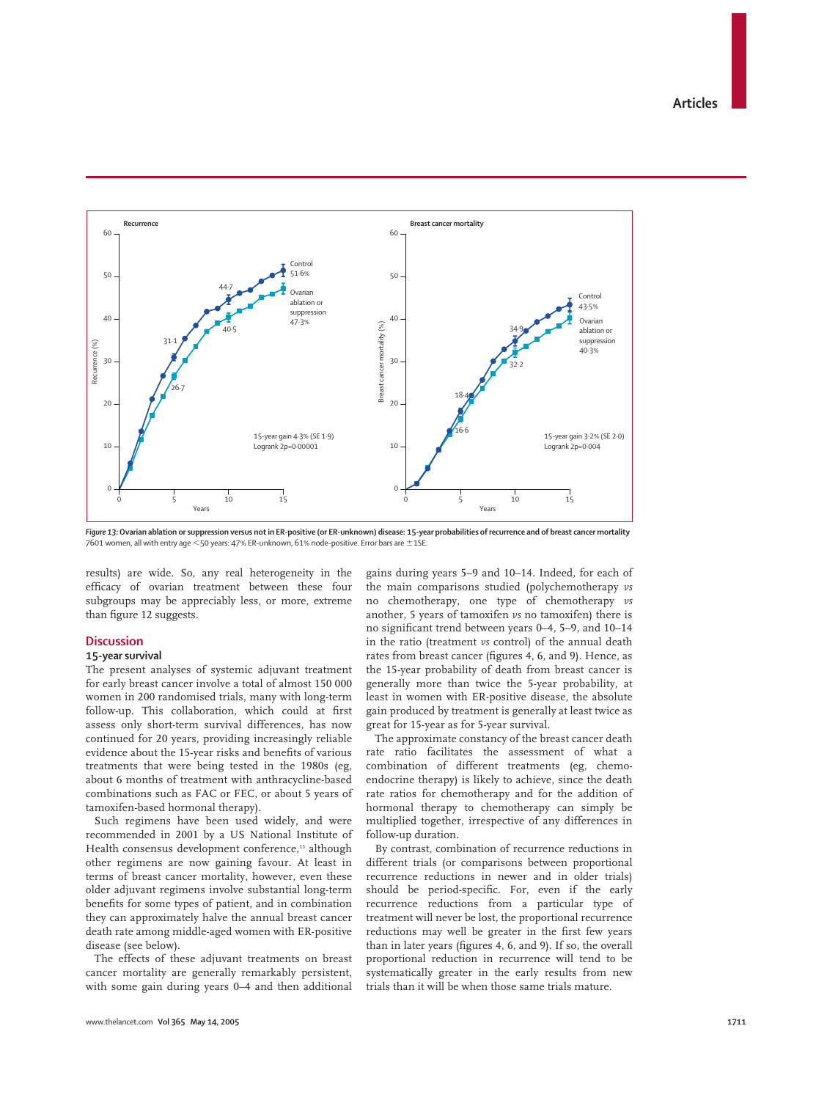

*Figure 13:* **Ovarian ablation or suppression versus not in ER-positive (or ER-unknown) disease: 15-year probabilities of recurrence and of breast cancer mortality** 7601 women, all with entry age  $<$  50 years: 47% ER-unknown, 61% node-positive. Error bars are  $\pm$  1SE.

results) are wide. So, any real heterogeneity in the efficacy of ovarian treatment between these four subgroups may be appreciably less, or more, extreme than figure 12 suggests.

## **Discussion**

# **15-year survival**

The present analyses of systemic adjuvant treatment for early breast cancer involve a total of almost 150 000 women in 200 randomised trials, many with long-term follow-up. This collaboration, which could at first assess only short-term survival differences, has now continued for 20 years, providing increasingly reliable evidence about the 15-year risks and benefits of various treatments that were being tested in the 1980s (eg, about 6 months of treatment with anthracycline-based combinations such as FAC or FEC, or about 5 years of tamoxifen-based hormonal therapy).

Such regimens have been used widely, and were recommended in 2001 by a US National Institute of Health consensus development conference,<sup>13</sup> although other regimens are now gaining favour. At least in terms of breast cancer mortality, however, even these older adjuvant regimens involve substantial long-term benefits for some types of patient, and in combination they can approximately halve the annual breast cancer death rate among middle-aged women with ER-positive disease (see below).

The effects of these adjuvant treatments on breast cancer mortality are generally remarkably persistent, with some gain during years 0–4 and then additional

www.thelancet.com **Vol 365 May 14, 2005** 1711

gains during years 5–9 and 10–14. Indeed, for each of the main comparisons studied (polychemotherapy *vs* no chemotherapy, one type of chemotherapy *vs* another, 5 years of tamoxifen *vs* no tamoxifen) there is no significant trend between years 0–4, 5–9, and 10–14 in the ratio (treatment *vs* control) of the annual death rates from breast cancer (figures 4, 6, and 9). Hence, as the 15-year probability of death from breast cancer is generally more than twice the 5-year probability, at least in women with ER-positive disease, the absolute gain produced by treatment is generally at least twice as great for 15-year as for 5-year survival.

The approximate constancy of the breast cancer death rate ratio facilitates the assessment of what a combination of different treatments (eg, chemoendocrine therapy) is likely to achieve, since the death rate ratios for chemotherapy and for the addition of hormonal therapy to chemotherapy can simply be multiplied together, irrespective of any differences in follow-up duration.

By contrast, combination of recurrence reductions in different trials (or comparisons between proportional recurrence reductions in newer and in older trials) should be period-specific. For, even if the early recurrence reductions from a particular type of treatment will never be lost, the proportional recurrence reductions may well be greater in the first few years than in later years (figures 4, 6, and 9). If so, the overall proportional reduction in recurrence will tend to be systematically greater in the early results from new trials than it will be when those same trials mature.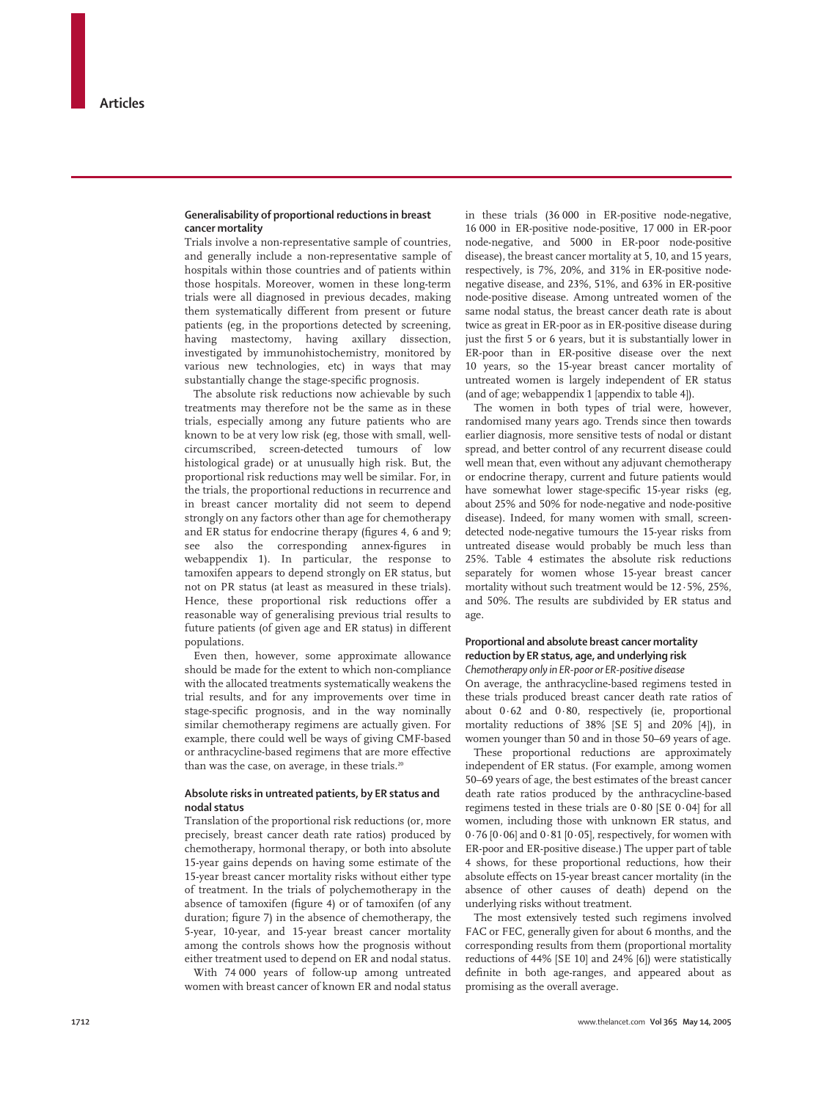# **Generalisability of proportional reductions in breast cancer mortality**

Trials involve a non-representative sample of countries, and generally include a non-representative sample of hospitals within those countries and of patients within those hospitals. Moreover, women in these long-term trials were all diagnosed in previous decades, making them systematically different from present or future patients (eg, in the proportions detected by screening, having mastectomy, having axillary dissection, investigated by immunohistochemistry, monitored by various new technologies, etc) in ways that may substantially change the stage-specific prognosis.

The absolute risk reductions now achievable by such treatments may therefore not be the same as in these trials, especially among any future patients who are known to be at very low risk (eg, those with small, wellcircumscribed, screen-detected tumours of low histological grade) or at unusually high risk. But, the proportional risk reductions may well be similar. For, in the trials, the proportional reductions in recurrence and in breast cancer mortality did not seem to depend strongly on any factors other than age for chemotherapy and ER status for endocrine therapy (figures 4, 6 and 9; see also the corresponding annex-figures in webappendix 1). In particular, the response to tamoxifen appears to depend strongly on ER status, but not on PR status (at least as measured in these trials). Hence, these proportional risk reductions offer a reasonable way of generalising previous trial results to future patients (of given age and ER status) in different populations.

Even then, however, some approximate allowance should be made for the extent to which non-compliance with the allocated treatments systematically weakens the trial results, and for any improvements over time in stage-specific prognosis, and in the way nominally similar chemotherapy regimens are actually given. For example, there could well be ways of giving CMF-based or anthracycline-based regimens that are more effective than was the case, on average, in these trials.<sup>20</sup>

## **Absolute risks in untreated patients, by ER status and nodal status**

Translation of the proportional risk reductions (or, more precisely, breast cancer death rate ratios) produced by chemotherapy, hormonal therapy, or both into absolute 15-year gains depends on having some estimate of the 15-year breast cancer mortality risks without either type of treatment. In the trials of polychemotherapy in the absence of tamoxifen (figure 4) or of tamoxifen (of any duration; figure 7) in the absence of chemotherapy, the 5-year, 10-year, and 15-year breast cancer mortality among the controls shows how the prognosis without either treatment used to depend on ER and nodal status.

With 74 000 years of follow-up among untreated women with breast cancer of known ER and nodal status in these trials (36 000 in ER-positive node-negative, 16 000 in ER-positive node-positive, 17 000 in ER-poor node-negative, and 5000 in ER-poor node-positive disease), the breast cancer mortality at 5, 10, and 15 years, respectively, is 7%, 20%, and 31% in ER-positive nodenegative disease, and 23%, 51%, and 63% in ER-positive node-positive disease. Among untreated women of the same nodal status, the breast cancer death rate is about twice as great in ER-poor as in ER-positive disease during just the first 5 or 6 years, but it is substantially lower in ER-poor than in ER-positive disease over the next 10 years, so the 15-year breast cancer mortality of untreated women is largely independent of ER status (and of age; webappendix 1 [appendix to table 4]).

The women in both types of trial were, however, randomised many years ago. Trends since then towards earlier diagnosis, more sensitive tests of nodal or distant spread, and better control of any recurrent disease could well mean that, even without any adjuvant chemotherapy or endocrine therapy, current and future patients would have somewhat lower stage-specific 15-year risks (eg, about 25% and 50% for node-negative and node-positive disease). Indeed, for many women with small, screendetected node-negative tumours the 15-year risks from untreated disease would probably be much less than 25%. Table 4 estimates the absolute risk reductions separately for women whose 15-year breast cancer mortality without such treatment would be 12·5%, 25%, and 50%. The results are subdivided by ER status and age.

# **Proportional and absolute breast cancer mortality reduction by ER status, age, and underlying risk**  *Chemotherapy only in ER-poor or ER-positive disease*

On average, the anthracycline-based regimens tested in these trials produced breast cancer death rate ratios of about 0·62 and 0·80, respectively (ie, proportional mortality reductions of 38% [SE 5] and 20% [4]), in women younger than 50 and in those 50–69 years of age.

These proportional reductions are approximately independent of ER status. (For example, among women 50–69 years of age, the best estimates of the breast cancer death rate ratios produced by the anthracycline-based regimens tested in these trials are 0·80 [SE 0·04] for all women, including those with unknown ER status, and  $0.76$  [ $0.06$ ] and  $0.81$  [ $0.05$ ], respectively, for women with ER-poor and ER-positive disease.) The upper part of table 4 shows, for these proportional reductions, how their absolute effects on 15-year breast cancer mortality (in the absence of other causes of death) depend on the underlying risks without treatment.

The most extensively tested such regimens involved FAC or FEC, generally given for about 6 months, and the corresponding results from them (proportional mortality reductions of 44% [SE 10] and 24% [6]) were statistically definite in both age-ranges, and appeared about as promising as the overall average.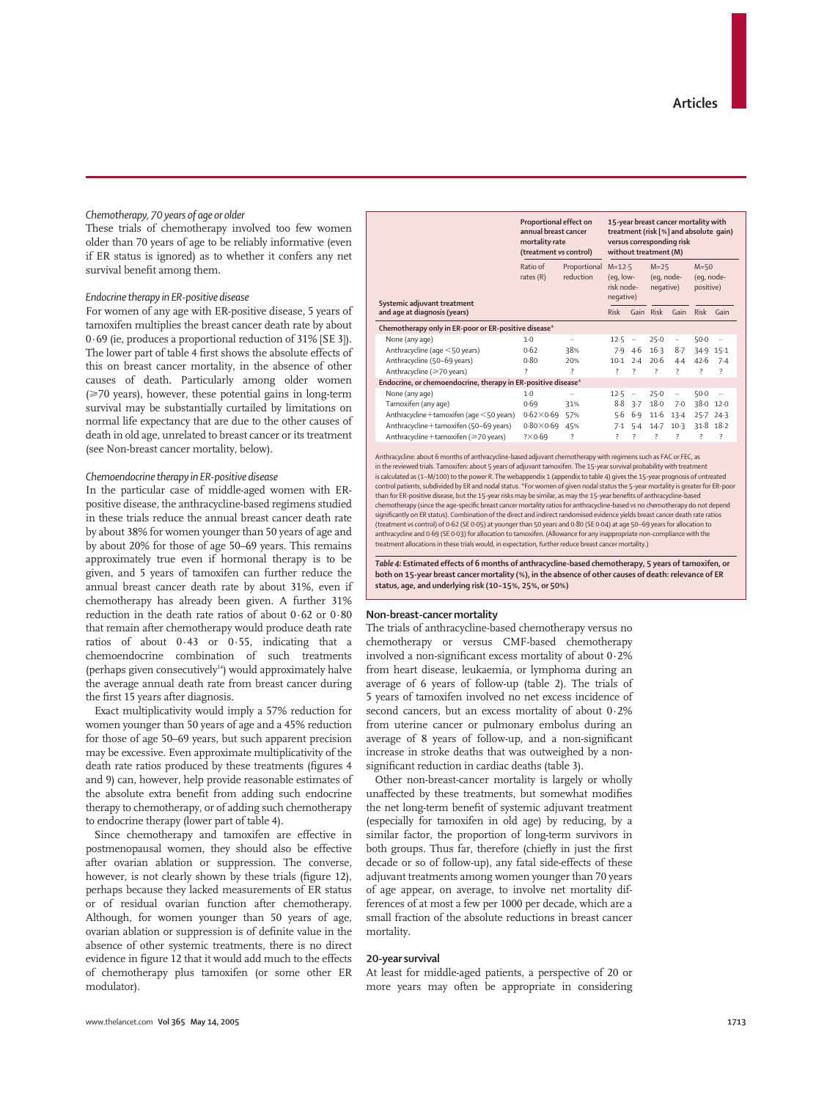## *Chemotherapy, 70 years of age or older*

These trials of chemotherapy involved too few women older than 70 years of age to be reliably informative (even if ER status is ignored) as to whether it confers any net survival benefit among them.

## *Endocrine therapy in ER-positive disease*

For women of any age with ER-positive disease, 5 years of tamoxifen multiplies the breast cancer death rate by about 0·69 (ie, produces a proportional reduction of 31% [SE 3]). The lower part of table 4 first shows the absolute effects of this on breast cancer mortality, in the absence of other causes of death. Particularly among older women  $\approx$  70 years), however, these potential gains in long-term survival may be substantially curtailed by limitations on normal life expectancy that are due to the other causes of death in old age, unrelated to breast cancer or its treatment (see Non-breast cancer mortality, below).

## *Chemoendocrine therapy in ER-positive disease*

In the particular case of middle-aged women with ERpositive disease, the anthracycline-based regimens studied in these trials reduce the annual breast cancer death rate by about 38% for women younger than 50 years of age and by about 20% for those of age 50–69 years. This remains approximately true even if hormonal therapy is to be given, and 5 years of tamoxifen can further reduce the annual breast cancer death rate by about 31%, even if chemotherapy has already been given. A further 31% reduction in the death rate ratios of about 0·62 or 0·80 that remain after chemotherapy would produce death rate ratios of about 0·43 or 0·55, indicating that a chemoendocrine combination of such treatments (perhaps given consecutively<sup>14</sup>) would approximately halve the average annual death rate from breast cancer during the first 15 years after diagnosis.

Exact multiplicativity would imply a 57% reduction for women younger than 50 years of age and a 45% reduction for those of age 50–69 years, but such apparent precision may be excessive. Even approximate multiplicativity of the death rate ratios produced by these treatments (figures 4 and 9) can, however, help provide reasonable estimates of the absolute extra benefit from adding such endocrine therapy to chemotherapy, or of adding such chemotherapy to endocrine therapy (lower part of table 4).

Since chemotherapy and tamoxifen are effective in postmenopausal women, they should also be effective after ovarian ablation or suppression. The converse, however, is not clearly shown by these trials (figure 12), perhaps because they lacked measurements of ER status or of residual ovarian function after chemotherapy. Although, for women younger than 50 years of age, ovarian ablation or suppression is of definite value in the absence of other systemic treatments, there is no direct evidence in figure 12 that it would add much to the effects of chemotherapy plus tamoxifen (or some other ER modulator).

|                                                               | Proportional effect on<br>annual breast cancer<br>mortality rate<br>(treatment vs control) |              | without treatment (M)                              |           |                                   | versus corresponding risk | 15-year breast cancer mortality with<br>treatment (risk [%] and absolute gain) |                      |  |
|---------------------------------------------------------------|--------------------------------------------------------------------------------------------|--------------|----------------------------------------------------|-----------|-----------------------------------|---------------------------|--------------------------------------------------------------------------------|----------------------|--|
| Systemic adjuvant treatment                                   | Ratio of<br>Proportional<br>reduction<br>rates $(R)$                                       |              | $M = 12.5$<br>(eq, low-<br>risk node-<br>negative) |           | $M=25$<br>(eq, node-<br>negative) |                           | $M=50$<br>(eq, node-<br>positive)                                              |                      |  |
| and age at diagnosis (years)                                  |                                                                                            |              | <b>Risk</b>                                        |           | Gain Risk                         | Gain                      | <b>Risk</b>                                                                    | Gain                 |  |
| Chemotherapy only in ER-poor or ER-positive disease*          |                                                                                            |              |                                                    |           |                                   |                           |                                                                                |                      |  |
| None (any age)                                                | $1-0$                                                                                      | $\mathbf{r}$ | 12.5                                               | $\ddotsc$ | 25.0                              |                           | $50-0$                                                                         | $\ddot{\phantom{a}}$ |  |
| Anthracycline (age $\leq$ 50 years)                           | 0.62                                                                                       | 38%          | 7.9                                                | 4.6       | 16.3                              | $8-7$                     | 34.9                                                                           | $15-1$               |  |
| Anthracycline (50-69 years)                                   | 0.80                                                                                       | 20%          | $10-1$                                             | 2.4       | $20-6$                            | $4-4$                     | 42.6                                                                           | $7-4$                |  |
| Anthracycline (≥70 years)                                     | ?                                                                                          | 7            | 7                                                  | 7         | 7                                 | ?                         | 7                                                                              | 7                    |  |
| Endocrine, or chemoendocrine, therapy in ER-positive disease* |                                                                                            |              |                                                    |           |                                   |                           |                                                                                |                      |  |
| None (any age)                                                | $1-0$                                                                                      | $\mathbf{r}$ | 12.5                                               | $\cdot$   | 25.0                              |                           | $50-0$                                                                         | $\ldots$             |  |
| Tamoxifen (any age)                                           | 0.69                                                                                       | 31%          | 8.8                                                | 3.7       | 18.0                              | 7.0                       | 38.0                                                                           | 12.0                 |  |
| Anthracycline + tamoxifen (age $\leq$ 50 years)               | $0.62 \times 0.69$                                                                         | 57%          | 5.6                                                | 6.9       | 11.6                              | $13-4$                    | 25.7                                                                           | 24.3                 |  |
| Anthracycline + tamoxifen (50-69 years)                       | $0.80\times 0.69$                                                                          | 45%          | 7.1                                                | 5.4       | $14 - 7$                          | 10.3                      | 31.8                                                                           | 18.2                 |  |
| Anthracycline + tamoxifen (≥70 years)                         | $? \times 0.69$                                                                            | ?            | 7                                                  | ?         | ?                                 | ?                         | ?                                                                              | ?                    |  |

Anthracycline: about 6 months of anthracycline-based adjuvant chemotherapy with regimens such as FAC or FEC, as in the reviewed trials. Tamoxifen: about 5 years of adjuvant tamoxifen. The 15-year survival probability with treatment is calculated as (1–M/100) to the power R. The webappendix 1 (appendix to table 4) gives the 15-year prognosis of untreated control patients, subdivided by ER and nodal status. \*For women of given nodal status the 5-year mortality is greater for ER-poor<br>than for ER-positive disease, but the 15-year risks may be similar, as may the 15-year benef chemotherapy (since the age-specific breast cancer mortality ratios for anthracycline-based *vs* no chemotherapy do not depend significantly on ER status). Combination of the direct and indirect randomised evidence yields breast cancer death rate ratio (treatment *vs*control) of 0·62 (SE 0·05) at younger than 50 years and 0·80 (SE 0·04) at age 50–69 years for allocation to anthracycline and 0·69 (SE 0·03) for allocation to tamoxifen. (Allowance for any inappropriate non-compliance with the treatment allocations in these trials would, in expectation, further reduce breast cancer mortality.)

*Table 4:* **Estimated effects of 6 months of anthracycline-based chemotherapy, 5 years of tamoxifen, or both on 15-year breast cancer mortality (%), in the absence of other causes of death: relevance of ER status, age, and underlying risk (10–15%, 25%, or 50%)**

# **Non-breast-cancer mortality**

The trials of anthracycline-based chemotherapy versus no chemotherapy or versus CMF-based chemotherapy involved a non-significant excess mortality of about 0·2% from heart disease, leukaemia, or lymphoma during an average of 6 years of follow-up (table 2). The trials of 5 years of tamoxifen involved no net excess incidence of second cancers, but an excess mortality of about 0·2% from uterine cancer or pulmonary embolus during an average of 8 years of follow-up, and a non-significant increase in stroke deaths that was outweighed by a nonsignificant reduction in cardiac deaths (table 3).

Other non-breast-cancer mortality is largely or wholly unaffected by these treatments, but somewhat modifies the net long-term benefit of systemic adjuvant treatment (especially for tamoxifen in old age) by reducing, by a similar factor, the proportion of long-term survivors in both groups. Thus far, therefore (chiefly in just the first decade or so of follow-up), any fatal side-effects of these adjuvant treatments among women younger than 70 years of age appear, on average, to involve net mortality differences of at most a few per 1000 per decade, which are a small fraction of the absolute reductions in breast cancer mortality.

# **20-year survival**

At least for middle-aged patients, a perspective of 20 or more years may often be appropriate in considering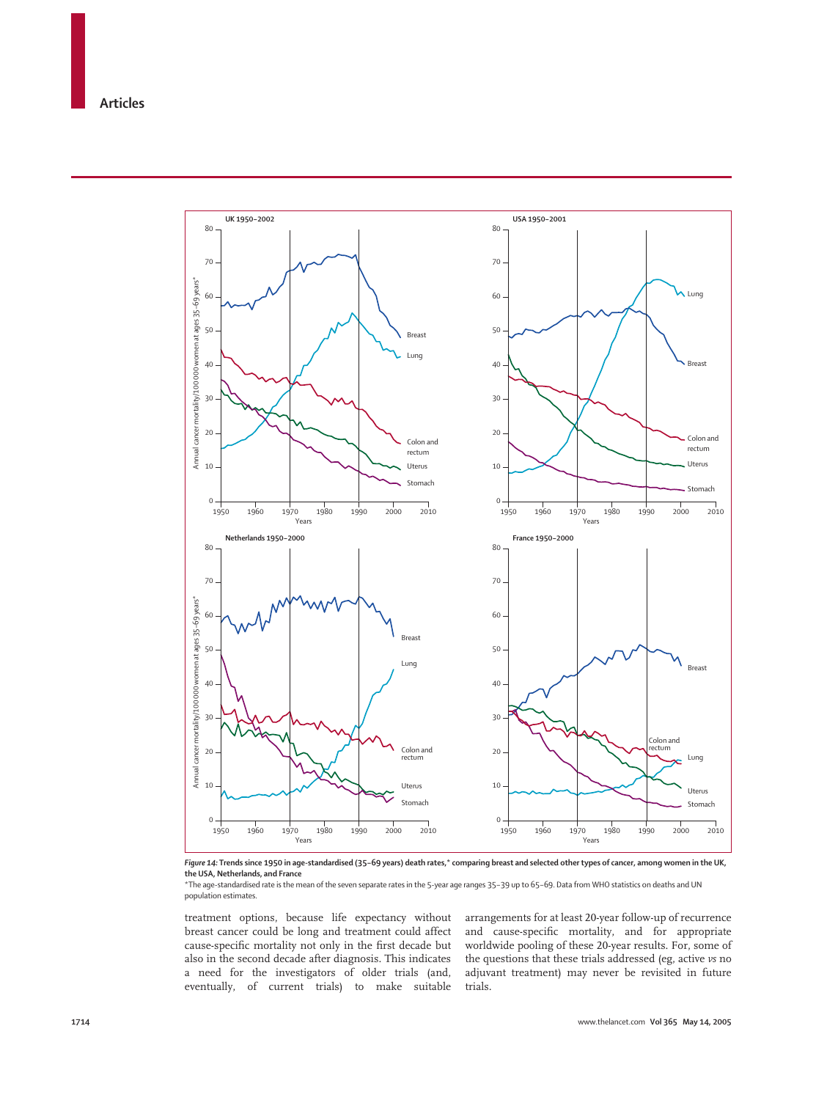

*Figure 14:* **Trends since 1950 in age-standardised (35–69 years) death rates,\* comparing breast and selected other types of cancer, among women in the UK, the USA, Netherlands, and France**

\*The age-standardised rate is the mean of the seven separate rates in the 5-year age ranges 35–39 up to 65–69. Data from WHO statistics on deaths and UN population estimates.

treatment options, because life expectancy without breast cancer could be long and treatment could affect cause-specific mortality not only in the first decade but also in the second decade after diagnosis. This indicates a need for the investigators of older trials (and, eventually, of current trials) to make suitable

arrangements for at least 20-year follow-up of recurrence and cause-specific mortality, and for appropriate worldwide pooling of these 20-year results. For, some of the questions that these trials addressed (eg, active *vs* no adjuvant treatment) may never be revisited in future trials.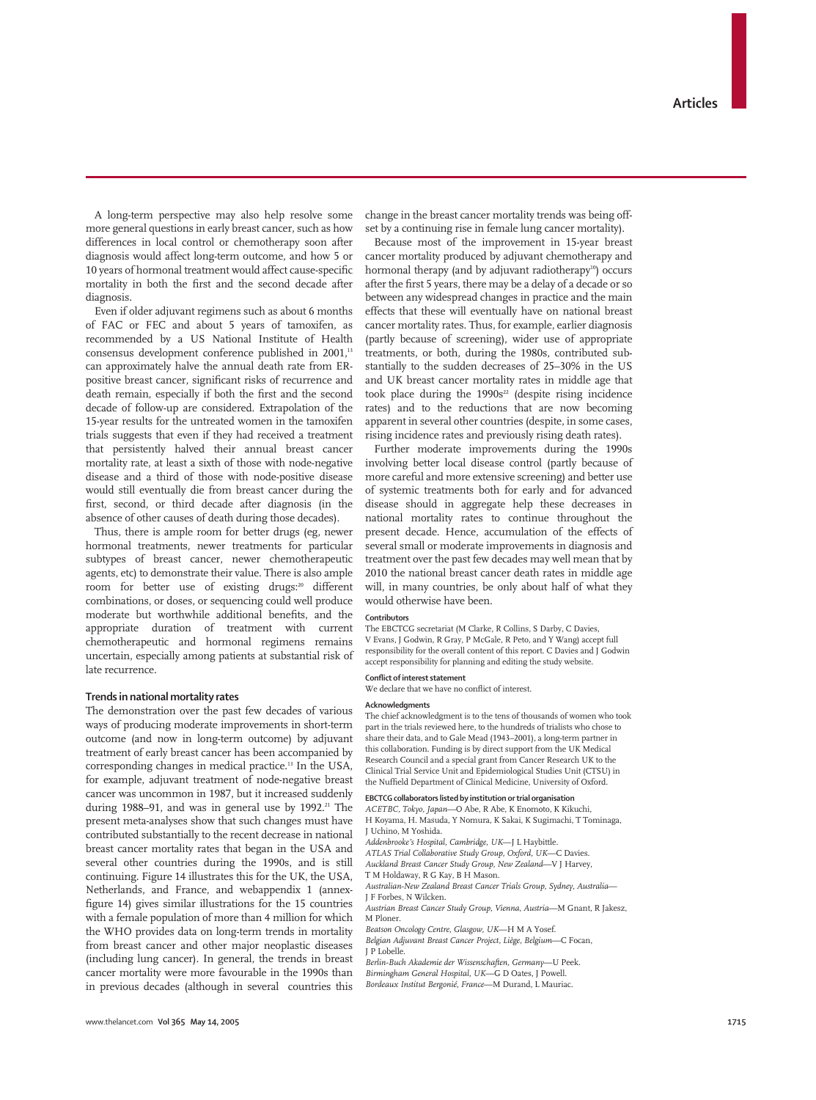A long-term perspective may also help resolve some more general questions in early breast cancer, such as how differences in local control or chemotherapy soon after diagnosis would affect long-term outcome, and how 5 or 10 years of hormonal treatment would affect cause-specific mortality in both the first and the second decade after diagnosis.

Even if older adjuvant regimens such as about 6 months of FAC or FEC and about 5 years of tamoxifen, as recommended by a US National Institute of Health consensus development conference published in 2001,<sup>13</sup> can approximately halve the annual death rate from ERpositive breast cancer, significant risks of recurrence and death remain, especially if both the first and the second decade of follow-up are considered. Extrapolation of the 15-year results for the untreated women in the tamoxifen trials suggests that even if they had received a treatment that persistently halved their annual breast cancer mortality rate, at least a sixth of those with node-negative disease and a third of those with node-positive disease would still eventually die from breast cancer during the first, second, or third decade after diagnosis (in the absence of other causes of death during those decades).

Thus, there is ample room for better drugs (eg, newer hormonal treatments, newer treatments for particular subtypes of breast cancer, newer chemotherapeutic agents, etc) to demonstrate their value. There is also ample room for better use of existing drugs:<sup>20</sup> different combinations, or doses, or sequencing could well produce moderate but worthwhile additional benefits, and the appropriate duration of treatment with current chemotherapeutic and hormonal regimens remains uncertain, especially among patients at substantial risk of late recurrence.

# **Trends in national mortality rates**

The demonstration over the past few decades of various ways of producing moderate improvements in short-term outcome (and now in long-term outcome) by adjuvant treatment of early breast cancer has been accompanied by corresponding changes in medical practice.13 In the USA, for example, adjuvant treatment of node-negative breast cancer was uncommon in 1987, but it increased suddenly during 1988–91, and was in general use by 1992.<sup>21</sup> The present meta-analyses show that such changes must have contributed substantially to the recent decrease in national breast cancer mortality rates that began in the USA and several other countries during the 1990s, and is still continuing. Figure 14 illustrates this for the UK, the USA, Netherlands, and France, and webappendix 1 (annexfigure 14) gives similar illustrations for the 15 countries with a female population of more than 4 million for which the WHO provides data on long-term trends in mortality from breast cancer and other major neoplastic diseases (including lung cancer). In general, the trends in breast cancer mortality were more favourable in the 1990s than in previous decades (although in several countries this

change in the breast cancer mortality trends was being offset by a continuing rise in female lung cancer mortality).

Because most of the improvement in 15-year breast cancer mortality produced by adjuvant chemotherapy and hormonal therapy (and by adjuvant radiotherapy<sup>10</sup>) occurs after the first 5 years, there may be a delay of a decade or so between any widespread changes in practice and the main effects that these will eventually have on national breast cancer mortality rates. Thus, for example, earlier diagnosis (partly because of screening), wider use of appropriate treatments, or both, during the 1980s, contributed substantially to the sudden decreases of 25–30% in the US and UK breast cancer mortality rates in middle age that took place during the  $1990s^{22}$  (despite rising incidence rates) and to the reductions that are now becoming apparent in several other countries (despite, in some cases, rising incidence rates and previously rising death rates).

Further moderate improvements during the 1990s involving better local disease control (partly because of more careful and more extensive screening) and better use of systemic treatments both for early and for advanced disease should in aggregate help these decreases in national mortality rates to continue throughout the present decade. Hence, accumulation of the effects of several small or moderate improvements in diagnosis and treatment over the past few decades may well mean that by 2010 the national breast cancer death rates in middle age will, in many countries, be only about half of what they would otherwise have been.

# **Contributors**

The EBCTCG secretariat (M Clarke, R Collins, S Darby, C Davies, V Evans, J Godwin, R Gray, P McGale, R Peto, and Y Wang) accept full responsibility for the overall content of this report. C Davies and J Godwin accept responsibility for planning and editing the study website.

## **Conflict of interest statement**

We declare that we have no conflict of interest.

## **Acknowledgments**

The chief acknowledgment is to the tens of thousands of women who took part in the trials reviewed here, to the hundreds of trialists who chose to share their data, and to Gale Mead (1943–2001), a long-term partner in this collaboration. Funding is by direct support from the UK Medical Research Council and a special grant from Cancer Research UK to the Clinical Trial Service Unit and Epidemiological Studies Unit (CTSU) in the Nuffield Department of Clinical Medicine, University of Oxford.

# **EBCTCG collaborators listed by institution or trial organisation**

*ACETBC, Tokyo, Japan*—O Abe, R Abe, K Enomoto, K Kikuchi, H Koyama, H. Masuda, Y Nomura, K Sakai, K Sugimachi, T Tominaga, J Uchino, M Yoshida.

*Addenbrooke's Hospital, Cambridge, UK*—J L Haybittle.

*ATLAS Trial Collaborative Study Group, Oxford, UK*—C Davies. *Auckland Breast Cancer Study Group, New Zealand*—V J Harvey,

T M Holdaway, R G Kay, B H Mason.

*Australian-New Zealand Breast Cancer Trials Group, Sydney, Australia*— J F Forbes, N Wilcken.

*Austrian Breast Cancer Study Group, Vienna, Austria*—M Gnant, R Jakesz, M Ploner.

*Beatson Oncology Centre, Glasgow, UK*—H M A Yosef.

*Belgian Adjuvant Breast Cancer Project, Liège, Belgium*—C Focan, J P Lobelle.

*Berlin-Buch Akademie der Wissenschaften, Germany*—U Peek. *Birmingham General Hospital, UK*—G D Oates, J Powell. *Bordeaux Institut Bergonié, France*—M Durand, L Mauriac.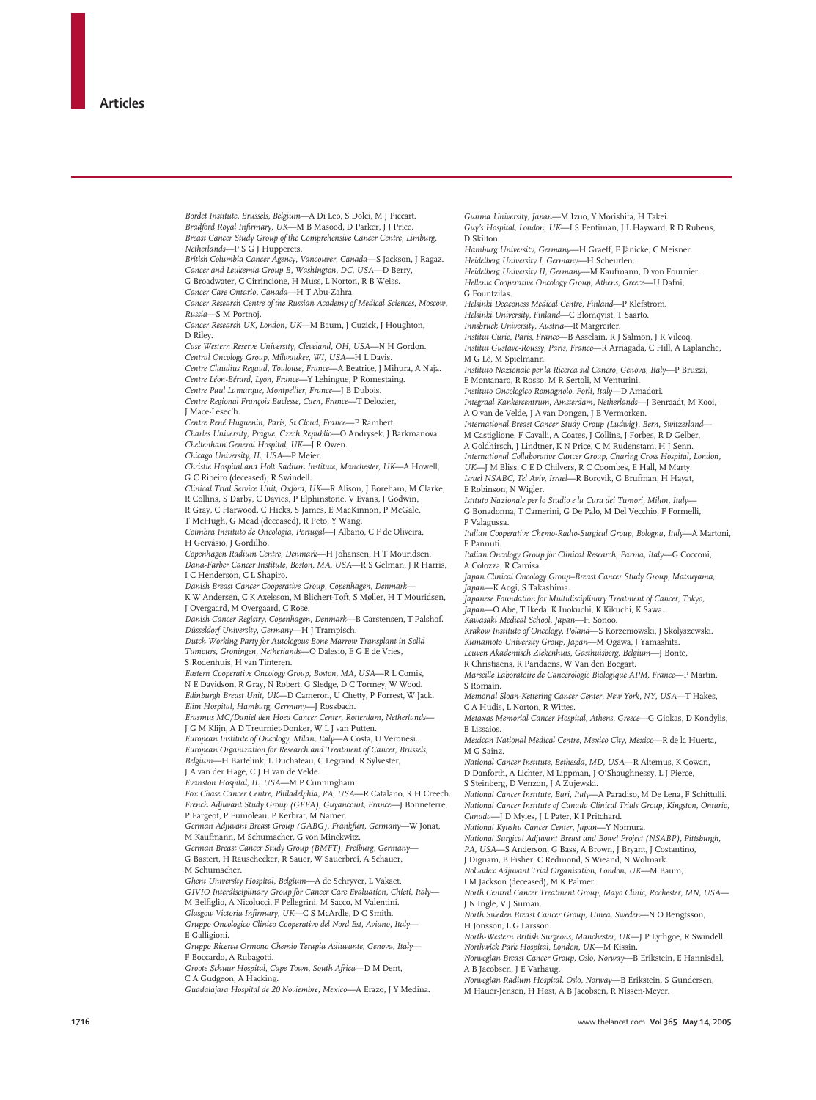*Bordet Institute, Brussels, Belgium*—A Di Leo, S Dolci, M J Piccart. *Bradford Royal Infirmary, UK*—M B Masood, D Parker, J J Price. *Breast Cancer Study Group of the Comprehensive Cancer Centre, Limburg, Netherlands*—P S G J Hupperets. *British Columbia Cancer Agency, Vancouver, Canada*—S Jackson, J Ragaz. *Cancer and Leukemia Group B, Washington, DC, USA*—D Berry, G Broadwater, C Cirrincione, H Muss, L Norton, R B Weiss. *Cancer Care Ontario, Canada*—H T Abu-Zahra. *Cancer Research Centre of the Russian Academy of Medical Sciences, Moscow, Russia*—S M Portnoj. *Cancer Research UK, London, UK*—M Baum, J Cuzick, J Houghton, D Riley. *Case Western Reserve University, Cleveland, OH, USA*—N H Gordon. *Central Oncology Group, Milwaukee, WI, USA*—H L Davis. *Centre Claudius Regaud, Toulouse, France*—A Beatrice, J Mihura, A Naja. *Centre Léon-Bérard, Lyon, France*—Y Lehingue, P Romestaing. *Centre Paul Lamarque, Montpellier, France*—J B Dubois. *Centre Regional François Baclesse, Caen, France*—T Delozier, J Mace-Lesec'h. *Centre René Huguenin, Paris, St Cloud, France*—P Rambert. *Charles University, Prague, Czech Republic*—O Andrysek, J Barkmanova. *Cheltenham General Hospital, UK*—J R Owen. *Chicago University, IL, USA*—P Meier. *Christie Hospital and Holt Radium Institute, Manchester, UK*—A Howell, G C Ribeiro (deceased), R Swindell. *Clinical Trial Service Unit, Oxford, UK*—R Alison, J Boreham, M Clarke, R Collins, S Darby, C Davies, P Elphinstone, V Evans, J Godwin, R Gray, C Harwood, C Hicks, S James, E MacKinnon, P McGale, T McHugh, G Mead (deceased), R Peto, Y Wang. *Coimbra Instituto de Oncologia, Portugal*—J Albano, C F de Oliveira, H Gervásio, J Gordilho. *Copenhagen Radium Centre, Denmark*—H Johansen, H T Mouridsen. *Dana-Farber Cancer Institute, Boston, MA, USA*—R S Gelman, J R Harris, I C Henderson, C L Shapiro. *Danish Breast Cancer Cooperative Group, Copenhagen, Denmark*— K W Andersen, C K Axelsson, M Blichert-Toft, S Møller, H T Mouridsen, J Overgaard, M Overgaard, C Rose. *Danish Cancer Registry, Copenhagen, Denmark*—B Carstensen, T Palshof. *Düsseldorf University, Germany*—H J Trampisch. *Dutch Working Party for Autologous Bone Marrow Transplant in Solid Tumours, Groningen, Netherlands*—O Dalesio, E G E de Vries, S Rodenhuis, H van Tinteren. *Eastern Cooperative Oncology Group, Boston, MA, USA*—R L Comis, N E Davidson, R Gray, N Robert, G Sledge, D C Tormey, W Wood. *Edinburgh Breast Unit, UK*—D Cameron, U Chetty, P Forrest, W Jack. *Elim Hospital, Hamburg, Germany*—J Rossbach. *Erasmus MC/Daniel den Hoed Cancer Center, Rotterdam, Netherlands*— J G M Klijn, A D Treurniet-Donker, W L J van Putten. *European Institute of Oncology, Milan, Italy*—A Costa, U Veronesi. *European Organization for Research and Treatment of Cancer, Brussels, Belgium*—H Bartelink, L Duchateau, C Legrand, R Sylvester, J A van der Hage, C J H van de Velde. *Evanston Hospital, IL, USA*—M P Cunningham. *Fox Chase Cancer Centre, Philadelphia, PA, USA*—R Catalano, R H Creech. *French Adjuvant Study Group (GFEA), Guyancourt, France*—J Bonneterre, P Fargeot, P Fumoleau, P Kerbrat, M Namer. *German Adjuvant Breast Group (GABG), Frankfurt, Germany*—W Jonat, M Kaufmann, M Schumacher, G von Minckwitz. *German Breast Cancer Study Group (BMFT), Freiburg, Germany*— G Bastert, H Rauschecker, R Sauer, W Sauerbrei, A Schauer, M Schumacher. *Ghent University Hospital, Belgium*—A de Schryver, L Vakaet. *GIVIO Interdisciplinary Group for Cancer Care Evaluation, Chieti, Italy*— M Belfiglio, A Nicolucci, F Pellegrini, M Sacco, M Valentini. *Glasgow Victoria Infirmary, UK*—C S McArdle, D C Smith. *Gruppo Oncologico Clinico Cooperativo del Nord Est, Aviano, Italy*— E Galligioni. *Gruppo Ricerca Ormono Chemio Terapia Adiuvante, Genova, Italy*— F Boccardo, A Rubagotti. *Groote Schuur Hospital, Cape Town, South Africa*—D M Dent, C A Gudgeon, A Hacking. *Gunma University, Japan*—M Izuo, Y Morishita, H Takei. *Guy's Hospital, London, UK*—I S Fentiman, J L Hayward, R D Rubens, D Skilton. *Hamburg University, Germany*—H Graeff, F Jänicke, C Meisner. *Heidelberg University I, Germany*—H Scheurlen. *Heidelberg University II, Germany*—M Kaufmann, D von Fournier. *Hellenic Cooperative Oncology Group, Athens, Greece*—U Dafni, G Fountzilas. *Helsinki Deaconess Medical Centre, Finland*—P Klefstrom. *Helsinki University, Finland*—C Blomqvist, T Saarto. *Innsbruck University, Austria*—R Margreiter. *Institut Curie, Paris, France*—B Asselain, R J Salmon, J R Vilcoq. *Institut Gustave-Roussy, Paris, France*—R Arriagada, C Hill, A Laplanche, M G Lê, M Spielmann. *Instituto Nazionale per la Ricerca sul Cancro, Genova, Italy*—P Bruzzi, E Montanaro, R Rosso, M R Sertoli, M Venturini. *Instituto Oncologico Romagnolo, Forli, Italy*—D Amadori. *Integraal Kankercentrum, Amsterdam, Netherlands*—J Benraadt, M Kooi, A O van de Velde, J A van Dongen, J B Vermorken. *International Breast Cancer Study Group (Ludwig), Bern, Switzerland*— M Castiglione, F Cavalli, A Coates, J Collins, J Forbes, R D Gelber, A Goldhirsch, J Lindtner, K N Price, C M Rudenstam, H J Senn. *International Collaborative Cancer Group, Charing Cross Hospital, London, UK*—J M Bliss, C E D Chilvers, R C Coombes, E Hall, M Marty. *Israel NSABC, Tel Aviv, Israel*—R Borovik, G Brufman, H Hayat, E Robinson, N Wigler. *Istituto Nazionale per lo Studio e la Cura dei Tumori, Milan, Italy*— G Bonadonna, T Camerini, G De Palo, M Del Vecchio, F Formelli, P Valagussa. *Italian Cooperative Chemo-Radio-Surgical Group, Bologna, Italy*—A Martoni, F Pannuti. *Italian Oncology Group for Clinical Research, Parma, Italy*—G Cocconi, A Colozza, R Camisa. *Japan Clinical Oncology Group–Breast Cancer Study Group, Matsuyama, Japan*—K Aogi, S Takashima. *Japanese Foundation for Multidisciplinary Treatment of Cancer, Tokyo, Japan*—O Abe, T Ikeda, K Inokuchi, K Kikuchi, K Sawa. *Kawasaki Medical School, Japan*—H Sonoo. *Krakow Institute of Oncology, Poland*—S Korzeniowski, J Skolyszewski. *Kumamoto University Group, Japan*—M Ogawa, J Yamashita. *Leuven Akademisch Ziekenhuis, Gasthuisberg, Belgium*—J Bonte, R Christiaens, R Paridaens, W Van den Boegart. *Marseille Laboratoire de Cancérologie Biologique APM, France*—P Martin, S Romain. *Memorial Sloan-Kettering Cancer Center, New York, NY, USA*—T Hakes, C A Hudis, L Norton, R Wittes. *Metaxas Memorial Cancer Hospital, Athens, Greece*—G Giokas, D Kondylis, B Lissaios. *Mexican National Medical Centre, Mexico City, Mexico*—R de la Huerta, M G Sainz. *National Cancer Institute, Bethesda, MD, USA*—R Altemus, K Cowan, D Danforth, A Lichter, M Lippman, J O'Shaughnessy, L J Pierce, S Steinberg, D Venzon, J A Zujewski. *National Cancer Institute, Bari, Italy*—A Paradiso, M De Lena, F Schittulli. *National Cancer Institute of Canada Clinical Trials Group, Kingston, Ontario, Canada*—J D Myles, J L Pater, K I Pritchard. *National Kyushu Cancer Center, Japan*—Y Nomura. *National Surgical Adjuvant Breast and Bowel Project (NSABP), Pittsburgh, PA, USA*—S Anderson, G Bass, A Brown, J Bryant, J Costantino, J Dignam, B Fisher, C Redmond, S Wieand, N Wolmark. *Nolvadex Adjuvant Trial Organisation, London, UK*—M Baum, I M Jackson (deceased), M K Palmer. *North Central Cancer Treatment Group, Mayo Clinic, Rochester, MN, USA*— J N Ingle, V J Suman. *North Sweden Breast Cancer Group, Umea, Sweden*—N O Bengtsson, H Jonsson, L G Larsson. *North-Western British Surgeons, Manchester, UK*—J P Lythgoe, R Swindell. *Northwick Park Hospital, London, UK*—M Kissin. *Norwegian Breast Cancer Group, Oslo, Norway*—B Erikstein, E Hannisdal, A B Jacobsen, J E Varhaug. *Norwegian Radium Hospital, Oslo, Norway*—B Erikstein, S Gundersen, M Hauer-Jensen, H Høst, A B Jacobsen, R Nissen-Meyer.

*Guadalajara Hospital de 20 Noviembre, Mexico*—A Erazo, J Y Medina.